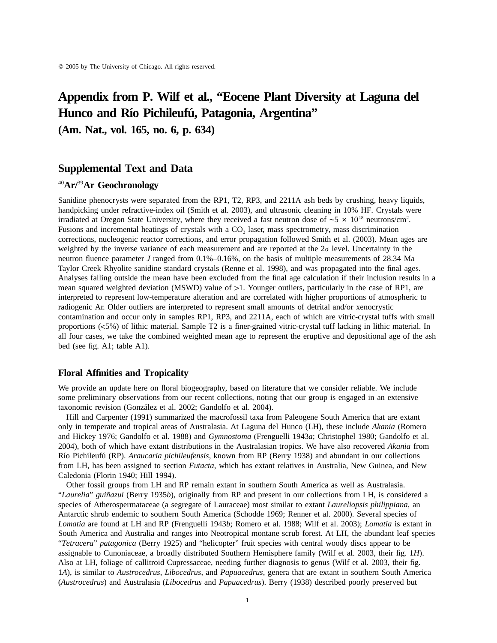# **Appendix from P. Wilf et al., "Eocene Plant Diversity at Laguna del Hunco and Rı´o Pichileufu´, Patagonia, Argentina"**

**(Am. Nat., vol. 165, no. 6, p. 634)**

### **Supplemental Text and Data**

### <sup>40</sup>**Ar/**<sup>39</sup>**Ar Geochronology**

Sanidine phenocrysts were separated from the RP1, T2, RP3, and 2211A ash beds by crushing, heavy liquids, handpicking under refractive-index oil (Smith et al. 2003), and ultrasonic cleaning in 10% HF. Crystals were irradiated at Oregon State University, where they received a fast neutron dose of  $~5 \times 10^{18}$  neutrons/cm<sup>2</sup>. Fusions and incremental heatings of crystals with a CO<sub>2</sub> laser, mass spectrometry, mass discrimination corrections, nucleogenic reactor corrections, and error propagation followed Smith et al. (2003). Mean ages are weighted by the inverse variance of each measurement and are reported at the  $2\sigma$  level. Uncertainty in the neutron fluence parameter *J* ranged from 0.1%–0.16%, on the basis of multiple measurements of 28.34 Ma Taylor Creek Rhyolite sanidine standard crystals (Renne et al. 1998), and was propagated into the final ages. Analyses falling outside the mean have been excluded from the final age calculation if their inclusion results in a mean squared weighted deviation (MSWD) value of  $>1$ . Younger outliers, particularly in the case of RP1, are interpreted to represent low-temperature alteration and are correlated with higher proportions of atmospheric to radiogenic Ar. Older outliers are interpreted to represent small amounts of detrital and/or xenocrystic contamination and occur only in samples RP1, RP3, and 2211A, each of which are vitric-crystal tuffs with small proportions (!5%) of lithic material. Sample T2 is a finer-grained vitric-crystal tuff lacking in lithic material. In all four cases, we take the combined weighted mean age to represent the eruptive and depositional age of the ash bed (see fig. A1; table A1).

#### **Floral Affinities and Tropicality**

We provide an update here on floral biogeography, based on literature that we consider reliable. We include some preliminary observations from our recent collections, noting that our group is engaged in an extensive taxonomic revision (González et al. 2002; Gandolfo et al. 2004).

Hill and Carpenter (1991) summarized the macrofossil taxa from Paleogene South America that are extant only in temperate and tropical areas of Australasia. At Laguna del Hunco (LH), these include *Akania* (Romero and Hickey 1976; Gandolfo et al. 1988) and *Gymnostoma* (Frenguelli 1943*a*; Christophel 1980; Gandolfo et al. 2004), both of which have extant distributions in the Australasian tropics. We have also recovered *Akania* from Rı´o Pichileufu´ (RP). *Araucaria pichileufensis*, known from RP (Berry 1938) and abundant in our collections from LH, has been assigned to section *Eutacta*, which has extant relatives in Australia, New Guinea, and New Caledonia (Florin 1940; Hill 1994).

Other fossil groups from LH and RP remain extant in southern South America as well as Australasia. "*Laurelia*" *guiñazui* (Berry 1935*b*), originally from RP and present in our collections from LH, is considered a species of Atherospermataceae (a segregate of Lauraceae) most similar to extant *Laureliopsis philippiana*, an Antarctic shrub endemic to southern South America (Schodde 1969; Renner et al. 2000). Several species of *Lomatia* are found at LH and RP (Frenguelli 1943*b*; Romero et al. 1988; Wilf et al. 2003); *Lomatia* is extant in South America and Australia and ranges into Neotropical montane scrub forest. At LH, the abundant leaf species "*Tetracera*" *patagonica* (Berry 1925) and "helicopter" fruit species with central woody discs appear to be assignable to Cunoniaceae, a broadly distributed Southern Hemisphere family (Wilf et al. 2003, their fig. 1*H*). Also at LH, foliage of callitroid Cupressaceae, needing further diagnosis to genus (Wilf et al. 2003, their fig. 1*A*), is similar to *Austrocedrus*, *Libocedrus*, and *Papuacedrus*, genera that are extant in southern South America (*Austrocedrus*) and Australasia (*Libocedrus* and *Papuacedrus*). Berry (1938) described poorly preserved but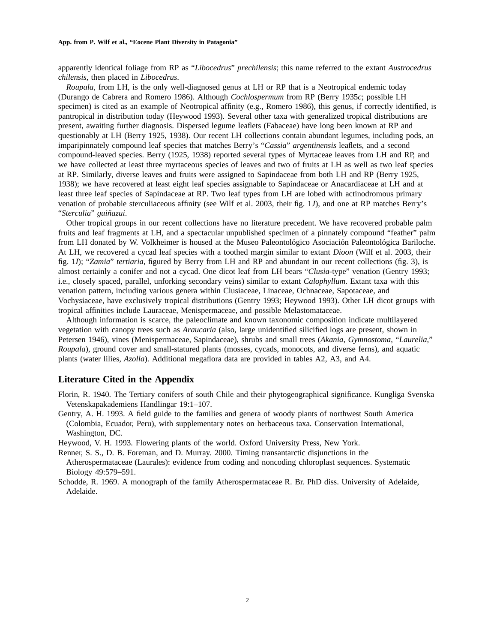apparently identical foliage from RP as "*Libocedrus*" *prechilensis*; this name referred to the extant *Austrocedrus chilensis*, then placed in *Libocedrus*.

*Roupala*, from LH, is the only well-diagnosed genus at LH or RP that is a Neotropical endemic today (Durango de Cabrera and Romero 1986). Although *Cochlospermum* from RP (Berry 1935*c*; possible LH specimen) is cited as an example of Neotropical affinity (e.g., Romero 1986), this genus, if correctly identified, is pantropical in distribution today (Heywood 1993). Several other taxa with generalized tropical distributions are present, awaiting further diagnosis. Dispersed legume leaflets (Fabaceae) have long been known at RP and questionably at LH (Berry 1925, 1938). Our recent LH collections contain abundant legumes, including pods, an imparipinnately compound leaf species that matches Berry's "*Cassia*" *argentinensis* leaflets, and a second compound-leaved species. Berry (1925, 1938) reported several types of Myrtaceae leaves from LH and RP, and we have collected at least three myrtaceous species of leaves and two of fruits at LH as well as two leaf species at RP. Similarly, diverse leaves and fruits were assigned to Sapindaceae from both LH and RP (Berry 1925, 1938); we have recovered at least eight leaf species assignable to Sapindaceae or Anacardiaceae at LH and at least three leaf species of Sapindaceae at RP. Two leaf types from LH are lobed with actinodromous primary venation of probable sterculiaceous affinity (see Wilf et al. 2003, their fig. 1*J*), and one at RP matches Berry's "*Sterculia*" *guin˜azui*.

Other tropical groups in our recent collections have no literature precedent. We have recovered probable palm fruits and leaf fragments at LH, and a spectacular unpublished specimen of a pinnately compound "feather" palm from LH donated by W. Volkheimer is housed at the Museo Paleontológico Asociación Paleontológica Bariloche. At LH, we recovered a cycad leaf species with a toothed margin similar to extant *Dioon* (Wilf et al. 2003, their fig. 1*I*); "*Zamia*" *tertiaria*, figured by Berry from LH and RP and abundant in our recent collections (fig. 3), is almost certainly a conifer and not a cycad. One dicot leaf from LH bears "*Clusia*-type" venation (Gentry 1993; i.e., closely spaced, parallel, unforking secondary veins) similar to extant *Calophyllum*. Extant taxa with this venation pattern, including various genera within Clusiaceae, Linaceae, Ochnaceae, Sapotaceae, and Vochysiaceae, have exclusively tropical distributions (Gentry 1993; Heywood 1993). Other LH dicot groups with tropical affinities include Lauraceae, Menispermaceae, and possible Melastomataceae.

Although information is scarce, the paleoclimate and known taxonomic composition indicate multilayered vegetation with canopy trees such as *Araucaria* (also, large unidentified silicified logs are present, shown in Petersen 1946), vines (Menispermaceae, Sapindaceae), shrubs and small trees (*Akania*, *Gymnostoma*, "*Laurelia*," *Roupala*), ground cover and small-statured plants (mosses, cycads, monocots, and diverse ferns), and aquatic plants (water lilies, *Azolla*). Additional megaflora data are provided in tables A2, A3, and A4.

#### **Literature Cited in the Appendix**

Florin, R. 1940. The Tertiary conifers of south Chile and their phytogeographical significance. Kungliga Svenska Vetenskapakademiens Handlingar 19:1–107.

Gentry, A. H. 1993. A field guide to the families and genera of woody plants of northwest South America (Colombia, Ecuador, Peru), with supplementary notes on herbaceous taxa. Conservation International, Washington, DC.

Heywood, V. H. 1993. Flowering plants of the world. Oxford University Press, New York.

- Renner, S. S., D. B. Foreman, and D. Murray. 2000. Timing transantarctic disjunctions in the Atherospermataceae (Laurales): evidence from coding and noncoding chloroplast sequences. Systematic Biology 49:579–591.
- Schodde, R. 1969. A monograph of the family Atherospermataceae R. Br. PhD diss. University of Adelaide, Adelaide.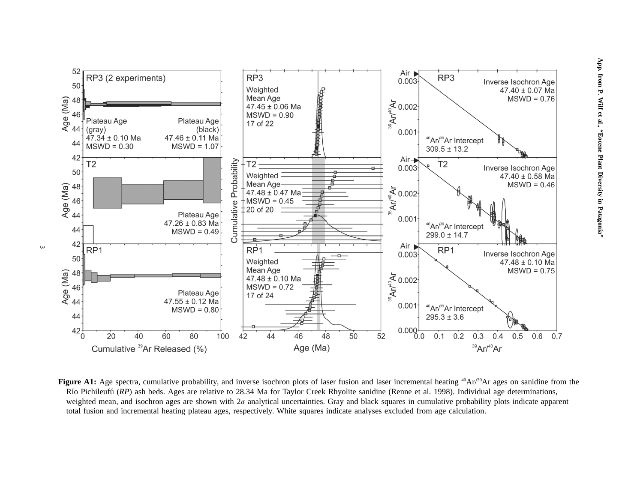

**Figure A1:** Age spectra, cumulative probability, and inverse isochron plots of laser fusion and laser incremental heating <sup>40</sup>Ar/<sup>39</sup>Ar ages on sanidine from the Río Pichileufú (*RP*) ash beds. Ages are relative to 28.34 Ma for Taylor Creek Rhyolite sanidine (Renne et al. 1998). Individual age determinations, weighted mean, and isochron ages are shown with  $2\sigma$  analytical uncertainties. Gray and black squares in cumulative probability plots indicate apparent total fusion and incremental heating plateau ages, respectively. White squares indicate analyses excluded from age calculation.

 $\omega$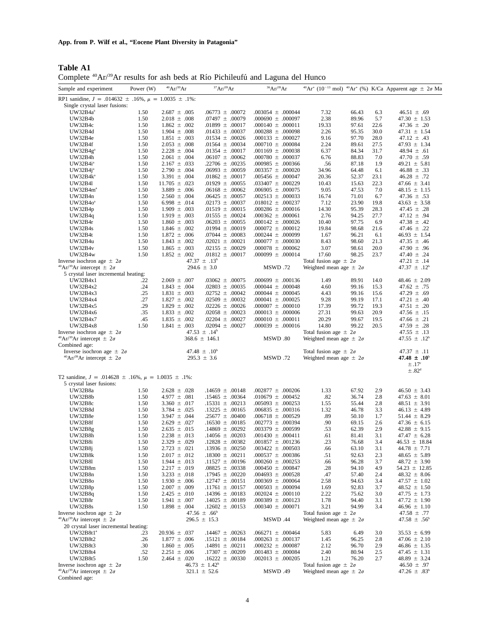**Table A1** Complete <sup>40</sup>Ar/<sup>39</sup>Ar results for ash beds at Río Pichileufú and Laguna del Hunco

|                                                                                                  |             |                   |                                                 | THE TREAD TOT WILL DOWN WE THE TREADER WHO ENGINE GOT TRINGS |                                                                   |       |      |                                                                                               |
|--------------------------------------------------------------------------------------------------|-------------|-------------------|-------------------------------------------------|--------------------------------------------------------------|-------------------------------------------------------------------|-------|------|-----------------------------------------------------------------------------------------------|
| Sample and experiment                                                                            | Power $(W)$ | $^{40}Ar/^{39}Ar$ | 37Ar/39Ar                                       | 36Ar/39Ar                                                    |                                                                   |       |      | $^{40}Ar^{*}$ (10 <sup>-13</sup> mol) $^{40}Ar^{*}$ (%) K/Ca Apparent age $\pm$ 2 $\sigma$ Ma |
| RP1 sanidine, $J = .014632 \pm .16\%$ , $\mu = 1.0035 \pm .1\%$ :                                |             |                   |                                                 |                                                              |                                                                   |       |      |                                                                                               |
| Single crystal laser fusions:                                                                    |             |                   |                                                 |                                                              |                                                                   |       |      |                                                                                               |
| UW32B4a <sup>a</sup>                                                                             | 1.50        | $2.687 \pm .005$  | $.06773 \pm .00072$                             | $.003054 \pm .000044$                                        | 7.32                                                              | 66.43 | 6.3  | $46.51 \pm .69$                                                                               |
| UW32B4b                                                                                          | 1.50        | $2.018 \pm .008$  | $.07497 \pm .00079$                             | $.000690 \pm .000097$                                        | 2.38                                                              | 89.96 | 5.7  | $47.30 \pm 1.53$                                                                              |
| UW32B4c                                                                                          | 1.50        | $1.862 \pm .002$  | $.01899 \pm .00017$                             | $.000140 \pm .000011$                                        | 19.33                                                             | 97.61 | 22.6 | 47.36 $\pm$ .20                                                                               |
| UW32B4d                                                                                          | 1.50        | $1.904 \pm .008$  | $.01433 \pm .00037$                             | $.000288 \pm .000098$                                        | 2.26                                                              | 95.35 | 30.0 | $47.31 \pm 1.54$                                                                              |
| UW32B4e                                                                                          | 1.50        | $1.851 \pm .003$  | .01534 $\pm$ .00026                             | $.000133 \pm .000027$                                        | 9.16                                                              | 97.70 | 28.0 | $47.12 \pm .43$                                                                               |
| UW32B4f                                                                                          | 1.50        | $2.053 \pm .008$  | $.01564 \pm .00034$                             | $.000710 \pm .000084$                                        | 2.24                                                              | 89.61 | 27.5 | $47.93 \pm 1.34$                                                                              |
| UW32B4g <sup>a</sup>                                                                             | 1.50        | $2.228 \pm .004$  | $.01354 \pm .00017$                             | $.001169 \pm .000038$                                        | 6.37                                                              | 84.34 | 31.7 | $48.94 \pm .61$                                                                               |
| UW32B4h                                                                                          | 1.50        | $2.061 \pm .004$  | $.06107 \pm .00062$                             | $.000780 \pm .000037$                                        | 6.76                                                              | 88.83 | 7.0  | 47.70 $\pm$ .59                                                                               |
| UW32B4i <sup>a</sup>                                                                             | 1.50        | $2.167 \pm .033$  | $.22706 \pm .00235$                             | $.000985 \pm .000366$                                        | .56                                                               | 87.18 | 1.9  | $49.21 \pm 5.81$                                                                              |
| $UW32B4j^*$                                                                                      | 1.50        | $2.790 \pm .004$  | $.06993 \pm .00059$                             | $.003357 \pm .000020$                                        | 34.96                                                             | 64.48 | 6.1  | $46.88 \pm .33$                                                                               |
| $UW32B4k^a$                                                                                      | 1.50        | 3.391 $\pm$ .004  | $.01862 \pm .00017$                             | $.005456 \pm .000047$                                        | 20.36                                                             | 52.37 | 23.1 | $46.28 \pm .72$                                                                               |
| UW32B41                                                                                          | 1.50        | $11.705 \pm .023$ | $.01929 \pm .00055$                             | $.033407 \pm .000229$                                        | 10.43                                                             | 15.63 | 22.3 | $47.66 \pm 3.41$                                                                              |
| UW32B4m <sup>a</sup>                                                                             | 1.50        | $3.889 \pm .006$  | $.06168 \pm .00062$                             | $.006905 \pm .000075$                                        | 9.05                                                              | 47.53 | 7.0  | $48.15 \pm 1.15$                                                                              |
| UW32B4n                                                                                          | 1.50        | $2.560 \pm .004$  | $.06425 \pm .00057$                             | $.002513 \pm .000033$                                        | 16.74                                                             | 71.01 | 6.7  | $47.36 \pm .53$                                                                               |
| UW32B4o <sup>a</sup>                                                                             | 1.50        | 6.998 $\pm$ .014  | $.02173 \pm .00037$                             | $.018012 \pm .000237$                                        | 7.12                                                              | 23.90 | 19.8 | $43.63 \pm 3.58$                                                                              |
| UW32B4p                                                                                          | 1.50        | $1.909 \pm .003$  | $.01519 \pm .00015$                             | $.000286 \pm .000016$                                        | 14.30                                                             | 95.39 | 28.3 | $47.45 \pm .28$                                                                               |
| UW32B4q                                                                                          | 1.50        | $1.919 \pm .003$  | .01555 $\pm$ .00024                             | $.000362 \pm .000061$                                        | 2.76                                                              | 94.25 | 27.7 | 47.12 $\pm$ .94                                                                               |
| UW32B4r                                                                                          | 1.50        | $1.860 \pm .003$  | $.06203 \pm .00055$                             | $.000142 \pm .000026$                                        | 10.40                                                             | 97.75 | 6.9  | 47.38 $\pm$ .42                                                                               |
| UW32B4s                                                                                          | 1.50        | $1.846 \pm .002$  | $.01994 \pm .00019$                             | $.000072 \pm .000012$                                        | 19.84                                                             | 98.68 | 21.6 | 47.46 $\pm$ .22                                                                               |
| UW32B4t                                                                                          | 1.50        | $1.872 \pm .006$  | $.07044 \pm .00083$                             | $.000244 \pm .000099$                                        | 1.67                                                              | 96.21 | 6.1  | $46.93 \pm 1.54$                                                                              |
| UW32B4u                                                                                          | 1.50        | $1.843 \pm .002$  | .02021 $\pm$ .00021                             | $.000077 \pm .000030$                                        | 8.43                                                              | 98.60 | 21.3 | 47.35 $\pm$ .46                                                                               |
| UW32B4v                                                                                          | 1.50        | $1.865 \pm .003$  | $.02155 \pm .00029$                             | $.000078 \pm .000062$                                        | 3.07                                                              | 98.61 | 20.0 | 47.90 $\pm$ .96                                                                               |
| <b>UW32B4w</b>                                                                                   | 1.50        | $1.852 \pm .002$  | .01812 $\pm$ .00017                             | $.000099 \pm .000014$                                        | 17.60                                                             | 98.25 | 23.7 | $47.40 \pm .24$                                                                               |
| Inverse isochron age $\pm 2\sigma$<br><sup>40</sup> Ar/ <sup>39</sup> Ar intercept $\pm 2\sigma$ |             |                   | $47.37 \pm .13^b$                               |                                                              | Total fusion age $\pm 2\sigma$                                    |       |      | $47.21 \pm .14$                                                                               |
| 5 crystal laser incremental heating:                                                             |             |                   | $294.6 \pm 3.0$                                 | MSWD.72                                                      | Weighted mean age $\pm 2\sigma$                                   |       |      | 47.37 $\pm$ .12 <sup>b</sup>                                                                  |
| UW32B4x1                                                                                         | .22         | $2.069 \pm .007$  | $.03062 \pm .00075$                             | $.000699 \pm .000136$                                        | 1.49                                                              | 89.91 | 14.0 | $48.46 \pm 2.09$                                                                              |
| UW32B4x2                                                                                         | .24         | $1.843 \pm .004$  | $.02803 \pm .00035$                             | $.000044 \pm .000048$                                        | 4.60                                                              | 99.16 | 15.3 | $47.62 \pm .75$                                                                               |
| UW32B4x3                                                                                         | .25         | $1.831 \pm .003$  | .02752 $\pm$ .00042                             | $.000044 \pm .000045$                                        | 4.43                                                              | 99.16 | 15.6 | 47.29 $\pm$ .69                                                                               |
| UW32B4x4                                                                                         | .27         | $1.827 \pm .002$  | $.02509 \pm .00032$                             | $.000041 \pm .000025$                                        | 9.28                                                              | 99.19 | 17.1 | $47.21 \pm .40$                                                                               |
| UW32B4x5                                                                                         | .29         | $1.829 \pm .002$  | $.02226 \pm .00026$                             | $.000007 \pm .000010$                                        | 17.39                                                             | 99.72 | 19.3 | 47.51 $\pm$ .20                                                                               |
| UW32B4x6                                                                                         | .35         | $1.833 \pm .002$  | $.02058 \pm .00023$                             | $.000013 \pm .000006$                                        | 27.31                                                             | 99.63 | 20.9 | 47.56 $\pm$ .15                                                                               |
| UW32B4x7                                                                                         | .45         | $1.835 \pm .002$  | $.02204 \pm .00027$                             | $.000010 \pm .000011$                                        | 20.29                                                             | 99.67 | 19.5 | $47.66 \pm .21$                                                                               |
| UW32B4x8                                                                                         | 1.50        | $1.841 \pm .003$  | .02094 $\pm$ .00027                             | $.000039 \pm .000016$                                        | 14.80                                                             | 99.22 | 20.5 | 47.59 $\pm$ .28                                                                               |
|                                                                                                  |             |                   |                                                 |                                                              |                                                                   |       |      |                                                                                               |
|                                                                                                  |             |                   |                                                 |                                                              |                                                                   |       |      |                                                                                               |
| Inverse isochron age $\pm 2\sigma$                                                               |             |                   | 47.53 $\pm$ .14 <sup>b</sup>                    |                                                              | Total fusion age $\pm 2\sigma$                                    |       |      | $47.55 \pm .13$                                                                               |
| <sup>40</sup> Ar/ <sup>39</sup> Ar intercept $\pm 2\sigma$                                       |             |                   | $368.6 \pm 146.1$                               | MSWD .80                                                     | Weighted mean age $\pm 2\sigma$                                   |       |      | 47.55 $\pm$ .12 <sup>b</sup>                                                                  |
| Combined age:                                                                                    |             |                   |                                                 |                                                              |                                                                   |       |      |                                                                                               |
| Inverse isochron age $\pm 2\sigma$                                                               |             |                   | 47.48 $\pm$ .10 <sup>b</sup><br>$295.3 \pm 3.6$ | MSWD.72                                                      | Total fusion age $\pm 2\sigma$<br>Weighted mean age $\pm 2\sigma$ |       |      | $47.37 \pm .11$<br>47.48 $\pm$ .10 <sup>b</sup>                                               |
| <sup>40</sup> Ar/ <sup>39</sup> Ar intercept $\pm 2\sigma$                                       |             |                   |                                                 |                                                              |                                                                   |       |      | $\pm .17^{\circ}$                                                                             |
|                                                                                                  |             |                   |                                                 |                                                              |                                                                   |       |      | $\pm .82^d$                                                                                   |
| T2 sanidine, $J = .014628 \pm .16$ %, $\mu = 1.0035 \pm .1$ %:                                   |             |                   |                                                 |                                                              |                                                                   |       |      |                                                                                               |
| 5 crystal laser fusions:                                                                         |             |                   |                                                 |                                                              |                                                                   |       |      |                                                                                               |
| UW32B8a                                                                                          | 1.50        | $2.628 \pm .028$  | $.14659 \pm .00148$                             | $.002877 \pm .000206$                                        | 1.33                                                              | 67.92 | 2.9  | $46.50 \pm 3.43$                                                                              |
| <b>UW32B8b</b>                                                                                   | 1.50        | $4.977 \pm .081$  | $.15465 \pm .00364$                             | $.010679 \pm .000452$                                        | .82                                                               | 36.74 | 2.8  | $47.63 \pm 8.01$                                                                              |
| UW32B8c                                                                                          | 1.50        | 3.360 $\pm$ .017  | $.15331 \pm .00213$                             | $.005093 \pm .000253$                                        | 1.55                                                              | 55.44 | 2.8  | $48.51 \pm 3.91$                                                                              |
| UW32B8d                                                                                          | 1.50        | $3.784 \pm .025$  | $.13225 \pm .00165$                             | $.006835 \pm .000316$                                        | 1.32                                                              | 46.78 | 3.3  | $46.13 \pm 4.89$                                                                              |
| UW32B8e                                                                                          | 1.50        | $3.947 \pm .044$  | $.25677 \pm .00400$                             | $.006718 \pm .000529$                                        | .89                                                               | 50.10 | 1.7  | $51.44 \pm 8.29$                                                                              |
| UW32B8f                                                                                          | 1.50        | $2.629 \pm .027$  | $.16530 \pm .00185$                             | $.002773 \pm .000394$                                        | .90                                                               | 69.15 | 2.6  | $47.36 \pm 6.15$                                                                              |
| <b>UW32B8g</b>                                                                                   | 1.50        | $2.635 \pm .015$  | $.14869 \pm .00292$                             | $.003379 \pm .000599$                                        | .53                                                               | 62.39 | 2.9  | $42.88 \pm 9.15$                                                                              |
| UW32B8h                                                                                          | 1.50        | $2.238 \pm .013$  | $.14056 \pm .00203$                             | $.001430 \pm .000411$                                        | .61                                                               | 81.41 | 3.1  | $47.47 \pm 6.28$                                                                              |
| UW32B8i                                                                                          | 1.50        | $2.329 \pm .029$  | $.12828 \pm .00382$                             | $.001857 \pm .001236$                                        | .23                                                               | 76.68 | 3.4  | $46.53 \pm 18.84$                                                                             |
| UW32B8j                                                                                          | 1.50        | $2.723 \pm .021$  | $.13936 \pm .00250$                             | $.003422 \pm .000503$                                        | .66                                                               | 63.10 | 3.1  | $44.78 \pm 7.71$                                                                              |
| <b>UW32B8k</b>                                                                                   | 1.50        | $2.017 \pm .012$  | $.18300 \pm .00211$                             | $.000537 \pm .000386$                                        | .51                                                               | 92.63 | 2.3  | $48.65 \pm 5.89$                                                                              |
| UW32B81                                                                                          | 1.50        | $1.944 \pm .013$  | $.11527 \pm .00196$                             | $.000260 \pm .000253$                                        | .66                                                               | 96.28 | 3.7  | $48.72 \pm 3.90$                                                                              |
| <b>UW32B8m</b>                                                                                   | 1.50        | $2.217 \pm .019$  | $.08825 \pm .00338$                             | $.000450 \pm .000847$                                        | .28                                                               | 94.10 | 4.9  | $54.23 \pm 12.85$                                                                             |
| UW32B8n                                                                                          | 1.50        | $3.233 \pm .018$  | $.17945 \pm .00220$                             | $.004693 \pm .000528$                                        | .47                                                               | 57.40 | 2.4  | $48.32 \pm 8.06$                                                                              |
| UW32B80                                                                                          | 1.50        | $1.930 \pm .006$  | $.12747 \pm .00151$                             | $.000369 \pm .000064$                                        | 2.58                                                              | 94.63 | 3.4  | $47.57 \pm 1.02$                                                                              |
| UW32B8p                                                                                          | 1.50        | $2.007 \pm .009$  | $.11761 \pm .00157$                             | $.000503 \pm .000094$                                        | 1.69                                                              | 92.83 | 3.7  | $48.52 \pm 1.50$                                                                              |
| UV32B8q                                                                                          | 1.50        | $2.425 \pm .010$  | $.14396 \pm .00183$                             | $.002024 \pm .000110$                                        | 2.22                                                              | 75.62 | 3.0  | $47.75 \pm 1.73$                                                                              |
| UW32B8r                                                                                          | 1.50        | $1.941 \pm .007$  | $.14025 \pm .00189$                             | $.000389 \pm .000123$                                        | 1.78                                                              | 94.40 | 3.1  | $47.72 \pm 1.90$                                                                              |
| UW32B8s                                                                                          | 1.50        | $1.898 \pm .004$  | $.12602 \pm .00153$                             | $.000340 \pm .000071$                                        | 3.21                                                              | 94.99 | 3.4  | $46.96 \pm 1.10$                                                                              |
| Inverse isochron age $\pm 2\sigma$                                                               |             |                   | 47.56 $\pm$ .66 <sup>b</sup>                    |                                                              | Total fusion age $\pm 2\sigma$                                    |       |      | $47.58 \pm .77$                                                                               |
| <sup>40</sup> Ar/ <sup>39</sup> Ar intercept $\pm 2\sigma$                                       |             |                   | $296.5 \pm 15.3$                                | MSWD .44                                                     | Weighted mean age $\pm 2\sigma$                                   |       |      | $47.58 \pm .56^{\circ}$                                                                       |
| 20 crystal laser incremental heating:                                                            |             |                   |                                                 |                                                              |                                                                   |       |      |                                                                                               |
| UW32B8t1ª                                                                                        | .23         | $20.936 \pm .037$ | $.14467 \pm .00263$                             | $.066271 \pm .000464$                                        | 5.83                                                              | 6.49  | 3.0  | $35.53 \pm 6.99$                                                                              |
| UW32B8t2                                                                                         | .26         | $1.877 \pm .006$  | $.15121 \pm .00184$                             | $.000263 \pm .000137$                                        | 1.45                                                              | 96.25 | 2.8  | $47.06 \pm 2.10$                                                                              |
| UW32B8t3                                                                                         | .30         | $1.860 \pm .005$  | $.14891 \pm .00211$                             | $.000232 \pm .000087$                                        | 2.12                                                              | 96.70 | 2.9  | $46.86 \pm 1.35$                                                                              |
| UW32B8t4                                                                                         | .52         | $2.251 \pm .006$  | .17307 $\pm$ .00209                             | $.001483 \pm .000084$                                        | 2.40                                                              | 80.94 | 2.5  | $47.45 \pm 1.31$                                                                              |
| UW32B8t5                                                                                         | 1.50        | $2.464 \pm .020$  | $.16222 \pm .00330$                             | $.002013 \pm .000205$                                        | 1.21                                                              | 76.20 | 2.7  | $48.89 \pm 3.24$                                                                              |
| Inverse isochron age $\pm 2\sigma$<br><sup>40</sup> Ar/ <sup>39</sup> Ar intercept $\pm 2\sigma$ |             |                   | $46.73 \pm 1.42^b$<br>$321.1 \pm 52.6$          | MSWD .49                                                     | Total fusion age $\pm 2\sigma$<br>Weighted mean age $\pm 2\sigma$ |       |      | $46.50 \pm .97$<br>47.26 $\pm$ .83 <sup>b</sup>                                               |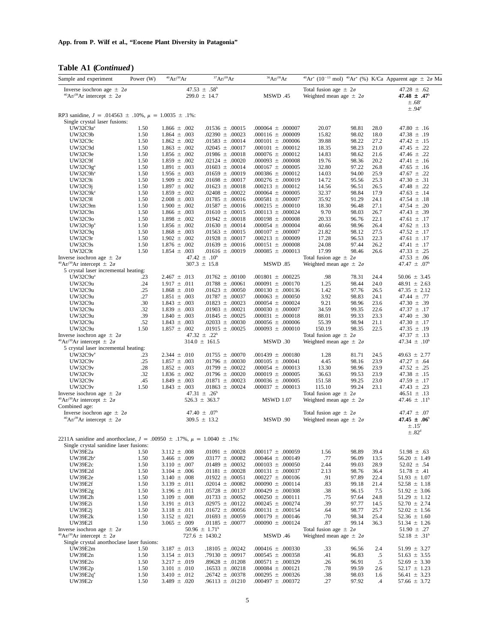**App. from P. Wilf et al., "Eocene Plant Diversity in Patagonia"**

|  | Table A1 ( <i>Continued</i> ) |
|--|-------------------------------|

| $\frac{1}{2}$                                                                                    |             |                                       |                                                  |                                                |                                                                   |              |                                                                                           |
|--------------------------------------------------------------------------------------------------|-------------|---------------------------------------|--------------------------------------------------|------------------------------------------------|-------------------------------------------------------------------|--------------|-------------------------------------------------------------------------------------------|
| Sample and experiment                                                                            | Power $(W)$ | ${}^{40}\text{Ar} / {}^{39}\text{Ar}$ | 37Ar/39Ar                                        | 36Ar/39Ar                                      |                                                                   |              | $^{40}Ar^*$ (10 <sup>-13</sup> mol) $^{40}Ar^*$ (%) K/Ca Apparent age $\pm$ 2 $\sigma$ Ma |
| Inverse isochron age $\pm 2\sigma$<br><sup>40</sup> Ar/ <sup>39</sup> Ar intercept $\pm 2\sigma$ |             |                                       | 47.53 $\pm$ .58 <sup>b</sup><br>$299.0 \pm 14.7$ | <b>MSWD .45</b>                                | Total fusion age $\pm 2\sigma$<br>Weighted mean age $\pm 2\sigma$ |              | 47.28 $\pm$ .62<br>47.48 $\pm$ .47 <sup>b</sup><br>$\pm .68^{\circ}$                      |
| RP3 sanidine, $J = .014563 \pm .10\%$ , $\mu = 1.0035 \pm .1\%$ :                                |             |                                       |                                                  |                                                |                                                                   |              | $\pm .94$ <sup>d</sup>                                                                    |
| Single crystal laser fusions:                                                                    |             |                                       |                                                  |                                                |                                                                   |              |                                                                                           |
| UW32C9aª                                                                                         | 1.50        | $1.866 \pm .002$                      | $.01536 \pm .00015$                              | $.000064 \pm .000007$                          | 20.07<br>98.81                                                    | 28.0         | 47.80 $\pm$ .16                                                                           |
| UW32C9b                                                                                          | 1.50        | $1.864 \pm .003$                      | $.02390 \pm .00023$                              | $.000116 \pm .00009$                           | 15.82<br>98.02                                                    | 18.0         | $47.38 \pm .19$                                                                           |
| UW32C9c                                                                                          | 1.50        | $1.862 \pm .002$                      | $.01583 \pm .00014$                              | $.000101 \pm .000006$                          | 98.22<br>39.88                                                    | 27.2         | $47.42 \pm .15$                                                                           |
| UW32C9d                                                                                          | 1.50        | $1.863 \pm .002$                      | $.02045 \pm .00017$                              | $.000101 \pm .000012$                          | 98.23<br>18.35                                                    | 21.0         | 47.45 $\pm$ .22                                                                           |
| UW32C9e                                                                                          | 1.50        | $1.856 \pm .002$                      | $.01986 \pm .00018$                              | $.000076 \pm .000012$                          | 14.83<br>98.62                                                    | 21.6         | 47.46 $\pm$ .22                                                                           |
| UW32C9f                                                                                          | 1.50        | $1.859 \pm .002$                      | .02124 $\pm$ .00020                              | $.000093 \pm .000008$                          | 19.76<br>98.36                                                    | 20.2         | $47.41 \pm .16$                                                                           |
| UW32C9g <sup>a</sup>                                                                             | 1.50        | $1.891 \pm .003$                      | $.01603 \pm .00014$                              | $.000167 \pm .000005$                          | 32.80<br>97.22                                                    | 26.8         | $47.65 \pm .16$                                                                           |
| UW32C9hª                                                                                         | 1.50        | $1.956 \pm .003$                      | $.01659 \pm .00019$                              | $.000386 \pm .000012$                          | 14.03<br>94.00                                                    | 25.9         | 47.67 $\pm$ .22                                                                           |
| UW32C9i                                                                                          | 1.50        | $1.909 \pm .002$                      | $.01698 \pm .00017$                              | $.000276 \pm .000019$                          | 14.72<br>95.56                                                    | 25.3         | 47.30 $\pm$ .31                                                                           |
| UW32C9j                                                                                          | 1.50        | $1.897 \pm .002$                      | $.01623 \pm .00018$                              | $.000213 \pm .000012$                          | 14.56<br>96.51                                                    | 26.5         | 47.48 $\pm$ .22                                                                           |
| UW32C9kª                                                                                         | 1.50        | $1.859 \pm .002$                      | $.02408 \pm .00022$                              | $.000064 \pm .000005$                          | 32.37<br>98.84                                                    | 17.9         | 47.63 $\pm$ .14                                                                           |
| UW32C91                                                                                          | 1.50        | $2.008 \pm .003$                      | $.01785 \pm .00016$                              | $.000581 \pm .000007$                          | 91.29<br>35.92                                                    | 24.1         | 47.54 $\pm$ .18                                                                           |
| UW32C9m                                                                                          | 1.50        | $1.900 \pm .002$                      | $.01587 \pm .00016$                              | $.000215 \pm .000010$                          | 18.30<br>96.48                                                    | 27.1         | 47.54 $\pm$ .20                                                                           |
| UW32C9n                                                                                          | 1.50        | $1.866 \pm .003$                      | $.01610 \pm .00015$                              | $.000113 \pm .000024$                          | 9.70<br>98.03                                                     | 26.7         | 47.43 $\pm$ .39                                                                           |
| UW32C90                                                                                          | 1.50        | $1.898 \pm .002$                      | $.01942 \pm .00018$                              | $.000198 \pm .000008$                          | 20.33<br>96.76                                                    | 22.1         | 47.61 $\pm$ .17                                                                           |
| $UW32C9p^a$                                                                                      | 1.50        | $1.856 \pm .002$                      | $.01630 \pm .00014$                              | $.000054 \pm .000004$                          | 40.66<br>98.96                                                    | 26.4         | 47.62 $\pm$ .13                                                                           |
| <b>UW32C9q</b>                                                                                   | 1.50        | $1.868 \pm .003$                      | $.01563 \pm .00015$                              | $.000107 \pm .000007$                          | 21.82<br>98.12                                                    | 27.5         | 47.52 $\pm$ .17                                                                           |
| UW32C9r                                                                                          | 1.50        | $1.902 \pm .002$                      | .01928 $\pm$ .00017                              | $.000213 \pm .000009$<br>$.000151 \pm .000008$ | 17.28<br>96.53<br>97.44                                           | 22.3<br>26.2 | 47.61 $\pm$ .17                                                                           |
| UW32C9s                                                                                          | 1.50        | $1.876 \pm .002$                      | $.01639 \pm .00016$                              |                                                | 24.08                                                             |              | $47.41 \pm .17$                                                                           |
| UW32C9t                                                                                          | 1.50        | $1.854 \pm .003$                      | $.01616 \pm .00019$                              | $.000085 \pm .000013$                          | 17.99<br>98.46                                                    | 26.6         | $47.33 \pm .25$                                                                           |
| Inverse isochron age $\pm 2\sigma$                                                               |             |                                       | 47.42 $\pm$ .10 <sup>b</sup>                     | <b>MSWD .85</b>                                | Total fusion age $\pm 2\sigma$                                    |              | $47.53 \pm .06$                                                                           |
| <sup>40</sup> Ar/ <sup>39</sup> Ar intercept $\pm 2\sigma$                                       |             |                                       | $307.3 \pm 15.8$                                 |                                                | Weighted mean age $\pm 2\sigma$                                   |              | 47.47 $\pm$ .07 <sup>b</sup>                                                              |
| 5 crystal laser incremental heating:<br>UW32C9uª                                                 |             |                                       | .01762 $\pm$ .00100                              |                                                | .98                                                               | 24.4         |                                                                                           |
| UW32C9u                                                                                          | .23<br>.24  | $2.467 \pm .013$<br>$1.917 \pm .011$  | $.01788 \pm .00061$                              | $.001801 \pm .000225$<br>$.000091 \pm .000170$ | 78.31<br>1.25<br>98.44                                            | 24.0         | $50.06 \pm 3.45$                                                                          |
| UW32C9u                                                                                          | .25         |                                       |                                                  | $.000130 \pm .000136$                          | 1.42<br>97.76                                                     | 26.5         | $48.91 \pm 2.63$<br>$47.35 \pm 2.12$                                                      |
| UW32C9u                                                                                          | .27         | $1.868 \pm .010$<br>$1.851 \pm .003$  | $.01623 \pm .00050$<br>$.01787 \pm .00037$       | $.000063 \pm .000050$                          | 3.92<br>98.83                                                     | 24.1         | 47.44 $\pm$ .77                                                                           |
| UW32C9u                                                                                          | .30         | $1.843 \pm .003$                      | .01823 $\pm$ .00023                              | $.000054 \pm .000024$                          | 9.21<br>98.96                                                     | 23.6         | 47.30 $\pm$ .39                                                                           |
| UW32C9u                                                                                          | .32         | $1.839 \pm .003$                      | $.01903 \pm .00021$                              | $.000030 \pm .000007$                          | 34.59<br>99.35                                                    | 22.6         | $47.37 \pm .17$                                                                           |
| UW32C9u                                                                                          | .39         | $1.840 \pm .003$                      | .01845 $\pm$ .00025                              | $.000031 \pm .000018$                          | 88.01<br>99.33                                                    | 23.3         | 47.40 $\pm$ .30                                                                           |
| UW32C9u                                                                                          | .52         | $1.843 \pm .003$                      | $.02033 \pm .00030$                              | $.000056 \pm .000006$                          | 55.39<br>98.94                                                    | 21.1         | 47.30 $\pm$ .17                                                                           |
| UW32C9u                                                                                          | 1.50        | $1.857 \pm .002$                      | .01915 $\pm$ .00025                              | $.000093 \pm .000010$                          | 150.19<br>98.35                                                   | 22.5         | $47.35 \pm .19$                                                                           |
| Inverse isochron age $\pm 2\sigma$                                                               |             |                                       | 47.32 $\pm$ .22 <sup>b</sup>                     |                                                | Total fusion age $\pm 2\sigma$                                    |              | 47.37 $\pm$ .13                                                                           |
| <sup>40</sup> Ar/ <sup>39</sup> Ar intercept $\pm 2\sigma$                                       |             |                                       | $314.0 \pm 161.5$                                | MSWD .30                                       | Weighted mean age $\pm 2\sigma$                                   |              | 47.34 $\pm$ .10 <sup>b</sup>                                                              |
| 5 crystal laser incremental heating:                                                             |             |                                       |                                                  |                                                |                                                                   |              |                                                                                           |
| UW32C9vª                                                                                         | .23         | $2.344 \pm .010$                      | .01755 $\pm$ .00070                              | $.001439 \pm .000180$                          | 1.28<br>81.71                                                     | 24.5         | $49.63 \pm 2.77$                                                                          |
| UW32C9v                                                                                          | .25         | $1.857 \pm .003$                      | $.01796 \pm .00030$                              | $.000105 \pm .000041$                          | 4.45<br>98.16                                                     | 23.9         | 47.27 $\pm$ .64                                                                           |
| UW32C9v                                                                                          | .28         | $1.852 \pm .003$                      | $.01799 \pm .00022$                              | $.000054 \pm .000013$                          | 13.30<br>98.96                                                    | 23.9         | $47.52 \pm .25$                                                                           |
| UW32C9v                                                                                          | .32         | $1.836 \pm .002$                      | $.01796 \pm .00020$                              | $.000019 \pm .000005$                          | 36.63<br>99.53                                                    | 23.9         | 47.38 $\pm$ .15                                                                           |
| <b>UW32C9v</b>                                                                                   | .45         | $1.849 \pm .003$                      | $.01871 \pm .00023$                              | $.000036 \pm .000005$                          | 151.58<br>99.25                                                   | 23.0         | 47.59 $\pm$ .17                                                                           |
| <b>UW32C9v</b>                                                                                   | 1.50        | $1.843 \pm .003$                      | .01863 $\pm$ .00024                              | $.000037 \pm .000013$                          | 99.24<br>115.10                                                   | 23.1         | 47.43 $\pm$ .23                                                                           |
| Inverse isochron age $\pm 2\sigma$                                                               |             |                                       | 47.31 $\pm$ .26 <sup>b</sup>                     |                                                | Total fusion age $\pm 2\sigma$                                    |              | $46.51 \pm .13$                                                                           |
| <sup>40</sup> Ar/ <sup>39</sup> Ar intercept $\pm 2\sigma$                                       |             |                                       | 526.3 $\pm$ 363.7                                | <b>MSWD 1.07</b>                               | Weighted mean age $\pm 2\sigma$                                   |              | 47.46 $\pm$ .11 <sup>b</sup>                                                              |
| Combined age:                                                                                    |             |                                       |                                                  |                                                |                                                                   |              |                                                                                           |
| Inverse isochron age $\pm 2\sigma$                                                               |             |                                       | 47.40 $\pm$ .07 <sup>b</sup>                     |                                                | Total fusion age $\pm 2\sigma$                                    |              | 47.47 $\pm$ .07                                                                           |
| <sup>40</sup> Ar/ <sup>39</sup> Ar intercept $\pm 2\sigma$                                       |             |                                       | $309.5 \pm 13.2$                                 | <b>MSWD .90</b>                                | Weighted mean age $\pm 2\sigma$                                   |              | 47.45 $\pm .06^{\circ}$                                                                   |
|                                                                                                  |             |                                       |                                                  |                                                |                                                                   |              | $\pm .15^{\circ}$                                                                         |
|                                                                                                  |             |                                       |                                                  |                                                |                                                                   |              | $\pm .82^{\rm d}$                                                                         |
| 2211A sanidine and anorthoclase, $J = .00950 \pm .17$ %, $\mu = 1.0040 \pm .1$ %:                |             |                                       |                                                  |                                                |                                                                   |              |                                                                                           |
| Single crystal sanidine laser fusions:                                                           |             |                                       |                                                  |                                                |                                                                   |              |                                                                                           |
| UW39E2a                                                                                          | 1.50        | $3.112 \pm .008$                      | $.01091 \pm .00028$                              | $.000117 \pm .000059$                          | 1.56<br>98.89                                                     | 39.4         | $51.98 \pm .63$                                                                           |
| UW39E2bª                                                                                         | 1.50        | $3.466 \pm .009$                      | $.03177 \pm .00082$                              | $.000464 \pm .000149$                          | 96.09<br>.77                                                      | 13.5         | $56.20 \pm 1.49$                                                                          |
| UW39E2c                                                                                          | 1.50        | $3.110 \pm .007$                      | $.01489 \pm .00032$                              | $.000103 \pm .000050$                          | 2.44<br>99.03                                                     | 28.9         | $52.02 \pm .54$                                                                           |
| UW39E2d                                                                                          | 1.50        | $3.104 \pm .006$                      | $.01181 \pm .00028$                              | $.000131 \pm .000037$                          | 2.13<br>98.76                                                     | 36.4         | $51.78 \pm .41$                                                                           |
| UW39E2e                                                                                          | 1.50        | $3.140 \pm .008$                      | $.01922 \pm .00051$                              | $.000227 \pm .000106$                          | .91<br>97.89                                                      | 22.4         | $51.93 \pm 1.07$                                                                          |
| UW39E2f                                                                                          | 1.50        | $3.139 \pm .011$                      | $.02014 \pm .00082$                              | $.000090 \pm .000114$                          | .83<br>99.18                                                      | 21.4         | $52.58 \pm 1.18$                                                                          |
| UW39E2g                                                                                          | 1.50        | $3.196 \pm .011$                      | $.05728 \pm .00137$                              | $.000429 \pm .000308$                          | .38<br>96.15                                                      | 7.5          | $51.92 \pm 3.06$                                                                          |
| UW39E2h                                                                                          | 1.50        | $3.109 \pm .008$                      | $.01733 \pm .00052$                              | $.000250 \pm .000111$                          | .75<br>97.64                                                      | 24.8         | $51.29 \pm 1.12$                                                                          |
| UW39E2i                                                                                          | 1.50        | $3.191 \pm .013$                      | $.02975 \pm .00122$                              | $.000245 \pm .000274$                          | .39<br>97.77                                                      | 14.5         | $52.70 \pm 2.74$                                                                          |
| UW39E2j                                                                                          | 1.50        | $3.118 \pm .011$                      | $.01672 \pm .00056$                              | $.000131 \pm .000154$                          | .64<br>98.77                                                      | 25.7         | $52.02 \pm 1.56$                                                                          |
| UW39E2k                                                                                          | 1.50        | $3.152 \pm .021$                      | $.01693 \pm .00059$                              | $.000179 \pm .000146$                          | .70<br>98.34                                                      | 25.4         | $52.36 \pm 1.60$                                                                          |
| <b>UW39E21</b>                                                                                   | 1.50        | $3.065 \pm .009$                      | $.01185 \pm .00077$                              | $.000090 \pm .000124$                          | 99.14<br>.87                                                      | 36.3         | $51.34 \pm 1.26$                                                                          |
| Inverse isochron age $\pm 2\sigma$                                                               |             |                                       | $50.96 \pm 1.71^b$                               |                                                | Total fusion age $\pm 2\sigma$                                    |              | $51.90 \pm .27$                                                                           |
| <sup>40</sup> Ar/ <sup>39</sup> Ar intercept $\pm 2\sigma$                                       |             |                                       | $727.6 \pm 1430.2$                               | MSWD .46                                       | Weighted mean age $\pm 2\sigma$                                   |              | 52.18 $\pm$ .31 <sup>b</sup>                                                              |
| Single crystal anorthoclase laser fusions:                                                       |             |                                       |                                                  |                                                |                                                                   |              |                                                                                           |
| UW39E2m                                                                                          | 1.50        | $3.187 \pm .013$                      | $.18105 \pm .00242$                              | $.000416 \pm .000330$                          | .33<br>96.56                                                      | 2.4          | $51.99 \pm 3.27$                                                                          |
| UW39E2n                                                                                          | 1.50        | $3.154 \pm .013$                      | $.79130 \pm .00917$                              | $.000545 \pm .000358$                          | 96.83<br>.41                                                      | $.5\,$       | $51.63 \pm 3.55$                                                                          |
| <b>UW39E2o</b>                                                                                   | 1.50        | $3.217 \pm .019$                      | $.89628 \pm .01208$                              | $.000571 \pm .000329$                          | .26<br>96.91                                                      | .5           | $52.69 \pm 3.30$                                                                          |
| UW39E2p                                                                                          | 1.50        | $3.101 \pm .010$                      | $.16533 \pm .00218$                              | $.000084 \pm .000121$                          | .78<br>99.59                                                      | 2.6          | $52.17 \pm 1.23$                                                                          |
| UW39E2q <sup>a</sup>                                                                             | 1.50        | $3.410 \pm .012$                      | $.26742 \pm .00378$                              | $.000295 \pm .000326$                          | 98.03<br>.38                                                      | 1.6          | $56.41 \pm 3.23$                                                                          |
| UW39E2r                                                                                          | 1.50        | $3.489 \pm .020$                      | $.96113 \pm .01210$                              | $.000497 \pm .000372$                          | .27<br>97.92                                                      | .4           | $57.66 \pm 3.72$                                                                          |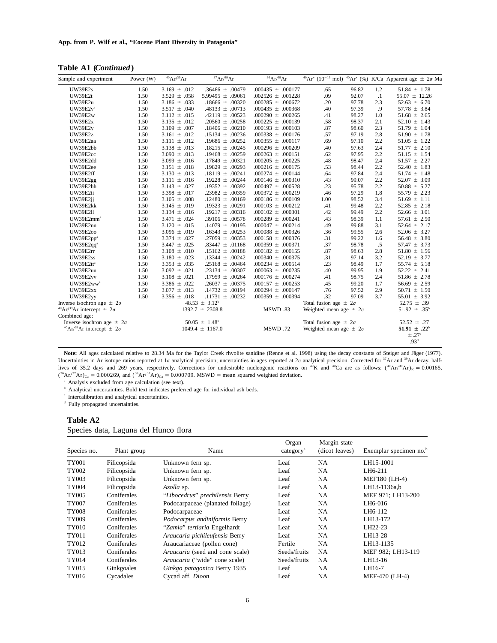**Table A1 (***Continued***)**

| Sample and experiment                                      | Power (W) | $^{40}Ar/^{39}Ar$ | 37Ar/39Ar                     | 36Ar/39Ar             |                                 |       |           | $^{40}Ar^{*}$ (10 <sup>-13</sup> mol) $^{40}Ar^{*}$ (%) K/Ca Apparent age $\pm$ 2 $\sigma$ Ma |
|------------------------------------------------------------|-----------|-------------------|-------------------------------|-----------------------|---------------------------------|-------|-----------|-----------------------------------------------------------------------------------------------|
| <b>UW39E2s</b>                                             | 1.50      | $3.169 \pm .012$  | $.36466 \pm .00479$           | $.000435 \pm .000177$ | .65                             | 96.82 | 1.2       | $51.84 \pm 1.78$                                                                              |
| <b>UW39E2t</b>                                             | 1.50      | $3.529 \pm .058$  | 5.99495 $\pm$ .09061          | $.002526 \pm .001228$ | .09                             | 92.07 | $\cdot$ 1 | $55.07 \pm 12.26$                                                                             |
| UW39E2u                                                    | 1.50      | $3.186 \pm .033$  | $.18666 \pm .00320$           | $.000285 \pm .000672$ | .20                             | 97.78 | 2.3       | $52.63 \pm 6.70$                                                                              |
| $UW39E2v^a$                                                | 1.50      | $3.517 \pm .040$  | $.48133 \pm .00713$           | $.000435 \pm .000368$ | .40                             | 97.39 | .9        | $57.78 \pm 3.84$                                                                              |
| <b>UW39E2w</b>                                             | 1.50      | $3.112 \pm .015$  | $.42119 \pm .00523$           | $.000290 \pm .000265$ | .41                             | 98.27 | 1.0       | $51.68 \pm 2.65$                                                                              |
| <b>UW39E2x</b>                                             | 1.50      | $3.135 \pm .012$  | .20560 $\pm$ .00258           | $.000225 \pm .000139$ | .58                             | 98.37 | 2.1       | $52.10 \pm 1.43$                                                                              |
| <b>UW39E2v</b>                                             | 1.50      | 3.109 $\pm$ .007  | $.18406 \pm .00210$           | $.000193 \pm .000103$ | .87                             | 98.60 | 2.3       | $51.79 \pm 1.04$                                                                              |
| <b>UW39E2z</b>                                             | 1.50      | 3.161 $\pm$ .012  | .15134 $\pm$ .00236           | $.000338 \pm .000176$ | .57                             | 97.19 | 2.8       | $51.90 \pm 1.78$                                                                              |
| UW39E2aa                                                   | 1.50      | $3.111 \pm .012$  | $.19686 \pm .00252$           | $.000355 \pm .000117$ | .69                             | 97.10 | 2.2       | $51.05 \pm 1.22$                                                                              |
| UW39E2bb                                                   | 1.50      | $3.138 \pm .013$  | .18215 $\pm$ .00245           | $.000296 \pm .000209$ | .40                             | 97.63 | 2.4       | $51.77 \pm 2.10$                                                                              |
| UW39E2cc                                                   | 1.50      | $3.090 \pm .013$  | .19468 $\pm$ .00259           | $.000263 \pm .000151$ | .62                             | 97.95 | 2.2       | $51.15 \pm 1.54$                                                                              |
| UW39E2dd                                                   | 1.50      | $3.099 \pm .016$  | $.17849 \pm .00321$           | $.000205 \pm .000225$ | .48                             | 98.47 | 2.4       | $51.57 \pm 2.27$                                                                              |
| UW39E2ee                                                   | 1.50      | $3.151 \pm .018$  | $.19829 \pm .00293$           | $.000216 \pm .000175$ | .53                             | 98.44 | 2.2       | $52.40 \pm 1.83$                                                                              |
| UW39E2ff                                                   | 1.50      | $3.130 \pm .013$  | $.18119 \pm .00241$           | $.000274 \pm .000144$ | .64                             | 97.84 | 2.4       | $51.74 \pm 1.48$                                                                              |
| UW39E2gg                                                   | 1.50      | $3.111 \pm .016$  | .19228 $\pm$ .00244           | $.000146 \pm .000310$ | .43                             | 99.07 | 2.2       | $52.07 \pm 3.09$                                                                              |
| UW39E2hh                                                   | 1.50      | $3.143 \pm .027$  | .19352 $\pm$ .00392           | $.000497 \pm .000528$ | .23                             | 95.78 | 2.2       | $50.88 \pm 5.27$                                                                              |
| UW39E2ii                                                   | 1.50      | 3.398 $\pm$ .017  | .23982 $\pm$ .00359           | $.000372 \pm .000219$ | .46                             | 97.29 | 1.8       | 55.79 $\pm$ 2.23                                                                              |
| UW39E2ii                                                   | 1.50      | $3.105 \pm .008$  | $.12480 \pm .00169$           | $.000186 \pm .000109$ | 1.00                            | 98.52 | 3.4       | $51.69 \pm 1.11$                                                                              |
| UW39E2kk                                                   | 1.50      | $3.145 \pm .019$  | .19323 $\pm$ .00291           | $.000103 \pm .000212$ | .41                             | 99.48 | 2.2       | $52.85 \pm 2.18$                                                                              |
| <b>UW39E211</b>                                            | 1.50      | $3.134 \pm .016$  | .19217 $\pm$ .00316           | $.000102 \pm .000301$ | .42                             | 99.49 | 2.2       | $52.66 \pm 3.01$                                                                              |
| UW39E2mm <sup>a</sup>                                      | 1.50      | $3.471 \pm .024$  | .39106 $\pm$ .00578           | $.000289 \pm .000241$ | .43                             | 98.39 | 1.1       | $57.61 \pm 2.50$                                                                              |
| UW39E2nn                                                   | 1.50      | $3.120 \pm .015$  | $.14079 \pm .00195$           | $.000047 \pm .000214$ | .49                             | 99.88 | 3.1       | $52.64 \pm 2.17$                                                                              |
| <b>UW39E200</b>                                            | 1.50      | $3.096 \pm .019$  | $.16343 \pm .00253$           | $.000088 \pm .000326$ | .36                             | 99.55 | 2.6       | $52.06 \pm 3.27$                                                                              |
| UW39E2pp <sup>a</sup>                                      | 1.50      | $3.374 \pm .027$  | .27059 $\pm$ .00353           | $.000158 \pm .000376$ | .31                             | 99.22 | 1.6       | $56.48 \pm 3.80$                                                                              |
| UW39E2qqª                                                  | 1.50      | $3.447 \pm .025$  | .83447 $\pm$ .01168           | $.000359 \pm .000371$ | .37                             | 98.78 | .5        | $57.47 \pm 3.73$                                                                              |
| UW39E2rr                                                   | 1.50      | 3.108 $\pm$ .010  | $.15162 \pm .00188$           | $.000182 \pm .000155$ | .87                             | 98.63 | 2.8       | $51.80 \pm 1.56$                                                                              |
| <b>UW39E2ss</b>                                            | 1.50      | $3.180 \pm .023$  | .13344 $\pm$ .00242           | $.000340 \pm .000375$ | .31                             | 97.14 | 3.2       | $52.19 \pm 3.77$                                                                              |
| UW39E2ttª                                                  | 1.50      | $3.353 \pm .035$  | .25168 $\pm$ .00464           | $.000234 \pm .000514$ | .23                             | 98.49 | 1.7       | $55.74 \pm 5.18$                                                                              |
| UW39E2uu                                                   | 1.50      | $3.092 \pm .021$  | .23134 $\pm$ .00307           | $.000063 \pm .000235$ | .40                             | 99.95 | 1.9       | $52.22 \pm 2.41$                                                                              |
| UW39E2vv                                                   | 1.50      | $3.108 \pm .021$  | $.17959 \pm .00264$           | $.000176 \pm .000274$ | .41                             | 98.75 | 2.4       | $51.86 \pm 2.78$                                                                              |
| UW39E2ww <sup>a</sup>                                      | 1.50      | $3.386 \pm .022$  | $.26037 \pm .00375$           | $.000157 \pm .000253$ | .45                             | 99.20 | 1.7       | $56.69 \pm 2.59$                                                                              |
| UW39E2xx                                                   | 1.50      | $3.077 \pm .013$  | $.14732 \pm .00194$           | $.000294 \pm .000147$ | .76                             | 97.52 | 2.9       | $50.71 \pm 1.50$                                                                              |
| UW39E2yy                                                   | 1.50      | $3.356 \pm .018$  | $.11731 \pm .00232$           | $.000359 \pm .000394$ | .32                             | 97.09 | 3.7       | $55.01 \pm 3.92$                                                                              |
| Inverse isochron age $\pm 2\sigma$                         |           |                   | $48.53 \pm 3.12^b$            |                       | Total fusion age $\pm 2\sigma$  |       |           | 52.75 $\pm$ .39                                                                               |
| <sup>40</sup> Ar/ <sup>39</sup> Ar intercept $\pm 2\sigma$ |           |                   | $1392.7 \pm 2308.8$           | MSWD .83              | Weighted mean age $\pm 2\sigma$ |       |           | 51.92 $\pm$ .35 <sup>b</sup>                                                                  |
| Combined age:                                              |           |                   |                               |                       |                                 |       |           |                                                                                               |
| Inverse isochron age $\pm 2\sigma$                         |           |                   | $50.05 \pm 1.48$ <sup>b</sup> |                       | Total fusion age $\pm 2\sigma$  |       |           | $52.52 \pm .27$                                                                               |
| <sup>40</sup> Ar/ <sup>39</sup> Ar intercept $\pm 2\sigma$ |           |                   | $1049.4 \pm 1167.0$           | MSWD .72              | Weighted mean age $\pm 2\sigma$ |       |           | $51.91 \pm .22^b$                                                                             |
|                                                            |           |                   |                               |                       |                                 |       |           | $\pm .27^{\circ}$                                                                             |
|                                                            |           |                   |                               |                       |                                 |       |           | .93 <sup>d</sup>                                                                              |

Note: All ages calculated relative to 28.34 Ma for the Taylor Creek rhyolite sanidine (Renne et al. 1998) using the decay constants of Steiger and Jäger (1977). Uncertainties in Ar isotope ratios reported at 1 $\sigma$  analytical precision; uncertainties in ages reported at 2 $\sigma$  analytical precision. Corrected for  $\frac{37}{1}$ Ar and  $\frac{39}{1}$ Ar decay, halflives of 35.2 days and 269 years, respectively. Corrections for undesirable nucleogenic reactions on <sup>40</sup>K and <sup>40</sup>Ca are as follows:  $(^{40}Ar/^{39}Ar)_K = 0.00165$ ,  $({}^{36}Ar/{}^{37}Ar)_{Ca} = 0.000269$ , and  $({}^{39}Ar/{}^{37}Ar)_{Ca} = 0.000709$ . MSWD = mean squared weighted deviation.

<sup>a</sup> Analysis excluded from age calculation (see text).

**b** Analytical uncertainties. Bold text indicates preferred age for individual ash beds.

<sup>c</sup> Intercalibration and analytical uncertainties.

<sup>d</sup> Fully propagated uncertainties.

#### **Table A2**

Species data, Laguna del Hunco flora

| Species no.  | Plant group | Name                             | Organ<br>category <sup>a</sup> | Margin state<br>(dicot leaves) | Exemplar specimen no. <sup>b</sup> |  |  |  |
|--------------|-------------|----------------------------------|--------------------------------|--------------------------------|------------------------------------|--|--|--|
| <b>TY001</b> | Filicopsida | Unknown fern sp.                 | Leaf                           | <b>NA</b>                      | LH15-1001                          |  |  |  |
| TY002        | Filicopsida | Unknown fern sp.                 | Leaf                           | <b>NA</b>                      | LH6-211                            |  |  |  |
| TY003        | Filicopsida | Unknown fern sp.                 | Leaf                           | <b>NA</b>                      | MEF180 (LH-4)                      |  |  |  |
| TY004        | Filicopsida | Azolla sp.                       | Leaf                           | <b>NA</b>                      | LH13-1136a.b                       |  |  |  |
| TY005        | Coniferales | "Libocedrus" prechilensis Berry  | Leaf                           | <b>NA</b>                      | MEF 971; LH13-200                  |  |  |  |
| <b>TY007</b> | Coniferales | Podocarpaceae (planated foliage) | Leaf                           | <b>NA</b>                      | LH6-016                            |  |  |  |
| <b>TY008</b> | Coniferales | Podocarpaceae                    | Leaf                           | <b>NA</b>                      | LH6-112                            |  |  |  |
| TY009        | Coniferales | Podocarpus andiniformis Berry    | Leaf                           | <b>NA</b>                      | LH13-172                           |  |  |  |
| TY010        | Coniferales | "Zamia" tertiaria Engelhardt     | Leaf                           | <b>NA</b>                      | LH22-23                            |  |  |  |
| TY011        | Coniferales | Araucaria pichileufensis Berry   | Leaf                           | <b>NA</b>                      | LH13-28                            |  |  |  |
| TY012        | Coniferales | Araucariaceae (pollen cone)      | Fertile                        | <b>NA</b>                      | LH13-1135                          |  |  |  |
| TY013        | Coniferales | Araucaria (seed and cone scale)  | Seeds/fruits                   | <b>NA</b>                      | MEF 982; LH13-119                  |  |  |  |
| TY014        | Coniferales | Araucaria ("wide" cone scale)    | Seeds/fruits                   | <b>NA</b>                      | LH13-16                            |  |  |  |
| TY015        | Ginkgoales  | Ginkgo patagonica Berry 1935     | Leaf                           | <b>NA</b>                      | LH16-7                             |  |  |  |
| TY016        | Cycadales   | Cycad aff. Dioon                 | Leaf                           | <b>NA</b>                      | MEF-470 (LH-4)                     |  |  |  |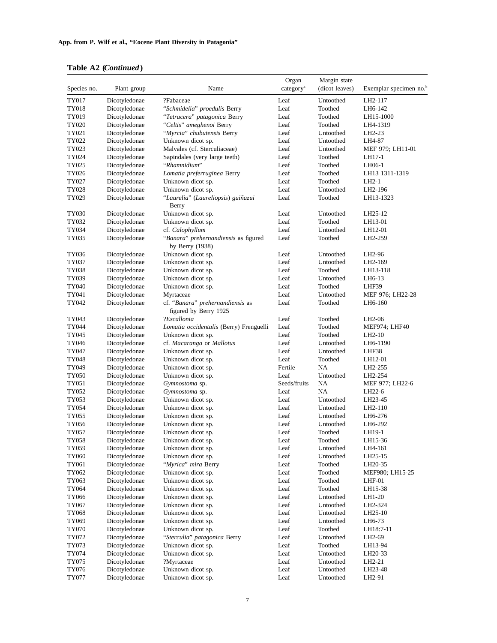## **Table A2 (***Continued***)**

| Species no.    | Plant group                    | Name                                                      | Organ<br>category <sup>a</sup> | Margin state<br>(dicot leaves) | Exemplar specimen no. <sup>b</sup> |
|----------------|--------------------------------|-----------------------------------------------------------|--------------------------------|--------------------------------|------------------------------------|
| TY017          | Dicotyledonae                  | ?Fabaceae                                                 | Leaf                           | Untoothed                      | LH2-117                            |
| TY018          | Dicotyledonae                  | "Schmidelia" proedulis Berry                              | Leaf                           | Toothed                        | LH6-142                            |
| TY019          | Dicotyledonae                  | "Tetracera" patagonica Berry                              | Leaf                           | Toothed                        | LH15-1000                          |
| TY020          | Dicotyledonae                  | "Celtis" ameghenoi Berry                                  | Leaf                           | Toothed                        | LH4-1319                           |
| TY021          | Dicotyledonae                  | "Myrcia" chubutensis Berry                                | Leaf                           | Untoothed                      | LH2-23                             |
| TY022          | Dicotyledonae                  | Unknown dicot sp.                                         | Leaf                           | Untoothed                      | LH4-87                             |
| TY023          | Dicotyledonae                  | Malvales (cf. Sterculiaceae)                              | Leaf                           | Untoothed                      | MEF 979; LH11-01                   |
| TY024          | Dicotyledonae                  | Sapindales (very large teeth)                             | Leaf                           | Toothed                        | LH17-1                             |
| TY025          | Dicotyledonae                  | "Rhamnidium"                                              | Leaf                           | Toothed                        | LH06-1                             |
| TY026          | Dicotyledonae                  | Lomatia preferruginea Berry                               | Leaf                           | Toothed                        | LH13 1311-1319                     |
| TY027          | Dicotyledonae                  | Unknown dicot sp.                                         | Leaf                           | Toothed                        | $LH2-1$                            |
| TY028          | Dicotyledonae                  | Unknown dicot sp.                                         | Leaf                           | Untoothed                      | LH2-196                            |
| TY029          | Dicotyledonae                  | "Laurelia" (Laureliopsis) guiñazui<br>Berry               | Leaf                           | Toothed                        | LH13-1323                          |
| TY030          | Dicotyledonae                  | Unknown dicot sp.                                         | Leaf                           | Untoothed                      | LH25-12                            |
| TY032          | Dicotyledonae                  | Unknown dicot sp.                                         | Leaf                           | Toothed                        | LH13-01                            |
| TY034          | Dicotyledonae                  | cf. Calophyllum                                           | Leaf                           | Untoothed                      | LH12-01                            |
| TY035          | Dicotyledonae                  | "Banara" prehernandiensis as figured<br>by Berry (1938)   | Leaf                           | Toothed                        | LH2-259                            |
| TY036          | Dicotyledonae                  | Unknown dicot sp.                                         | Leaf                           | Untoothed                      | LH2-96                             |
| TY037          | Dicotyledonae                  | Unknown dicot sp.                                         | Leaf                           | Untoothed                      | LH2-169                            |
| TY038          | Dicotyledonae                  | Unknown dicot sp.                                         | Leaf                           | Toothed                        | LH13-118                           |
| TY039          | Dicotyledonae                  | Unknown dicot sp.                                         | Leaf                           | Untoothed                      | LH6-13                             |
| TY040          | Dicotyledonae                  | Unknown dicot sp.                                         | Leaf                           | Toothed                        | LHF39                              |
| TY041          | Dicotyledonae                  | Myrtaceae                                                 | Leaf                           | Untoothed                      | MEF 976; LH22-28                   |
| TY042          | Dicotyledonae                  | cf. "Banara" prehernandiensis as<br>figured by Berry 1925 | Leaf                           | Toothed                        | LH6-160                            |
| TY043          | Dicotyledonae                  | ?Escallonia                                               | Leaf                           | Toothed                        | LH2-06                             |
| TY044          | Dicotyledonae                  | Lomatia occidentalis (Berry) Frenguelli                   | Leaf                           | Toothed                        | MEF974; LHF40                      |
| TY045          | Dicotyledonae                  | Unknown dicot sp.                                         | Leaf                           | Toothed                        | LH2-10                             |
| TY046          | Dicotyledonae                  | cf. Macaranga or Mallotus                                 | Leaf                           | Untoothed                      | LH6-1190                           |
| TY047          | Dicotyledonae                  | Unknown dicot sp.                                         | Leaf                           | Untoothed                      | LHF38                              |
| TY048          | Dicotyledonae                  | Unknown dicot sp.                                         | Leaf                           | Toothed                        | LH12-01                            |
| TY049          | Dicotyledonae                  | Unknown dicot sp.                                         | Fertile                        | NA                             | LH2-255                            |
| <b>TY050</b>   | Dicotyledonae                  | Unknown dicot sp.                                         | Leaf                           | Untoothed                      | LH2-254                            |
| TY051          | Dicotyledonae                  | Gymnostoma sp.                                            | Seeds/fruits                   | NA                             | MEF 977; LH22-6                    |
| TY052          | Dicotyledonae                  | Gymnostoma sp.                                            | Leaf                           | NA                             | LH22-6                             |
| TY053          | Dicotyledonae                  | Unknown dicot sp.                                         | Leaf                           | Untoothed                      | LH23-45                            |
| TY054          | Dicotyledonae                  | Unknown dicot sp.                                         | Leaf                           | Untoothed                      | LH2-110                            |
| TY055<br>TY056 | Dicotyledonae<br>Dicotyledonae | Unknown dicot sp.<br>Unknown dicot sp.                    | Leaf<br>Leaf                   | Untoothed<br>Untoothed         | LH6-276<br>LH6-292                 |
| TY057          | Dicotyledonae                  | Unknown dicot sp.                                         | Leaf                           | Toothed                        | LH19-1                             |
| <b>TY058</b>   | Dicotyledonae                  | Unknown dicot sp.                                         | Leaf                           | Toothed                        | LH15-36                            |
| TY059          | Dicotyledonae                  | Unknown dicot sp.                                         | Leaf                           | Untoothed                      | LH4-161                            |
| <b>TY060</b>   | Dicotyledonae                  | Unknown dicot sp.                                         | Leaf                           | Untoothed                      | LH25-15                            |
| TY061          | Dicotyledonae                  | "Myrica" mira Berry                                       | Leaf                           | Toothed                        | LH20-35                            |
| TY062          | Dicotyledonae                  | Unknown dicot sp.                                         | Leaf                           | Toothed                        | MEF980; LH15-25                    |
| TY063          | Dicotyledonae                  | Unknown dicot sp.                                         | Leaf                           | Toothed                        | $LHF-01$                           |
| TY064          | Dicotyledonae                  | Unknown dicot sp.                                         | Leaf                           | Toothed                        | LH15-38                            |
| TY066          | Dicotyledonae                  | Unknown dicot sp.                                         | Leaf                           | Untoothed                      | LH1-20                             |
| TY067          | Dicotyledonae                  | Unknown dicot sp.                                         | Leaf                           | Untoothed                      | LH2-324                            |
| TY068          | Dicotyledonae                  | Unknown dicot sp.                                         | Leaf                           | Untoothed                      | LH25-10                            |
| TY069          | Dicotyledonae                  | Unknown dicot sp.                                         | Leaf                           | Untoothed                      | LH6-73                             |
| TY070          | Dicotyledonae                  | Unknown dicot sp.                                         | Leaf                           | Toothed                        | LH18:7-11                          |
| TY072          | Dicotyledonae                  | "Sterculia" patagonica Berry                              | Leaf                           | Untoothed                      | LH2-69                             |
| TY073          | Dicotyledonae                  | Unknown dicot sp.                                         | Leaf                           | Toothed                        | LH13-94                            |
| TY074          | Dicotyledonae                  | Unknown dicot sp.                                         | Leaf                           | Untoothed                      | LH20-33                            |
| TY075          | Dicotyledonae                  | ?Myrtaceae                                                | Leaf                           | Untoothed                      | LH2-21                             |
| TY076          | Dicotyledonae                  | Unknown dicot sp.                                         | Leaf                           | Untoothed                      | LH23-48                            |
| TY077          | Dicotyledonae                  | Unknown dicot sp.                                         | Leaf                           | Untoothed                      | LH2-91                             |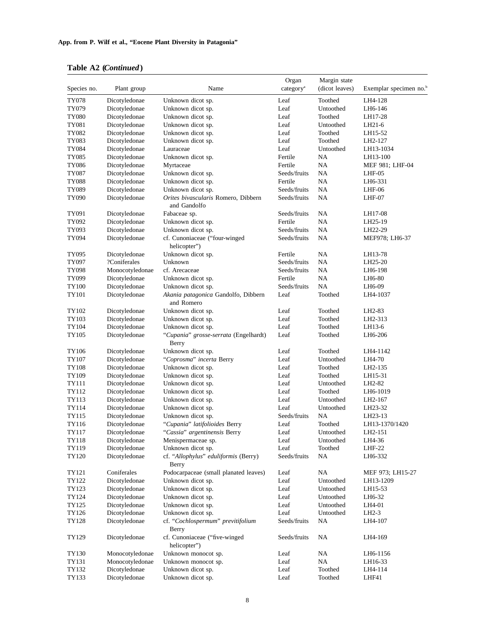## **Table A2 (***Continued***)**

| Species no.    | Plant group                    | Name                                                | Organ<br>category <sup>a</sup> | Margin state<br>(dicot leaves) | Exemplar specimen no. <sup>b</sup> |
|----------------|--------------------------------|-----------------------------------------------------|--------------------------------|--------------------------------|------------------------------------|
| TY078          | Dicotyledonae                  | Unknown dicot sp.                                   | Leaf                           | Toothed                        | LH4-128                            |
| TY079          | Dicotyledonae                  | Unknown dicot sp.                                   | Leaf                           | Untoothed                      | LH6-146                            |
| <b>TY080</b>   | Dicotyledonae                  | Unknown dicot sp.                                   | Leaf                           | Toothed                        | LH17-28                            |
| TY081          | Dicotyledonae                  | Unknown dicot sp.                                   | Leaf                           | Untoothed                      | LH21-6                             |
| TY082          | Dicotyledonae                  | Unknown dicot sp.                                   | Leaf                           | Toothed                        | LH15-52                            |
| TY083          | Dicotyledonae                  | Unknown dicot sp.                                   | Leaf                           | Toothed                        | LH2-127                            |
| TY084          | Dicotyledonae                  | Lauraceae                                           | Leaf                           | Untoothed                      | LH13-1034                          |
| TY085          | Dicotyledonae                  | Unknown dicot sp.                                   | Fertile                        | NA                             | LH13-100                           |
| <b>TY086</b>   | Dicotyledonae                  | Myrtaceae                                           | Fertile                        | NA                             | MEF 981; LHF-04                    |
| TY087          | Dicotyledonae                  | Unknown dicot sp.                                   | Seeds/fruits                   | NA                             | LHF-05                             |
| TY088          | Dicotyledonae                  | Unknown dicot sp.                                   | Fertile                        | NA                             | LH6-331                            |
| TY089          | Dicotyledonae                  | Unknown dicot sp.                                   | Seeds/fruits                   | NA                             | $LHF-06$                           |
| TY090          | Dicotyledonae                  | Orites bivascularis Romero, Dibbern<br>and Gandolfo | Seeds/fruits                   | NA                             | LHF-07                             |
| TY091          | Dicotyledonae                  | Fabaceae sp.                                        | Seeds/fruits                   | NA                             | LH17-08                            |
| TY092          | Dicotyledonae                  | Unknown dicot sp.                                   | Fertile                        | NA                             | LH25-19                            |
| TY093          | Dicotyledonae                  | Unknown dicot sp.                                   | Seeds/fruits                   | NA                             | LH22-29                            |
| TY094          | Dicotyledonae                  | cf. Cunoniaceae ("four-winged<br>helicopter")       | Seeds/fruits                   | NA                             | MEF978; LH6-37                     |
| TY095          | Dicotyledonae                  | Unknown dicot sp.                                   | Fertile                        | NA                             | LH13-78                            |
| TY097          | ?Coniferales                   | Unknown                                             | Seeds/fruits                   | NA                             | LH25-20                            |
| TY098          | Monocotyledonae                | cf. Arecaceae                                       | Seeds/fruits                   | NA                             | LH6-198                            |
| TY099          | Dicotyledonae                  | Unknown dicot sp.                                   | Fertile                        | NA                             | LH6-80                             |
| TY100          | Dicotyledonae                  | Unknown dicot sp.                                   | Seeds/fruits                   | NA                             | LH6-09                             |
| TY101          | Dicotyledonae                  | Akania patagonica Gandolfo, Dibbern<br>and Romero   | Leaf                           | Toothed                        | LH4-1037                           |
| TY102          | Dicotyledonae                  | Unknown dicot sp.                                   | Leaf                           | Toothed                        | LH2-83                             |
| TY103          | Dicotyledonae                  | Unknown dicot sp.                                   | Leaf                           | Toothed                        | LH2-313                            |
| TY104          | Dicotyledonae                  | Unknown dicot sp.                                   | Leaf                           | Toothed                        | LH13-6                             |
| TY105          | Dicotyledonae                  | "Cupania" grosse-serrata (Engelhardt)<br>Berry      | Leaf                           | Toothed                        | LH6-206                            |
| TY106          | Dicotyledonae                  | Unknown dicot sp.                                   | Leaf                           | Toothed                        | LH4-1142                           |
| TY107          | Dicotyledonae                  | "Coprosma" incerta Berry                            | Leaf                           | Untoothed                      | LH4-70                             |
| TY108          | Dicotyledonae                  | Unknown dicot sp.                                   | Leaf                           | Toothed                        | LH2-135                            |
| TY109          | Dicotyledonae                  | Unknown dicot sp.                                   | Leaf                           | Toothed                        | LH15-31                            |
| TY111          | Dicotyledonae                  | Unknown dicot sp.                                   | Leaf                           | Untoothed                      | LH2-82                             |
| TY112          | Dicotyledonae                  | Unknown dicot sp.                                   | Leaf<br>Leaf                   | Toothed<br>Untoothed           | LH6-1019                           |
| TY113          | Dicotyledonae<br>Dicotyledonae | Unknown dicot sp.<br>Unknown dicot sp.              | Leaf                           | Untoothed                      | LH2-167                            |
| TY114<br>TY115 | Dicotyledonae                  | Unknown dicot sp.                                   | Seeds/fruits                   | NA                             | LH23-32<br>LH23-13                 |
| TY116          | Dicotyledonae                  | "Cupania" latifolioides Berry                       | Leaf                           | Toothed                        | LH13-1370/1420                     |
| TY117          | Dicotyledonae                  | "Cassia" argentinensis Berry                        | Leaf                           | Untoothed                      | LH2-151                            |
| TY118          | Dicotyledonae                  | Menispermaceae sp.                                  | Leaf                           | Untoothed                      | LH4-36                             |
| TY119          | Dicotyledonae                  | Unknown dicot sp.                                   | Leaf                           | Toothed                        | $LHF-22$                           |
| TY120          | Dicotyledonae                  | cf. "Allophylus" eduliformis (Berry)<br>Berry       | Seeds/fruits                   | NA                             | LH6-332                            |
| TY121          | Coniferales                    | Podocarpaceae (small planated leaves)               | Leaf                           | NA                             | MEF 973; LH15-27                   |
| TY122          | Dicotyledonae                  | Unknown dicot sp.                                   | Leaf                           | Untoothed                      | LH13-1209                          |
| TY123          | Dicotyledonae                  | Unknown dicot sp.                                   | Leaf                           | Untoothed                      | LH15-53                            |
| TY124          | Dicotyledonae                  | Unknown dicot sp.                                   | Leaf                           | Untoothed                      | LH6-32                             |
| TY125          | Dicotyledonae                  | Unknown dicot sp.                                   | Leaf                           | Untoothed                      | LH4-01                             |
| TY126          | Dicotyledonae                  | Unknown dicot sp.                                   | Leaf                           | Untoothed                      | LH2-3                              |
| TY128          | Dicotyledonae                  | cf. "Cochlospermum" previtifolium<br>Berry          | Seeds/fruits                   | NA                             | LH4-107                            |
| TY129          | Dicotyledonae                  | cf. Cunoniaceae ("five-winged<br>helicopter")       | Seeds/fruits                   | NA                             | LH4-169                            |
| TY130          | Monocotyledonae                | Unknown monocot sp.                                 | Leaf                           | NA                             | LH6-1156                           |
| TY131          | Monocotyledonae                | Unknown monocot sp.                                 | Leaf                           | NA                             | LH16-33                            |
| TY132          | Dicotyledonae                  | Unknown dicot sp.                                   | Leaf                           | Toothed                        | LH4-114                            |
| TY133          | Dicotyledonae                  | Unknown dicot sp.                                   | Leaf                           | Toothed                        | LHF41                              |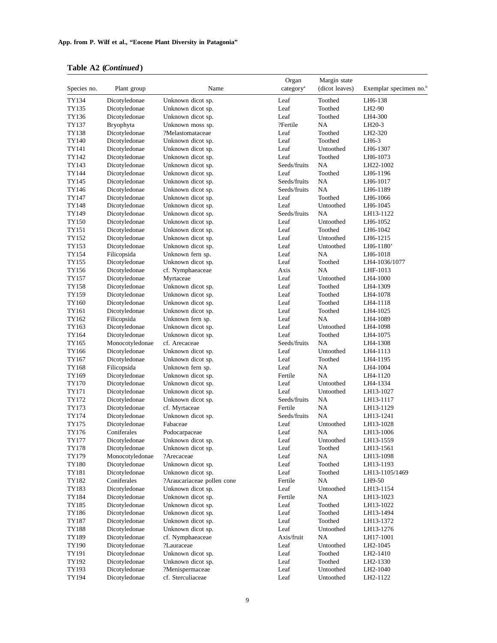|  | Table A2 (Continued) |  |
|--|----------------------|--|
|--|----------------------|--|

|                |                                |                                       | Organ                 | Margin state   |                                    |
|----------------|--------------------------------|---------------------------------------|-----------------------|----------------|------------------------------------|
| Species no.    | Plant group                    | Name                                  | category <sup>a</sup> | (dicot leaves) | Exemplar specimen no. <sup>b</sup> |
| TY134          | Dicotyledonae                  | Unknown dicot sp.                     | Leaf                  | Toothed        | LH6-138                            |
| TY135          | Dicotyledonae                  | Unknown dicot sp.                     | Leaf                  | Toothed        | LH2-90                             |
| TY136          | Dicotyledonae                  | Unknown dicot sp.                     | Leaf                  | Toothed        | LH4-300                            |
| TY137          | Bryophyta                      | Unknown moss sp.                      | ?Fertile              | NA             | LH20-3                             |
| TY138          | Dicotyledonae                  | ?Melastomataceae                      | Leaf                  | Toothed        | LH2-320                            |
| TY140          | Dicotyledonae                  | Unknown dicot sp.                     | Leaf                  | Toothed        | LH6-3                              |
| TY141          | Dicotyledonae                  | Unknown dicot sp.                     | Leaf                  | Untoothed      | LH6-1307                           |
| TY142          | Dicotyledonae                  | Unknown dicot sp.                     | Leaf                  | Toothed        | LH6-1073                           |
| TY143          | Dicotyledonae                  | Unknown dicot sp.                     | Seeds/fruits          | NA             | LH22-1002                          |
| TY144          | Dicotyledonae                  | Unknown dicot sp.                     | Leaf                  | Toothed        | LH6-1196                           |
| TY145          | Dicotyledonae                  | Unknown dicot sp.                     | Seeds/fruits          | NA             | LH6-1017                           |
| TY146          | Dicotyledonae                  | Unknown dicot sp.                     | Seeds/fruits          | NA             | LH6-1189                           |
| TY147          | Dicotyledonae                  | Unknown dicot sp.                     | Leaf                  | Toothed        | LH6-1066                           |
| TY148          | Dicotyledonae                  | Unknown dicot sp.                     | Leaf                  | Untoothed      | LH6-1045                           |
| TY149          | Dicotyledonae                  | Unknown dicot sp.                     | Seeds/fruits          | NA             | LH13-1122                          |
| TY150          | Dicotyledonae                  | Unknown dicot sp.                     | Leaf                  | Untoothed      | LH6-1052                           |
| TY151          | Dicotyledonae                  | Unknown dicot sp.                     | Leaf                  | Toothed        | LH6-1042                           |
| TY152          | Dicotyledonae                  | Unknown dicot sp.                     | Leaf                  | Untoothed      | LH6-1215                           |
| TY153          | Dicotyledonae                  | Unknown dicot sp.                     | Leaf                  | Untoothed      | LH6-1180'                          |
| TY154          | Filicopsida                    | Unknown fern sp.                      | Leaf                  | NA             | LH6-1018                           |
| TY155          | Dicotyledonae                  | Unknown dicot sp.                     | Leaf                  | Toothed        | LH4-1036/1077                      |
| TY156          | Dicotyledonae                  | cf. Nymphaeaceae                      | Axis                  | NA             | LHF-1013                           |
| TY157          | Dicotyledonae                  | Myrtaceae                             | Leaf                  | Untoothed      | LH4-1000                           |
| TY158          | Dicotyledonae                  | Unknown dicot sp.                     | Leaf                  | Toothed        | LH4-1309                           |
| TY159          | Dicotyledonae                  | Unknown dicot sp.                     | Leaf                  | Toothed        | LH4-1078                           |
| TY160          | Dicotyledonae                  | Unknown dicot sp.                     | Leaf                  | Toothed        | LH4-1118                           |
| TY161          | Dicotyledonae                  | Unknown dicot sp.                     | Leaf                  | Toothed        | LH4-1025                           |
| TY162          | Filicopsida                    | Unknown fern sp.                      | Leaf                  | NA             | LH4-1089                           |
| TY163          | Dicotyledonae                  | Unknown dicot sp.                     | Leaf                  | Untoothed      | LH4-1098                           |
| TY164          | Dicotyledonae                  | Unknown dicot sp.                     | Leaf<br>Seeds/fruits  | Toothed<br>NA  | LH4-1075                           |
| TY165          | Monocotyledonae                | cf. Arecaceae                         | Leaf                  | Untoothed      | LH4-1308                           |
| TY166<br>TY167 | Dicotyledonae<br>Dicotyledonae | Unknown dicot sp.                     | Leaf                  | Toothed        | LH4-1113<br>LH4-1195               |
| TY168          | Filicopsida                    | Unknown dicot sp.<br>Unknown fern sp. | Leaf                  | NA             | LH4-1004                           |
| TY169          | Dicotyledonae                  | Unknown dicot sp.                     | Fertile               | NA             | LH4-1120                           |
| TY170          | Dicotyledonae                  | Unknown dicot sp.                     | Leaf                  | Untoothed      | LH4-1334                           |
| TY171          | Dicotyledonae                  | Unknown dicot sp.                     | Leaf                  | Untoothed      | LH13-1027                          |
| TY172          | Dicotyledonae                  | Unknown dicot sp.                     | Seeds/fruits          | NA             | LH13-1117                          |
| TY173          | Dicotyledonae                  | cf. Myrtaceae                         | Fertile               | NA             | LH13-1129                          |
| TY174          | Dicotyledonae                  | Unknown dicot sp.                     | Seeds/fruits          | NA             | LH13-1241                          |
| TY175          | Dicotyledonae                  | Fabaceae                              | Leaf                  | Untoothed      | LH13-1028                          |
| TY176          | Coniferales                    | Podocarpaceae                         | Leaf                  | NA             | LH13-1006                          |
| <b>TY177</b>   | Dicotyledonae                  | Unknown dicot sp.                     | Leaf                  | Untoothed      | LH13-1559                          |
| TY178          | Dicotyledonae                  | Unknown dicot sp.                     | Leaf                  | Toothed        | LH13-1561                          |
| TY179          | Monocotyledonae                | ?Arecaceae                            | Leaf                  | NA             | LH13-1098                          |
| TY180          | Dicotyledonae                  | Unknown dicot sp.                     | Leaf                  | Toothed        | LH13-1193                          |
| TY181          | Dicotyledonae                  | Unknown dicot sp.                     | Leaf                  | Toothed        | LH13-1105/1469                     |
| TY182          | Coniferales                    | ?Araucariaceae pollen cone            | Fertile               | NA             | LH9-50                             |
| TY183          | Dicotyledonae                  | Unknown dicot sp.                     | Leaf                  | Untoothed      | LH13-1154                          |
| TY184          | Dicotyledonae                  | Unknown dicot sp.                     | Fertile               | NA             | LH13-1023                          |
| TY185          | Dicotyledonae                  | Unknown dicot sp.                     | Leaf                  | Toothed        | LH13-1022                          |
| TY186          | Dicotyledonae                  | Unknown dicot sp.                     | Leaf                  | Toothed        | LH13-1494                          |
| TY187          | Dicotyledonae                  | Unknown dicot sp.                     | Leaf                  | Toothed        | LH13-1372                          |
| TY188          | Dicotyledonae                  | Unknown dicot sp.                     | Leaf                  | Untoothed      | LH13-1276                          |
| TY189          | Dicotyledonae                  | cf. Nymphaeaceae                      | Axis/fruit            | NA             | LH17-1001                          |
| TY190          | Dicotyledonae                  | ?Lauraceae                            | Leaf                  | Untoothed      | LH2-1045                           |
| TY191          | Dicotyledonae                  | Unknown dicot sp.                     | Leaf                  | Toothed        | LH2-1410                           |
| TY192          | Dicotyledonae                  | Unknown dicot sp.                     | Leaf                  | Toothed        | LH2-1330                           |
| TY193          | Dicotyledonae                  | ?Menispermaceae                       | Leaf                  | Untoothed      | LH2-1040                           |
| TY194          | Dicotyledonae                  | cf. Sterculiaceae                     | Leaf                  | Untoothed      | LH2-1122                           |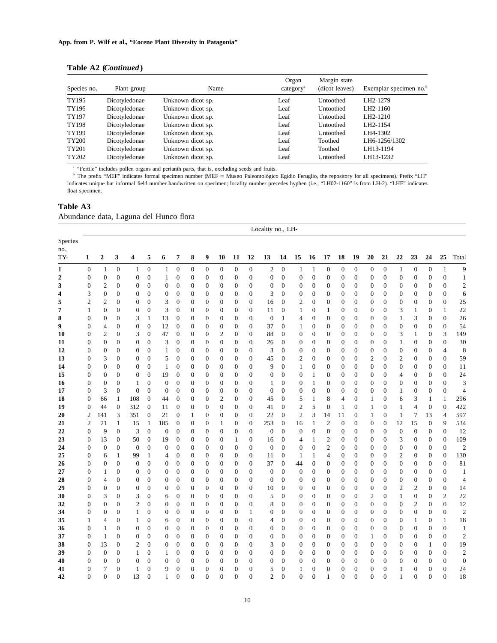| Table A2 (Continued) |  |  |
|----------------------|--|--|
|----------------------|--|--|

| Species no. | Plant group   | Name              | Organ<br>category <sup>a</sup> | Margin state<br>(dicot leaves) | Exemplar specimen no. <sup>b</sup> |
|-------------|---------------|-------------------|--------------------------------|--------------------------------|------------------------------------|
| TY195       | Dicotyledonae | Unknown dicot sp. | Leaf                           | Untoothed                      | LH2-1279                           |
| TY196       | Dicotyledonae | Unknown dicot sp. | Leaf                           | Untoothed                      | LH2-1160                           |
| TY197       | Dicotyledonae | Unknown dicot sp. | Leaf                           | Untoothed                      | LH2-1210                           |
| TY198       | Dicotyledonae | Unknown dicot sp. | Leaf                           | Untoothed                      | LH2-1154                           |
| TY199       | Dicotyledonae | Unknown dicot sp. | Leaf                           | Untoothed                      | LH4-1302                           |
| TY200       | Dicotyledonae | Unknown dicot sp. | Leaf                           | Toothed                        | LH6-1256/1302                      |
| TY201       | Dicotyledonae | Unknown dicot sp. | Leaf                           | Toothed                        | LH13-1194                          |
| TY202       | Dicotyledonae | Unknown dicot sp. | Leaf                           | Untoothed                      | LH13-1232                          |

<sup>a</sup> "Fertile" includes pollen organs and perianth parts, that is, excluding seeds and fruits.

<sup>b</sup> The prefix "MEF" indicates formal specimen number (MEF = Museo Paleontológico Egidio Feruglio, the repository for all specimens). Prefix "LH" indicates unique but informal field number handwritten on specimen; locality number precedes hyphen (i.e., "LH02-1160" is from LH-2). "LHF" indicates float specimen.

#### **Table A3** Abundance data, Laguna del Hunco flora

|                        | Locality no., LH- |                         |                  |                  |                  |                  |                  |                  |                  |                  |                  |                  |                  |                  |                  |                  |                  |                  |                  |                  |                  |                  |                  |                  |                  |                |
|------------------------|-------------------|-------------------------|------------------|------------------|------------------|------------------|------------------|------------------|------------------|------------------|------------------|------------------|------------------|------------------|------------------|------------------|------------------|------------------|------------------|------------------|------------------|------------------|------------------|------------------|------------------|----------------|
| Species<br>no.,<br>TY- | 1                 | $\boldsymbol{2}$        | 3                | 4                | 5                | 6                | 7                | 8                | 9                | 10               | 11               | 12               | 13               | 14               | 15               | 16               | 17               | 18               | 19               | 20               | 21               | 22               | 23               | 24               | 25               | Total          |
| 1                      | $\boldsymbol{0}$  | $\mathbf{1}$            | $\boldsymbol{0}$ | $\mathbf{1}$     | $\boldsymbol{0}$ | 1                | $\boldsymbol{0}$ | $\boldsymbol{0}$ | $\boldsymbol{0}$ | 0                | $\boldsymbol{0}$ | $\mathbf{0}$     | $\overline{c}$   | $\boldsymbol{0}$ | $\mathbf{1}$     | 1                | $\boldsymbol{0}$ | $\boldsymbol{0}$ | $\mathbf{0}$     | $\boldsymbol{0}$ | $\boldsymbol{0}$ | $\mathbf{1}$     | $\boldsymbol{0}$ | $\boldsymbol{0}$ | $\mathbf{1}$     | $\overline{9}$ |
| $\boldsymbol{2}$       | $\boldsymbol{0}$  | $\boldsymbol{0}$        | $\overline{0}$   | $\boldsymbol{0}$ | $\overline{0}$   | $\mathbf{1}$     | $\mathbf{0}$     | $\boldsymbol{0}$ | $\overline{0}$   | $\boldsymbol{0}$ | $\boldsymbol{0}$ | $\overline{0}$   | $\boldsymbol{0}$ | $\mathbf{0}$     | $\boldsymbol{0}$ | $\boldsymbol{0}$ | $\boldsymbol{0}$ | $\boldsymbol{0}$ | $\mathbf{0}$     | $\boldsymbol{0}$ | $\mathbf{0}$     | $\boldsymbol{0}$ | $\overline{0}$   | $\overline{0}$   | $\boldsymbol{0}$ | $\mathbf{1}$   |
| 3                      | $\boldsymbol{0}$  | $\mathfrak{2}$          | $\boldsymbol{0}$ | $\boldsymbol{0}$ | $\boldsymbol{0}$ | $\boldsymbol{0}$ | $\mathbf{0}$     | $\boldsymbol{0}$ | $\boldsymbol{0}$ | $\boldsymbol{0}$ | $\boldsymbol{0}$ | $\boldsymbol{0}$ | $\boldsymbol{0}$ | $\overline{0}$   | $\boldsymbol{0}$ | $\boldsymbol{0}$ | $\boldsymbol{0}$ | $\boldsymbol{0}$ | $\boldsymbol{0}$ | $\boldsymbol{0}$ | $\boldsymbol{0}$ | $\boldsymbol{0}$ | 0                | $\boldsymbol{0}$ | $\mathbf{0}$     | $\overline{c}$ |
| 4                      | 3                 | $\mathbf{0}$            | $\overline{0}$   | $\mathbf{0}$     | $\overline{0}$   | $\boldsymbol{0}$ | $\mathbf{0}$     | $\mathbf{0}$     | $\overline{0}$   | $\boldsymbol{0}$ | $\boldsymbol{0}$ | $\mathbf{0}$     | 3                | $\overline{0}$   | $\boldsymbol{0}$ | $\boldsymbol{0}$ | $\mathbf{0}$     | $\mathbf{0}$     | $\overline{0}$   | $\mathbf{0}$     | $\overline{0}$   | $\boldsymbol{0}$ | $\overline{0}$   | $\mathbf{0}$     | $\mathbf{0}$     | 6              |
| 5                      | $\mathbf{c}$      | $\overline{\mathbf{c}}$ | $\boldsymbol{0}$ | $\boldsymbol{0}$ | $\boldsymbol{0}$ | 3                | $\mathbf{0}$     | $\boldsymbol{0}$ | $\boldsymbol{0}$ | $\boldsymbol{0}$ | $\boldsymbol{0}$ | $\mathbf{0}$     | 16               | $\mathbf{0}$     | $\overline{c}$   | $\boldsymbol{0}$ | $\boldsymbol{0}$ | $\boldsymbol{0}$ | $\boldsymbol{0}$ | $\boldsymbol{0}$ | $\mathbf{0}$     | $\boldsymbol{0}$ | $\boldsymbol{0}$ | $\boldsymbol{0}$ | $\boldsymbol{0}$ | 25             |
| 7                      | $\mathbf{1}$      | $\boldsymbol{0}$        | $\overline{0}$   | $\boldsymbol{0}$ | $\boldsymbol{0}$ | 3                | $\mathbf{0}$     | $\boldsymbol{0}$ | $\overline{0}$   | $\boldsymbol{0}$ | $\boldsymbol{0}$ | $\mathbf{0}$     | 11               | $\overline{0}$   | $\mathbf{1}$     | $\boldsymbol{0}$ | $\mathbf{1}$     | $\mathbf{0}$     | $\overline{0}$   | $\boldsymbol{0}$ | $\mathbf{0}$     | 3                | $\mathbf{1}$     | $\boldsymbol{0}$ | $\mathbf{1}$     | 22             |
| 8                      | $\mathbf{0}$      | $\boldsymbol{0}$        | $\overline{0}$   | 3                | $\mathbf{1}$     | 13               | $\mathbf{0}$     | $\boldsymbol{0}$ | 0                | $\boldsymbol{0}$ | $\boldsymbol{0}$ | $\overline{0}$   | $\mathbf{0}$     | $\mathbf{1}$     | 4                | $\boldsymbol{0}$ | $\boldsymbol{0}$ | $\boldsymbol{0}$ | $\overline{0}$   | $\mathbf{0}$     | $\mathbf{0}$     | $\mathbf{1}$     | 3                | $\boldsymbol{0}$ | $\mathbf{0}$     | 26             |
| 9                      | $\boldsymbol{0}$  | $\overline{4}$          | $\overline{0}$   | $\boldsymbol{0}$ | $\boldsymbol{0}$ | 12               | $\mathbf{0}$     | $\boldsymbol{0}$ | $\overline{0}$   | $\boldsymbol{0}$ | $\boldsymbol{0}$ | $\overline{0}$   | 37               | $\overline{0}$   | $\mathbf{1}$     | $\boldsymbol{0}$ | $\boldsymbol{0}$ | $\boldsymbol{0}$ | $\boldsymbol{0}$ | $\mathbf{0}$     | $\mathbf{0}$     | $\boldsymbol{0}$ | $\boldsymbol{0}$ | $\boldsymbol{0}$ | $\mathbf{0}$     | 54             |
| 10                     | $\boldsymbol{0}$  | $\mathfrak{2}$          | $\boldsymbol{0}$ | 3                | $\boldsymbol{0}$ | 47               | $\mathbf{0}$     | $\boldsymbol{0}$ | 0                | $\overline{c}$   | $\boldsymbol{0}$ | $\mathbf{0}$     | 88               | $\overline{0}$   | $\boldsymbol{0}$ | $\boldsymbol{0}$ | $\boldsymbol{0}$ | $\boldsymbol{0}$ | $\boldsymbol{0}$ | $\boldsymbol{0}$ | $\mathbf{0}$     | 3                | $\mathbf{1}$     | $\boldsymbol{0}$ | 3                | 149            |
| 11                     | $\boldsymbol{0}$  | $\boldsymbol{0}$        | $\boldsymbol{0}$ | $\boldsymbol{0}$ | $\overline{0}$   | 3                | $\mathbf{0}$     | $\boldsymbol{0}$ | $\overline{0}$   | $\boldsymbol{0}$ | $\boldsymbol{0}$ | $\mathbf{0}$     | 26               | $\theta$         | $\boldsymbol{0}$ | $\boldsymbol{0}$ | $\boldsymbol{0}$ | $\mathbf{0}$     | $\overline{0}$   | $\mathbf{0}$     | $\mathbf{0}$     | $\mathbf{1}$     | $\overline{0}$   | $\mathbf{0}$     | $\mathbf{0}$     | 30             |
| 12                     | $\boldsymbol{0}$  | $\boldsymbol{0}$        | $\boldsymbol{0}$ | $\boldsymbol{0}$ | $\boldsymbol{0}$ | $\,1$            | $\mathbf{0}$     | $\boldsymbol{0}$ | $\boldsymbol{0}$ | $\boldsymbol{0}$ | $\boldsymbol{0}$ | $\boldsymbol{0}$ | 3                | $\overline{0}$   | $\boldsymbol{0}$ | $\boldsymbol{0}$ | $\boldsymbol{0}$ | $\boldsymbol{0}$ | $\boldsymbol{0}$ | $\mathbf{0}$     | $\mathbf{0}$     | $\boldsymbol{0}$ | $\boldsymbol{0}$ | $\boldsymbol{0}$ | $\overline{4}$   | 8              |
| 13                     | $\boldsymbol{0}$  | 3                       | $\overline{0}$   | $\boldsymbol{0}$ | $\mathbf{0}$     | 5                | $\overline{0}$   | $\boldsymbol{0}$ | $\overline{0}$   | $\overline{0}$   | $\boldsymbol{0}$ | $\overline{0}$   | 45               | $\overline{0}$   | $\mathbf{2}$     | $\overline{0}$   | $\mathbf{0}$     | $\mathbf{0}$     | $\mathbf{0}$     | $\overline{2}$   | $\overline{0}$   | $\sqrt{2}$       | $\overline{0}$   | $\overline{0}$   | $\overline{0}$   | 59             |
| 14                     | $\boldsymbol{0}$  | $\boldsymbol{0}$        | $\boldsymbol{0}$ | $\boldsymbol{0}$ | $\boldsymbol{0}$ | $\mathbf{1}$     | $\mathbf{0}$     | $\boldsymbol{0}$ | 0                | $\boldsymbol{0}$ | $\boldsymbol{0}$ | $\boldsymbol{0}$ | 9                | $\overline{0}$   | $\mathbf{1}$     | $\boldsymbol{0}$ | $\boldsymbol{0}$ | $\boldsymbol{0}$ | $\boldsymbol{0}$ | $\mathbf{0}$     | $\mathbf{0}$     | $\boldsymbol{0}$ | $\boldsymbol{0}$ | $\boldsymbol{0}$ | $\boldsymbol{0}$ | 11             |
| 15                     | $\boldsymbol{0}$  | $\mathbf{0}$            | $\overline{0}$   | $\boldsymbol{0}$ | $\overline{0}$   | 19               | $\mathbf{0}$     | $\mathbf{0}$     | $\boldsymbol{0}$ | $\boldsymbol{0}$ | $\boldsymbol{0}$ | $\mathbf{0}$     | $\mathbf{0}$     | $\overline{0}$   | $\boldsymbol{0}$ | 1                | $\boldsymbol{0}$ | $\mathbf{0}$     | $\overline{0}$   | $\mathbf{0}$     | $\overline{0}$   | $\overline{4}$   | $\overline{0}$   | $\boldsymbol{0}$ | $\overline{0}$   | 24             |
| 16                     | $\boldsymbol{0}$  | $\mathbf{0}$            | $\boldsymbol{0}$ | $\mathbf{1}$     | $\overline{0}$   | $\boldsymbol{0}$ | $\mathbf{0}$     | $\boldsymbol{0}$ | $\boldsymbol{0}$ | $\boldsymbol{0}$ | $\boldsymbol{0}$ | $\boldsymbol{0}$ | $\mathbf{1}$     | $\mathbf{0}$     | $\boldsymbol{0}$ | 1                | $\boldsymbol{0}$ | $\boldsymbol{0}$ | $\boldsymbol{0}$ | $\mathbf{0}$     | $\boldsymbol{0}$ | $\boldsymbol{0}$ | $\boldsymbol{0}$ | $\boldsymbol{0}$ | $\boldsymbol{0}$ | 3              |
| 17                     | $\boldsymbol{0}$  | 3                       | $\overline{0}$   | $\boldsymbol{0}$ | $\boldsymbol{0}$ | $\mathbf{0}$     | $\mathbf{0}$     | $\boldsymbol{0}$ | $\overline{0}$   | $\boldsymbol{0}$ | $\boldsymbol{0}$ | $\overline{0}$   | $\boldsymbol{0}$ | $\overline{0}$   | $\boldsymbol{0}$ | $\boldsymbol{0}$ | $\mathbf{0}$     | $\mathbf{0}$     | $\overline{0}$   | $\mathbf{0}$     | $\mathbf{0}$     | $\mathbf{1}$     | $\overline{0}$   | $\boldsymbol{0}$ | $\boldsymbol{0}$ | $\overline{4}$ |
| 18                     | $\boldsymbol{0}$  | 66                      | $\mathbf{1}$     | 108              | $\overline{0}$   | 44               | $\mathbf{0}$     | $\boldsymbol{0}$ | $\boldsymbol{0}$ | 2                | $\boldsymbol{0}$ | $\mathbf{0}$     | 45               | $\mathbf{0}$     | 5                | 1                | 8                | 4                | $\boldsymbol{0}$ | 1                | $\mathbf{0}$     | 6                | 3                | $\mathbf{1}$     | $\mathbf{1}$     | 296            |
| 19                     | $\boldsymbol{0}$  | 44                      | $\boldsymbol{0}$ | 312              | $\overline{0}$   | 11               | $\overline{0}$   | $\boldsymbol{0}$ | $\overline{0}$   | $\overline{0}$   | $\boldsymbol{0}$ | $\mathbf{0}$     | 41               | $\overline{0}$   | $\overline{c}$   | 5                | $\mathbf{0}$     | $\mathbf{1}$     | $\mathbf{0}$     | $\mathbf{1}$     | $\overline{0}$   | $\mathbf{1}$     | $\overline{4}$   | $\mathbf{0}$     | $\mathbf{0}$     | 422            |
| 20                     | $\mathfrak{2}$    | 141                     | 3                | 351              | $\boldsymbol{0}$ | 21               | $\mathbf{0}$     | $\mathbf{1}$     | $\boldsymbol{0}$ | $\boldsymbol{0}$ | $\boldsymbol{0}$ | $\mathbf{0}$     | 22               | $\overline{0}$   | $\mathfrak{2}$   | 3                | 14               | 11               | $\boldsymbol{0}$ | 1                | $\mathbf{0}$     | $\mathbf{1}$     | 7                | 13               | $\overline{4}$   | 597            |
| 21                     | 2                 | 21                      | $\mathbf{1}$     | 15               | $\mathbf{1}$     | 185              | $\mathbf{0}$     | $\mathbf{0}$     | $\boldsymbol{0}$ | $\mathbf{1}$     | $\boldsymbol{0}$ | $\overline{0}$   | 253              | $\mathbf{0}$     | 16               | $\mathbf{1}$     | $\overline{c}$   | $\mathbf{0}$     | $\mathbf{0}$     | $\boldsymbol{0}$ | $\overline{0}$   | 12               | 15               | $\boldsymbol{0}$ | 9                | 534            |
| 22                     | $\boldsymbol{0}$  | 9                       | $\boldsymbol{0}$ | 3                | $\boldsymbol{0}$ | $\mathbf{0}$     | $\mathbf{0}$     | $\boldsymbol{0}$ | $\boldsymbol{0}$ | $\boldsymbol{0}$ | $\boldsymbol{0}$ | $\boldsymbol{0}$ | $\boldsymbol{0}$ | $\overline{0}$   | $\boldsymbol{0}$ | $\boldsymbol{0}$ | $\boldsymbol{0}$ | $\boldsymbol{0}$ | $\boldsymbol{0}$ | $\boldsymbol{0}$ | $\mathbf{0}$     | $\boldsymbol{0}$ | $\boldsymbol{0}$ | $\boldsymbol{0}$ | $\boldsymbol{0}$ | 12             |
| 23                     | $\boldsymbol{0}$  | 13                      | $\boldsymbol{0}$ | 50               | $\boldsymbol{0}$ | 19               | $\boldsymbol{0}$ | $\boldsymbol{0}$ | 0                | $\boldsymbol{0}$ | 1                | $\mathbf{0}$     | 16               | $\theta$         | 4                | 1                | $\mathfrak{2}$   | $\boldsymbol{0}$ | $\overline{0}$   | $\boldsymbol{0}$ | $\boldsymbol{0}$ | 3                | 0                | $\boldsymbol{0}$ | $\boldsymbol{0}$ | 109            |
| 24                     | $\boldsymbol{0}$  | $\mathbf{0}$            | $\boldsymbol{0}$ | $\boldsymbol{0}$ | $\boldsymbol{0}$ | $\boldsymbol{0}$ | $\mathbf{0}$     | $\boldsymbol{0}$ | $\boldsymbol{0}$ | $\boldsymbol{0}$ | $\boldsymbol{0}$ | $\boldsymbol{0}$ | $\boldsymbol{0}$ | $\overline{0}$   | $\mathbf{0}$     | 0                | $\mathbf{2}$     | $\boldsymbol{0}$ | $\overline{0}$   | $\mathbf{0}$     | $\mathbf{0}$     | $\boldsymbol{0}$ | 0                | $\boldsymbol{0}$ | $\boldsymbol{0}$ | $\overline{2}$ |
| 25                     | $\mathbf{0}$      | 6                       | $\mathbf{1}$     | 99               | $\mathbf{1}$     | 4                | $\mathbf{0}$     | $\mathbf{0}$     | $\overline{0}$   | $\boldsymbol{0}$ | $\boldsymbol{0}$ | $\overline{0}$   | 11               | $\mathbf{0}$     | $\mathbf{1}$     | 1                | $\overline{4}$   | $\boldsymbol{0}$ | $\overline{0}$   | $\mathbf{0}$     | $\mathbf{0}$     | $\mathfrak{2}$   | $\overline{0}$   | $\boldsymbol{0}$ | $\mathbf{0}$     | 130            |
| 26                     | $\boldsymbol{0}$  | $\boldsymbol{0}$        | $\boldsymbol{0}$ | $\boldsymbol{0}$ | $\mathbf{0}$     | $\boldsymbol{0}$ | $\mathbf{0}$     | $\boldsymbol{0}$ | $\boldsymbol{0}$ | $\boldsymbol{0}$ | $\boldsymbol{0}$ | $\boldsymbol{0}$ | 37               | $\overline{0}$   | 44               | 0                | $\boldsymbol{0}$ | $\boldsymbol{0}$ | $\boldsymbol{0}$ | $\mathbf{0}$     | $\mathbf{0}$     | $\boldsymbol{0}$ | $\boldsymbol{0}$ | $\boldsymbol{0}$ | $\mathbf{0}$     | 81             |
| 27                     | $\boldsymbol{0}$  | 1                       | $\mathbf{0}$     | $\boldsymbol{0}$ | $\overline{0}$   | $\mathbf{0}$     | $\boldsymbol{0}$ | $\boldsymbol{0}$ | 0                | $\overline{0}$   | $\boldsymbol{0}$ | $\boldsymbol{0}$ | $\boldsymbol{0}$ | $\theta$         | $\boldsymbol{0}$ | $\boldsymbol{0}$ | $\mathbf{0}$     | $\boldsymbol{0}$ | $\overline{0}$   | $\mathbf{0}$     | $\mathbf{0}$     | $\mathbf{0}$     | $\boldsymbol{0}$ | $\boldsymbol{0}$ | $\boldsymbol{0}$ | $\mathbf{1}$   |
| 28                     | $\boldsymbol{0}$  | 4                       | $\boldsymbol{0}$ | $\boldsymbol{0}$ | $\overline{0}$   | $\boldsymbol{0}$ | $\mathbf{0}$     | $\mathbf{0}$     | $\boldsymbol{0}$ | $\boldsymbol{0}$ | $\boldsymbol{0}$ | $\mathbf{0}$     | $\boldsymbol{0}$ | $\mathbf{0}$     | $\boldsymbol{0}$ | $\boldsymbol{0}$ | $\boldsymbol{0}$ | $\boldsymbol{0}$ | $\boldsymbol{0}$ | $\mathbf{0}$     | $\mathbf{0}$     | $\boldsymbol{0}$ | $\boldsymbol{0}$ | $\boldsymbol{0}$ | $\boldsymbol{0}$ | $\overline{4}$ |
| 29                     | $\mathbf{0}$      | $\boldsymbol{0}$        | $\overline{0}$   | $\boldsymbol{0}$ | $\mathbf{0}$     | $\boldsymbol{0}$ | $\overline{0}$   | $\mathbf{0}$     | 0                | $\overline{0}$   | $\boldsymbol{0}$ | $\boldsymbol{0}$ | 10               | $\theta$         | $\boldsymbol{0}$ | $\mathbf{0}$     | $\boldsymbol{0}$ | $\mathbf{0}$     | $\overline{0}$   | $\mathbf{0}$     | $\mathbf{0}$     | $\mathfrak{2}$   | $\mathfrak{2}$   | $\mathbf{0}$     | $\boldsymbol{0}$ | 14             |
| 30                     | $\boldsymbol{0}$  | 3                       | $\boldsymbol{0}$ | 3                | $\boldsymbol{0}$ | 6                | $\boldsymbol{0}$ | $\boldsymbol{0}$ | $\boldsymbol{0}$ | $\boldsymbol{0}$ | $\boldsymbol{0}$ | $\boldsymbol{0}$ | 5                | $\mathbf{0}$     | $\boldsymbol{0}$ | 0                | $\boldsymbol{0}$ | $\boldsymbol{0}$ | $\boldsymbol{0}$ | $\overline{c}$   | $\mathbf{0}$     | $\mathbf{1}$     | $\boldsymbol{0}$ | $\boldsymbol{0}$ | $\overline{2}$   | $22\,$         |
| 32                     | $\mathbf{0}$      | $\mathbf{0}$            | $\overline{0}$   | $\mathfrak{2}$   | $\overline{0}$   | $\mathbf{0}$     | $\boldsymbol{0}$ | $\mathbf{0}$     | 0                | $\mathbf{0}$     | $\overline{0}$   | $\boldsymbol{0}$ | 8                | $\theta$         | $\boldsymbol{0}$ | $\boldsymbol{0}$ | $\theta$         | $\boldsymbol{0}$ | $\overline{0}$   | $\boldsymbol{0}$ | $\mathbf{0}$     | $\mathbf{0}$     | 2                | $\mathbf{0}$     | $\mathbf{0}$     | 12             |
| 34                     | $\boldsymbol{0}$  | $\boldsymbol{0}$        | $\boldsymbol{0}$ | $\mathbf{1}$     | $\overline{0}$   | $\boldsymbol{0}$ | $\mathbf{0}$     | $\boldsymbol{0}$ | $\boldsymbol{0}$ | $\boldsymbol{0}$ | $\boldsymbol{0}$ | 1                | $\boldsymbol{0}$ | $\mathbf{0}$     | $\boldsymbol{0}$ | $\boldsymbol{0}$ | $\boldsymbol{0}$ | $\boldsymbol{0}$ | $\boldsymbol{0}$ | $\boldsymbol{0}$ | $\mathbf{0}$     | $\boldsymbol{0}$ | $\boldsymbol{0}$ | $\boldsymbol{0}$ | $\boldsymbol{0}$ | $\overline{c}$ |
| 35                     | $\mathbf{1}$      | 4                       | $\overline{0}$   | $\mathbf{1}$     | $\overline{0}$   | 6                | $\mathbf{0}$     | $\boldsymbol{0}$ | 0                | $\boldsymbol{0}$ | $\boldsymbol{0}$ | $\mathbf{0}$     | $\overline{4}$   | $\mathbf{0}$     | $\boldsymbol{0}$ | $\boldsymbol{0}$ | $\mathbf{0}$     | $\mathbf{0}$     | $\overline{0}$   | $\mathbf{0}$     | $\boldsymbol{0}$ | $\boldsymbol{0}$ | 1                | $\boldsymbol{0}$ | $\mathbf{1}$     | 18             |
| 36                     | $\mathbf{0}$      | 1                       | $\boldsymbol{0}$ | $\boldsymbol{0}$ | $\overline{0}$   | $\boldsymbol{0}$ | $\mathbf{0}$     | $\boldsymbol{0}$ | $\boldsymbol{0}$ | $\boldsymbol{0}$ | $\boldsymbol{0}$ | $\boldsymbol{0}$ | $\mathbf{0}$     | $\mathbf{0}$     | $\boldsymbol{0}$ | $\boldsymbol{0}$ | $\boldsymbol{0}$ | $\boldsymbol{0}$ | $\overline{0}$   | $\mathbf{0}$     | $\mathbf{0}$     | $\boldsymbol{0}$ | $\overline{0}$   | $\boldsymbol{0}$ | $\mathbf{0}$     | $\mathbf{1}$   |
| 37                     | $\boldsymbol{0}$  | $\mathbf{1}$            | $\overline{0}$   | $\boldsymbol{0}$ | $\overline{0}$   | $\mathbf{0}$     | $\mathbf{0}$     | $\boldsymbol{0}$ | $\overline{0}$   | $\overline{0}$   | $\boldsymbol{0}$ | $\mathbf{0}$     | $\boldsymbol{0}$ | $\theta$         | $\boldsymbol{0}$ | $\boldsymbol{0}$ | $\mathbf{0}$     | $\boldsymbol{0}$ | $\mathbf{0}$     | $\mathbf{1}$     | $\mathbf{0}$     | $\mathbf{0}$     | $\overline{0}$   | $\boldsymbol{0}$ | $\boldsymbol{0}$ | $\overline{2}$ |
| 38                     | $\boldsymbol{0}$  | 13                      | $\boldsymbol{0}$ | $\mathfrak{2}$   | $\overline{0}$   | $\boldsymbol{0}$ | $\mathbf{0}$     | $\boldsymbol{0}$ | $\boldsymbol{0}$ | $\boldsymbol{0}$ | $\boldsymbol{0}$ | $\mathbf{0}$     | 3                | $\mathbf{0}$     | $\boldsymbol{0}$ | $\boldsymbol{0}$ | $\boldsymbol{0}$ | $\boldsymbol{0}$ | $\boldsymbol{0}$ | $\boldsymbol{0}$ | $\mathbf{0}$     | $\boldsymbol{0}$ | $\boldsymbol{0}$ | $\mathbf{1}$     | $\boldsymbol{0}$ | 19             |
| 39                     | $\mathbf{0}$      | $\mathbf{0}$            | $\mathbf{0}$     | 1                | $\mathbf{0}$     | 1                | $\mathbf{0}$     | $\mathbf{0}$     | 0                | $\overline{0}$   | $\overline{0}$   | $\Omega$         | $\mathbf{0}$     | $\mathbf{0}$     | $\boldsymbol{0}$ | $\mathbf{0}$     | $\mathbf{0}$     | $\mathbf{0}$     | $\Omega$         | $\mathbf{0}$     | $\mathbf{0}$     | $\mathbf{0}$     | $\boldsymbol{0}$ | $\mathbf{0}$     | $\mathbf{0}$     | $\overline{2}$ |
| 40                     | $\boldsymbol{0}$  | $\boldsymbol{0}$        | $\boldsymbol{0}$ | $\boldsymbol{0}$ | $\overline{0}$   | $\boldsymbol{0}$ | $\mathbf{0}$     | $\boldsymbol{0}$ | $\overline{0}$   | $\boldsymbol{0}$ | $\boldsymbol{0}$ | $\overline{0}$   | $\boldsymbol{0}$ | $\overline{0}$   | $\boldsymbol{0}$ | $\boldsymbol{0}$ | $\boldsymbol{0}$ | $\boldsymbol{0}$ | $\overline{0}$   | $\mathbf{0}$     | $\boldsymbol{0}$ | $\boldsymbol{0}$ | $\overline{0}$   | $\boldsymbol{0}$ | $\boldsymbol{0}$ | $\mathbf{0}$   |
| 41                     | 0                 | 7                       | $\overline{0}$   | $\mathbf{1}$     | $\theta$         | 9                | $\overline{0}$   | $\mathbf{0}$     | 0                | $\overline{0}$   | $\overline{0}$   | $\boldsymbol{0}$ | 5                | $\overline{0}$   | $\mathbf{1}$     | $\overline{0}$   | $\boldsymbol{0}$ | $\mathbf{0}$     | $\overline{0}$   | $\mathbf{0}$     | $\overline{0}$   | $\mathbf{1}$     | $\overline{0}$   | $\mathbf{0}$     | $\mathbf{0}$     | 24             |
| 42                     | $\overline{0}$    | $\overline{0}$          | $\boldsymbol{0}$ | 13               | $\overline{0}$   | 1                | $\overline{0}$   | $\boldsymbol{0}$ | $\overline{0}$   | $\overline{0}$   | $\mathbf{0}$     | $\overline{0}$   | $\overline{c}$   | $\mathbf{0}$     | $\boldsymbol{0}$ | $\overline{0}$   | 1                | $\mathbf{0}$     | $\boldsymbol{0}$ | $\overline{0}$   | $\mathbf{0}$     | $\mathbf{1}$     | $\overline{0}$   | $\mathbf{0}$     | $\overline{0}$   | 18             |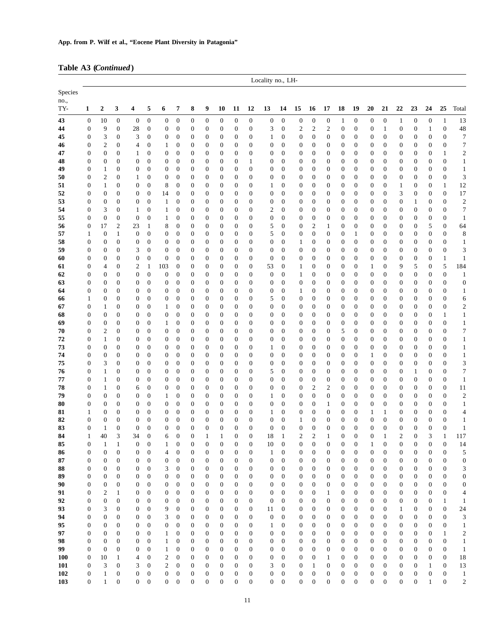### **Table A3 (***Continued***)**

|                   | Locality no., LH-                    |                              |                                      |                                      |                                      |                                             |                                      |                                      |                                      |                                      |                                      |                                      |                                  |                                      |                                      |                                      |                                      |                                      |                                      |                                      |                                      |                                      |                                      |                                      |                                      |                                  |
|-------------------|--------------------------------------|------------------------------|--------------------------------------|--------------------------------------|--------------------------------------|---------------------------------------------|--------------------------------------|--------------------------------------|--------------------------------------|--------------------------------------|--------------------------------------|--------------------------------------|----------------------------------|--------------------------------------|--------------------------------------|--------------------------------------|--------------------------------------|--------------------------------------|--------------------------------------|--------------------------------------|--------------------------------------|--------------------------------------|--------------------------------------|--------------------------------------|--------------------------------------|----------------------------------|
| Species           |                                      |                              |                                      |                                      |                                      |                                             |                                      |                                      |                                      |                                      |                                      |                                      |                                  |                                      |                                      |                                      |                                      |                                      |                                      |                                      |                                      |                                      |                                      |                                      |                                      |                                  |
| no.,<br>TY-       | 1                                    | $\boldsymbol{2}$             | 3                                    | 4                                    | 5                                    | 6                                           | 7                                    | 8                                    | 9                                    | 10                                   | 11                                   | 12                                   | 13                               | 14                                   | 15                                   | 16                                   | 17                                   | 18                                   | 19                                   | 20                                   | 21                                   | 22                                   | 23                                   | 24                                   | 25                                   | Total                            |
| 43                | $\boldsymbol{0}$                     | 10                           | $\boldsymbol{0}$                     | $\boldsymbol{0}$                     | $\boldsymbol{0}$                     | $\boldsymbol{0}$                            | $\boldsymbol{0}$                     | $\boldsymbol{0}$                     | $\boldsymbol{0}$                     | $\boldsymbol{0}$                     | $\boldsymbol{0}$                     | $\boldsymbol{0}$                     | $\boldsymbol{0}$                 | $\boldsymbol{0}$                     | $\boldsymbol{0}$                     | $\boldsymbol{0}$                     | $\boldsymbol{0}$                     | $\mathbf{1}$                         | $\boldsymbol{0}$                     | $\boldsymbol{0}$                     | $\boldsymbol{0}$                     | $\mathbf{1}$                         | $\boldsymbol{0}$                     | $\boldsymbol{0}$                     | $\mathbf{1}$                         | 13                               |
| 44                | $\boldsymbol{0}$                     | 9                            | $\boldsymbol{0}$                     | 28                                   | $\boldsymbol{0}$                     | $\boldsymbol{0}$                            | $\boldsymbol{0}$                     | $\boldsymbol{0}$                     | $\boldsymbol{0}$                     | $\boldsymbol{0}$                     | $\boldsymbol{0}$                     | $\mathbf{0}$                         | 3                                | $\boldsymbol{0}$                     | $\overline{c}$                       | $\overline{c}$                       | $\boldsymbol{2}$                     | $\boldsymbol{0}$                     | $\boldsymbol{0}$                     | $\boldsymbol{0}$                     | $\mathbf{1}$                         | $\boldsymbol{0}$                     | $\boldsymbol{0}$                     | $\mathbf{1}$                         | $\boldsymbol{0}$                     | 48                               |
| 45                | $\boldsymbol{0}$                     | 3                            | $\boldsymbol{0}$                     | 3                                    | $\mathbf{0}$                         | $\boldsymbol{0}$                            | $\boldsymbol{0}$                     | $\boldsymbol{0}$                     | $\boldsymbol{0}$                     | $\boldsymbol{0}$                     | 0                                    | $\mathbf{0}$                         | $\mathbf{1}$                     | $\boldsymbol{0}$                     | $\boldsymbol{0}$                     | $\mathbf{0}$                         | $\boldsymbol{0}$                     | 0                                    | $\boldsymbol{0}$                     | $\boldsymbol{0}$                     | $\mathbf{0}$                         | 0                                    | $\boldsymbol{0}$                     | $\boldsymbol{0}$                     | $\boldsymbol{0}$                     | $\tau$                           |
| 46                | $\boldsymbol{0}$                     | $\boldsymbol{2}$             | $\boldsymbol{0}$                     | $\overline{4}$                       | $\mathbf{0}$                         | 1                                           | $\boldsymbol{0}$                     | $\boldsymbol{0}$                     | $\boldsymbol{0}$                     | $\boldsymbol{0}$                     | $\boldsymbol{0}$                     | $\boldsymbol{0}$                     | $\boldsymbol{0}$                 | $\boldsymbol{0}$                     | $\boldsymbol{0}$                     | $\boldsymbol{0}$                     | $\boldsymbol{0}$                     | $\boldsymbol{0}$                     | $\boldsymbol{0}$                     | $\boldsymbol{0}$                     | $\boldsymbol{0}$                     | $\boldsymbol{0}$                     | $\boldsymbol{0}$                     | $\boldsymbol{0}$                     | $\boldsymbol{0}$                     | $\boldsymbol{7}$                 |
| 47                | $\boldsymbol{0}$                     | $\boldsymbol{0}$             | $\boldsymbol{0}$                     | $\mathbf{1}$<br>$\boldsymbol{0}$     | $\boldsymbol{0}$<br>$\mathbf{0}$     | $\boldsymbol{0}$                            | 0                                    | $\boldsymbol{0}$                     | 0                                    | $\boldsymbol{0}$                     | 0                                    | $\boldsymbol{0}$                     | $\boldsymbol{0}$                 | $\boldsymbol{0}$                     | $\boldsymbol{0}$                     | $\boldsymbol{0}$                     | $\boldsymbol{0}$                     | 0                                    | $\boldsymbol{0}$                     | $\boldsymbol{0}$                     | $\mathbf{0}$                         | 0                                    | $\boldsymbol{0}$                     | $\boldsymbol{0}$                     | 1<br>$\boldsymbol{0}$                | $\sqrt{2}$                       |
| 48<br>49          | $\boldsymbol{0}$<br>$\boldsymbol{0}$ | $\boldsymbol{0}$<br>1        | $\boldsymbol{0}$<br>$\boldsymbol{0}$ | $\boldsymbol{0}$                     | $\mathbf{0}$                         | $\boldsymbol{0}$<br>$\boldsymbol{0}$        | $\boldsymbol{0}$<br>$\boldsymbol{0}$ | $\boldsymbol{0}$<br>$\boldsymbol{0}$ | 0<br>$\boldsymbol{0}$                | $\boldsymbol{0}$<br>$\boldsymbol{0}$ | 0<br>$\boldsymbol{0}$                | 1<br>$\boldsymbol{0}$                | 0<br>$\boldsymbol{0}$            | $\boldsymbol{0}$<br>$\boldsymbol{0}$ | $\boldsymbol{0}$<br>$\boldsymbol{0}$ | $\boldsymbol{0}$<br>$\mathbf{0}$     | $\boldsymbol{0}$<br>$\boldsymbol{0}$ | 0<br>$\boldsymbol{0}$                | $\boldsymbol{0}$<br>$\boldsymbol{0}$ | $\boldsymbol{0}$<br>$\boldsymbol{0}$ | $\mathbf{0}$<br>$\boldsymbol{0}$     | 0<br>$\boldsymbol{0}$                | $\mathbf{0}$<br>$\boldsymbol{0}$     | $\boldsymbol{0}$<br>$\mathbf{0}$     | $\boldsymbol{0}$                     | $\mathbf{1}$<br>$\mathbf{1}$     |
| 50                | $\boldsymbol{0}$                     | $\boldsymbol{2}$             | $\boldsymbol{0}$                     | $\mathbf{1}$                         | $\boldsymbol{0}$                     | $\boldsymbol{0}$                            | $\mathbf{0}$                         | $\boldsymbol{0}$                     | 0                                    | $\boldsymbol{0}$                     | 0                                    | $\boldsymbol{0}$                     | $\boldsymbol{0}$                 | $\boldsymbol{0}$                     | $\boldsymbol{0}$                     | $\boldsymbol{0}$                     | $\boldsymbol{0}$                     | 0                                    | $\boldsymbol{0}$                     | $\boldsymbol{0}$                     | $\boldsymbol{0}$                     | $\boldsymbol{0}$                     | $\boldsymbol{0}$                     | $\boldsymbol{0}$                     | $\boldsymbol{0}$                     | $\mathfrak{Z}$                   |
| 51                | $\boldsymbol{0}$                     | 1                            | $\boldsymbol{0}$                     | $\boldsymbol{0}$                     | $\mathbf{0}$                         | 8                                           | $\boldsymbol{0}$                     | $\boldsymbol{0}$                     | 0                                    | $\boldsymbol{0}$                     | 0                                    | $\mathbf{0}$                         | 1                                | $\boldsymbol{0}$                     | $\boldsymbol{0}$                     | $\boldsymbol{0}$                     | $\boldsymbol{0}$                     | $\boldsymbol{0}$                     | $\boldsymbol{0}$                     | $\boldsymbol{0}$                     | $\boldsymbol{0}$                     | 1                                    | $\boldsymbol{0}$                     | $\boldsymbol{0}$                     | 1                                    | 12                               |
| 52                | $\boldsymbol{0}$                     | $\boldsymbol{0}$             | $\boldsymbol{0}$                     | $\boldsymbol{0}$                     | $\mathbf{0}$                         | 14                                          | $\boldsymbol{0}$                     | $\boldsymbol{0}$                     | 0                                    | $\boldsymbol{0}$                     | $\boldsymbol{0}$                     | $\boldsymbol{0}$                     | $\boldsymbol{0}$                 | $\boldsymbol{0}$                     | $\boldsymbol{0}$                     | $\boldsymbol{0}$                     | $\boldsymbol{0}$                     | $\boldsymbol{0}$                     | $\boldsymbol{0}$                     | $\boldsymbol{0}$                     | $\boldsymbol{0}$                     | 3                                    | $\boldsymbol{0}$                     | $\boldsymbol{0}$                     | $\boldsymbol{0}$                     | 17                               |
| 53                | $\boldsymbol{0}$                     | $\boldsymbol{0}$             | $\boldsymbol{0}$                     | $\boldsymbol{0}$                     | $\boldsymbol{0}$                     | $\mathbf{1}$                                | $\mathbf{0}$                         | $\boldsymbol{0}$                     | 0                                    | $\boldsymbol{0}$                     | 0                                    | $\boldsymbol{0}$                     | $\boldsymbol{0}$                 | $\boldsymbol{0}$                     | $\boldsymbol{0}$                     | $\boldsymbol{0}$                     | $\boldsymbol{0}$                     | $\boldsymbol{0}$                     | $\boldsymbol{0}$                     | $\boldsymbol{0}$                     | $\mathbf{0}$                         | $\boldsymbol{0}$                     | $\mathbf{1}$                         | $\boldsymbol{0}$                     | $\boldsymbol{0}$                     | $\boldsymbol{2}$                 |
| 54<br>55          | $\boldsymbol{0}$                     | 3<br>$\boldsymbol{0}$        | $\boldsymbol{0}$<br>$\boldsymbol{0}$ | $\mathbf{1}$<br>$\boldsymbol{0}$     | $\boldsymbol{0}$<br>$\mathbf{0}$     | 1                                           | 0                                    | 0                                    | 0<br>$\boldsymbol{0}$                | $\boldsymbol{0}$<br>$\boldsymbol{0}$ | 0                                    | $\mathbf{0}$<br>$\boldsymbol{0}$     | $\mathfrak{2}$                   | $\boldsymbol{0}$<br>$\boldsymbol{0}$ | $\boldsymbol{0}$                     | $\boldsymbol{0}$                     | $\boldsymbol{0}$<br>$\boldsymbol{0}$ | $\boldsymbol{0}$                     | $\boldsymbol{0}$<br>$\boldsymbol{0}$ | $\boldsymbol{0}$                     | $\boldsymbol{0}$<br>$\boldsymbol{0}$ | 0                                    | $\boldsymbol{0}$<br>$\boldsymbol{0}$ | $\boldsymbol{0}$                     | $\boldsymbol{0}$<br>$\boldsymbol{0}$ | $\boldsymbol{7}$                 |
| 56                | $\boldsymbol{0}$<br>$\boldsymbol{0}$ | 17                           | $\overline{2}$                       | 23                                   | 1                                    | 1<br>8                                      | $\boldsymbol{0}$<br>$\mathbf{0}$     | $\boldsymbol{0}$<br>$\boldsymbol{0}$ | 0                                    | $\boldsymbol{0}$                     | $\boldsymbol{0}$<br>0                | $\boldsymbol{0}$                     | $\boldsymbol{0}$<br>5            | $\boldsymbol{0}$                     | $\boldsymbol{0}$<br>$\boldsymbol{0}$ | $\boldsymbol{0}$<br>$\overline{c}$   | $\mathbf{1}$                         | $\boldsymbol{0}$<br>$\boldsymbol{0}$ | $\boldsymbol{0}$                     | $\boldsymbol{0}$<br>$\boldsymbol{0}$ | $\boldsymbol{0}$                     | $\boldsymbol{0}$<br>$\boldsymbol{0}$ | $\boldsymbol{0}$                     | $\boldsymbol{0}$<br>5                | $\boldsymbol{0}$                     | $\mathbf{1}$<br>64               |
| 57                | 1                                    | $\boldsymbol{0}$             | 1                                    | $\boldsymbol{0}$                     | $\mathbf{0}$                         | $\boldsymbol{0}$                            | $\boldsymbol{0}$                     | $\boldsymbol{0}$                     | 0                                    | $\boldsymbol{0}$                     | 0                                    | $\mathbf{0}$                         | 5                                | $\boldsymbol{0}$                     | $\boldsymbol{0}$                     | $\boldsymbol{0}$                     | $\boldsymbol{0}$                     | 0                                    | 1                                    | 0                                    | $\mathbf{0}$                         | 0                                    | $\mathbf{0}$                         | $\mathbf{0}$                         | $\boldsymbol{0}$                     | $\,$ 8 $\,$                      |
| 58                | $\boldsymbol{0}$                     | $\boldsymbol{0}$             | $\boldsymbol{0}$                     | $\boldsymbol{0}$                     | $\boldsymbol{0}$                     | $\boldsymbol{0}$                            | $\boldsymbol{0}$                     | $\boldsymbol{0}$                     | 0                                    | $\boldsymbol{0}$                     | 0                                    | $\boldsymbol{0}$                     | $\boldsymbol{0}$                 | $\boldsymbol{0}$                     | $\mathbf{1}$                         | $\boldsymbol{0}$                     | $\boldsymbol{0}$                     | $\boldsymbol{0}$                     | $\boldsymbol{0}$                     | $\boldsymbol{0}$                     | $\boldsymbol{0}$                     | $\boldsymbol{0}$                     | $\boldsymbol{0}$                     | $\boldsymbol{0}$                     | $\boldsymbol{0}$                     | $\mathbf{1}$                     |
| 59                | $\boldsymbol{0}$                     | $\boldsymbol{0}$             | $\boldsymbol{0}$                     | 3                                    | $\boldsymbol{0}$                     | $\boldsymbol{0}$                            | 0                                    | $\boldsymbol{0}$                     | 0                                    | $\boldsymbol{0}$                     | 0                                    | $\boldsymbol{0}$                     | $\boldsymbol{0}$                 | $\overline{0}$                       | $\boldsymbol{0}$                     | $\boldsymbol{0}$                     | $\boldsymbol{0}$                     | 0                                    | $\boldsymbol{0}$                     | $\boldsymbol{0}$                     | $\mathbf{0}$                         | 0                                    | $\boldsymbol{0}$                     | $\boldsymbol{0}$                     | $\boldsymbol{0}$                     | 3                                |
| 60                | $\boldsymbol{0}$                     | $\boldsymbol{0}$             | $\boldsymbol{0}$                     | $\mathbf{0}$                         | $\mathbf{0}$                         | $\boldsymbol{0}$                            | $\mathbf{0}$                         | $\boldsymbol{0}$                     | 0                                    | $\boldsymbol{0}$                     | $\boldsymbol{0}$                     | $\mathbf{0}$                         | $\mathbf{0}$                     | $\boldsymbol{0}$                     | $\boldsymbol{0}$                     | $\boldsymbol{0}$                     | $\boldsymbol{0}$                     | $\boldsymbol{0}$                     | $\boldsymbol{0}$                     | $\boldsymbol{0}$                     | $\mathbf{0}$                         | $\mathbf{0}$                         | $\mathbf{0}$                         | $\boldsymbol{0}$                     | $\mathbf{1}$                         | $\mathbf{1}$                     |
| 61                | $\boldsymbol{0}$                     | 4                            | $\boldsymbol{0}$                     | $\overline{c}$                       | $\mathbf{1}$                         | 103                                         | $\boldsymbol{0}$                     | $\boldsymbol{0}$                     | 0                                    | $\boldsymbol{0}$                     | 0                                    | $\boldsymbol{0}$                     | 53                               | $\boldsymbol{0}$                     | $\mathbf{1}$                         | $\mathbf{0}$                         | $\boldsymbol{0}$                     | $\boldsymbol{0}$                     | $\boldsymbol{0}$                     | $\mathbf{1}$                         | $\boldsymbol{0}$                     | 9                                    | 5                                    | $\boldsymbol{0}$                     | 5                                    | 184                              |
| 62<br>63          | $\boldsymbol{0}$<br>$\boldsymbol{0}$ | 0<br>0                       | $\boldsymbol{0}$<br>$\boldsymbol{0}$ | $\mathbf{0}$<br>$\mathbf{0}$         | $\mathbf{0}$<br>$\mathbf{0}$         | $\boldsymbol{0}$<br>$\boldsymbol{0}$        | $\boldsymbol{0}$<br>$\boldsymbol{0}$ | $\boldsymbol{0}$<br>$\boldsymbol{0}$ | 0<br>0                               | $\boldsymbol{0}$<br>$\boldsymbol{0}$ | 0<br>$\boldsymbol{0}$                | $\boldsymbol{0}$<br>$\mathbf{0}$     | $\boldsymbol{0}$<br>0            | $\mathbf{0}$<br>$\boldsymbol{0}$     | $\mathbf{1}$<br>$\boldsymbol{0}$     | $\boldsymbol{0}$<br>$\boldsymbol{0}$ | $\boldsymbol{0}$<br>$\boldsymbol{0}$ | 0<br>$\boldsymbol{0}$                | $\boldsymbol{0}$<br>$\boldsymbol{0}$ | $\boldsymbol{0}$<br>$\boldsymbol{0}$ | $\boldsymbol{0}$<br>$\boldsymbol{0}$ | $\boldsymbol{0}$<br>0                | $\boldsymbol{0}$<br>$\boldsymbol{0}$ | $\boldsymbol{0}$<br>$\boldsymbol{0}$ | $\boldsymbol{0}$<br>$\boldsymbol{0}$ | $\mathbf{1}$<br>$\boldsymbol{0}$ |
| 64                | $\boldsymbol{0}$                     | $\boldsymbol{0}$             | $\boldsymbol{0}$                     | $\boldsymbol{0}$                     | $\boldsymbol{0}$                     | $\boldsymbol{0}$                            | $\boldsymbol{0}$                     | $\boldsymbol{0}$                     | 0                                    | $\boldsymbol{0}$                     | 0                                    | $\boldsymbol{0}$                     | $\boldsymbol{0}$                 | $\boldsymbol{0}$                     | $\mathbf{1}$                         | $\boldsymbol{0}$                     | $\boldsymbol{0}$                     | 0                                    | $\boldsymbol{0}$                     | $\boldsymbol{0}$                     | $\boldsymbol{0}$                     | 0                                    | $\boldsymbol{0}$                     | $\boldsymbol{0}$                     | $\boldsymbol{0}$                     | $\mathbf{1}$                     |
| 66                | $\mathbf{1}$                         | $\boldsymbol{0}$             | $\boldsymbol{0}$                     | $\boldsymbol{0}$                     | $\boldsymbol{0}$                     | $\boldsymbol{0}$                            | $\mathbf{0}$                         | $\boldsymbol{0}$                     | 0                                    | $\boldsymbol{0}$                     | 0                                    | $\boldsymbol{0}$                     | 5                                | $\boldsymbol{0}$                     | $\boldsymbol{0}$                     | $\boldsymbol{0}$                     | $\boldsymbol{0}$                     | $\boldsymbol{0}$                     | $\boldsymbol{0}$                     | $\boldsymbol{0}$                     | $\mathbf{0}$                         | 0                                    | $\boldsymbol{0}$                     | $\boldsymbol{0}$                     | $\boldsymbol{0}$                     | 6                                |
| 67                | $\boldsymbol{0}$                     | 1                            | $\boldsymbol{0}$                     | $\mathbf{0}$                         | $\boldsymbol{0}$                     | 1                                           | 0                                    | $\boldsymbol{0}$                     | 0                                    | $\boldsymbol{0}$                     | 0                                    | $\mathbf{0}$                         | $\boldsymbol{0}$                 | $\boldsymbol{0}$                     | $\boldsymbol{0}$                     | $\boldsymbol{0}$                     | $\boldsymbol{0}$                     | $\boldsymbol{0}$                     | $\boldsymbol{0}$                     | $\boldsymbol{0}$                     | $\boldsymbol{0}$                     | 0                                    | $\boldsymbol{0}$                     | $\mathbf{0}$                         | $\boldsymbol{0}$                     | $\overline{c}$                   |
| 68                | $\boldsymbol{0}$                     | $\boldsymbol{0}$             | $\boldsymbol{0}$                     | $\boldsymbol{0}$                     | $\mathbf{0}$                         | $\boldsymbol{0}$                            | $\boldsymbol{0}$                     | $\boldsymbol{0}$                     | $\boldsymbol{0}$                     | $\boldsymbol{0}$                     | $\boldsymbol{0}$                     | $\boldsymbol{0}$                     | $\boldsymbol{0}$                 | $\boldsymbol{0}$                     | $\boldsymbol{0}$                     | $\mathbf{0}$                         | $\boldsymbol{0}$                     | $\boldsymbol{0}$                     | $\boldsymbol{0}$                     | $\boldsymbol{0}$                     | $\boldsymbol{0}$                     | $\boldsymbol{0}$                     | $\boldsymbol{0}$                     | $\boldsymbol{0}$                     | $\mathbf{1}$                         | $\mathbf{1}$                     |
| 69                | $\boldsymbol{0}$                     | $\boldsymbol{0}$             | $\boldsymbol{0}$                     | $\boldsymbol{0}$                     | $\boldsymbol{0}$                     | 1                                           | $\boldsymbol{0}$                     | $\boldsymbol{0}$                     | 0                                    | $\boldsymbol{0}$                     | 0                                    | $\mathbf{0}$                         | $\boldsymbol{0}$                 | $\boldsymbol{0}$                     | $\boldsymbol{0}$                     | $\boldsymbol{0}$                     | $\boldsymbol{0}$                     | $\boldsymbol{0}$                     | $\boldsymbol{0}$                     | $\boldsymbol{0}$                     | $\boldsymbol{0}$                     | 0                                    | $\boldsymbol{0}$                     | $\boldsymbol{0}$                     | $\boldsymbol{0}$                     | $\mathbf{1}$                     |
| 70<br>72          | $\boldsymbol{0}$<br>$\boldsymbol{0}$ | $\overline{\mathbf{c}}$<br>1 | $\boldsymbol{0}$<br>$\boldsymbol{0}$ | $\mathbf{0}$<br>$\mathbf{0}$         | $\boldsymbol{0}$<br>$\boldsymbol{0}$ | $\boldsymbol{0}$<br>$\boldsymbol{0}$        | $\boldsymbol{0}$<br>$\boldsymbol{0}$ | $\boldsymbol{0}$<br>$\boldsymbol{0}$ | 0<br>0                               | $\boldsymbol{0}$<br>$\boldsymbol{0}$ | $\boldsymbol{0}$<br>0                | $\mathbf{0}$<br>$\boldsymbol{0}$     | 0<br>$\boldsymbol{0}$            | $\boldsymbol{0}$<br>$\boldsymbol{0}$ | $\boldsymbol{0}$<br>$\boldsymbol{0}$ | $\boldsymbol{0}$<br>$\boldsymbol{0}$ | $\boldsymbol{0}$<br>$\boldsymbol{0}$ | 5<br>$\boldsymbol{0}$                | $\boldsymbol{0}$<br>$\boldsymbol{0}$ | $\boldsymbol{0}$<br>$\boldsymbol{0}$ | $\boldsymbol{0}$<br>$\boldsymbol{0}$ | 0<br>$\boldsymbol{0}$                | $\boldsymbol{0}$<br>$\boldsymbol{0}$ | $\boldsymbol{0}$<br>$\boldsymbol{0}$ | $\boldsymbol{0}$<br>$\boldsymbol{0}$ | 7<br>$\mathbf{1}$                |
| 73                | $\boldsymbol{0}$                     | $\boldsymbol{0}$             | $\boldsymbol{0}$                     | $\boldsymbol{0}$                     | $\boldsymbol{0}$                     | $\boldsymbol{0}$                            | $\mathbf{0}$                         | $\boldsymbol{0}$                     | $\boldsymbol{0}$                     | $\boldsymbol{0}$                     | 0                                    | $\mathbf{0}$                         | $\mathbf{1}$                     | $\boldsymbol{0}$                     | $\boldsymbol{0}$                     | $\boldsymbol{0}$                     | $\boldsymbol{0}$                     | $\boldsymbol{0}$                     | $\boldsymbol{0}$                     | $\boldsymbol{0}$                     | $\mathbf{0}$                         | 0                                    | $\boldsymbol{0}$                     | $\boldsymbol{0}$                     | $\boldsymbol{0}$                     | $\mathbf{1}$                     |
| 74                | $\boldsymbol{0}$                     | 0                            | $\boldsymbol{0}$                     | $\mathbf{0}$                         | $\boldsymbol{0}$                     | $\boldsymbol{0}$                            | 0                                    | $\boldsymbol{0}$                     | 0                                    | $\boldsymbol{0}$                     | $\boldsymbol{0}$                     | $\mathbf{0}$                         | $\boldsymbol{0}$                 | $\boldsymbol{0}$                     | $\boldsymbol{0}$                     | $\boldsymbol{0}$                     | $\boldsymbol{0}$                     | 0                                    | $\boldsymbol{0}$                     | 1                                    | $\mathbf{0}$                         | 0                                    | $\boldsymbol{0}$                     | $\boldsymbol{0}$                     | $\boldsymbol{0}$                     | $\mathbf{1}$                     |
| 75                | $\boldsymbol{0}$                     | 3                            | $\boldsymbol{0}$                     | $\mathbf{0}$                         | $\mathbf{0}$                         | $\boldsymbol{0}$                            | $\boldsymbol{0}$                     | $\boldsymbol{0}$                     | 0                                    | $\boldsymbol{0}$                     | 0                                    | $\boldsymbol{0}$                     | $\boldsymbol{0}$                 | $\boldsymbol{0}$                     | $\boldsymbol{0}$                     | $\boldsymbol{0}$                     | $\boldsymbol{0}$                     | $\boldsymbol{0}$                     | $\boldsymbol{0}$                     | $\boldsymbol{0}$                     | $\boldsymbol{0}$                     | $\boldsymbol{0}$                     | $\boldsymbol{0}$                     | $\boldsymbol{0}$                     | $\boldsymbol{0}$                     | 3                                |
| 76                | $\boldsymbol{0}$                     | 1                            | $\boldsymbol{0}$                     | $\boldsymbol{0}$                     | $\boldsymbol{0}$                     | $\boldsymbol{0}$                            | $\boldsymbol{0}$                     | $\boldsymbol{0}$                     | 0                                    | $\boldsymbol{0}$                     | 0                                    | $\boldsymbol{0}$                     | 5                                | $\boldsymbol{0}$                     | $\boldsymbol{0}$                     | $\boldsymbol{0}$                     | $\boldsymbol{0}$                     | $\boldsymbol{0}$                     | $\boldsymbol{0}$                     | $\boldsymbol{0}$                     | $\boldsymbol{0}$                     | 0                                    | $\mathbf{1}$                         | $\boldsymbol{0}$                     | $\boldsymbol{0}$                     | $\boldsymbol{7}$                 |
| 77                | $\boldsymbol{0}$                     | 1                            | $\boldsymbol{0}$                     | $\boldsymbol{0}$                     | $\boldsymbol{0}$                     | $\boldsymbol{0}$                            | 0                                    | 0                                    | 0                                    | $\boldsymbol{0}$                     | $\boldsymbol{0}$                     | $\boldsymbol{0}$                     | $\boldsymbol{0}$                 | $\boldsymbol{0}$                     | $\boldsymbol{0}$                     | $\boldsymbol{0}$                     | $\boldsymbol{0}$                     | 0                                    | $\boldsymbol{0}$                     | $\boldsymbol{0}$                     | $\boldsymbol{0}$                     | 0                                    | $\boldsymbol{0}$                     | $\boldsymbol{0}$                     | $\boldsymbol{0}$                     | $\mathbf{1}$                     |
| 78<br>79          | $\boldsymbol{0}$<br>$\boldsymbol{0}$ | 1<br>$\boldsymbol{0}$        | $\boldsymbol{0}$<br>$\boldsymbol{0}$ | 6<br>$\boldsymbol{0}$                | $\boldsymbol{0}$<br>$\boldsymbol{0}$ | $\boldsymbol{0}$<br>1                       | $\mathbf{0}$<br>$\boldsymbol{0}$     | $\boldsymbol{0}$<br>$\boldsymbol{0}$ | 0<br>$\boldsymbol{0}$                | $\boldsymbol{0}$<br>$\boldsymbol{0}$ | $\boldsymbol{0}$<br>0                | $\mathbf{0}$<br>$\mathbf{0}$         | $\boldsymbol{0}$<br>$\mathbf{1}$ | $\boldsymbol{0}$<br>$\boldsymbol{0}$ | $\boldsymbol{0}$<br>$\boldsymbol{0}$ | $\overline{c}$<br>$\boldsymbol{0}$   | $\boldsymbol{2}$<br>$\boldsymbol{0}$ | $\mathbf{0}$<br>$\boldsymbol{0}$     | $\boldsymbol{0}$<br>$\boldsymbol{0}$ | $\boldsymbol{0}$<br>$\boldsymbol{0}$ | $\mathbf{0}$<br>$\boldsymbol{0}$     | $\boldsymbol{0}$<br>$\boldsymbol{0}$ | $\mathbf{0}$<br>$\boldsymbol{0}$     | $\boldsymbol{0}$<br>$\boldsymbol{0}$ | $\boldsymbol{0}$<br>$\boldsymbol{0}$ | 11<br>$\overline{c}$             |
| 80                | $\boldsymbol{0}$                     | 0                            | $\boldsymbol{0}$                     | $\boldsymbol{0}$                     | $\overline{0}$                       | $\boldsymbol{0}$                            | 0                                    | $\boldsymbol{0}$                     | 0                                    | $\boldsymbol{0}$                     | $\boldsymbol{0}$                     | $\boldsymbol{0}$                     | $\boldsymbol{0}$                 | $\boldsymbol{0}$                     | $\boldsymbol{0}$                     | $\boldsymbol{0}$                     | $\mathbf{1}$                         | 0                                    | $\boldsymbol{0}$                     | $\boldsymbol{0}$                     | $\mathbf{0}$                         | 0                                    | $\boldsymbol{0}$                     | $\boldsymbol{0}$                     | $\boldsymbol{0}$                     | $\mathbf{1}$                     |
| 81                | $\mathbf{1}$                         | $\boldsymbol{0}$             | $\boldsymbol{0}$                     | $\boldsymbol{0}$                     | $\boldsymbol{0}$                     | $\boldsymbol{0}$                            | $\mathbf{0}$                         | $\boldsymbol{0}$                     | $\boldsymbol{0}$                     | $\boldsymbol{0}$                     | $\boldsymbol{0}$                     | $\boldsymbol{0}$                     | $\mathbf{1}$                     | $\boldsymbol{0}$                     | $\boldsymbol{0}$                     | $\boldsymbol{0}$                     | $\boldsymbol{0}$                     | $\boldsymbol{0}$                     | $\boldsymbol{0}$                     | 1                                    | $\mathbf{1}$                         | $\boldsymbol{0}$                     | $\mathbf{0}$                         | $\boldsymbol{0}$                     | $\boldsymbol{0}$                     | $\overline{4}$                   |
| 82                | $\boldsymbol{0}$                     | 0                            | $\boldsymbol{0}$                     | $\mathbf{0}$                         | $\mathbf{0}$                         | $\boldsymbol{0}$                            | $\boldsymbol{0}$                     | $\boldsymbol{0}$                     | 0                                    | $\boldsymbol{0}$                     | 0                                    | $\boldsymbol{0}$                     | $\boldsymbol{0}$                 | $\boldsymbol{0}$                     | $\mathbf{1}$                         | $\mathbf{0}$                         | $\boldsymbol{0}$                     | $\boldsymbol{0}$                     | $\boldsymbol{0}$                     | 0                                    | $\boldsymbol{0}$                     | 0                                    | $\boldsymbol{0}$                     | $\boldsymbol{0}$                     | $\boldsymbol{0}$                     | $\mathbf{1}$                     |
| 83                | $\boldsymbol{0}$                     | 1                            | $\mathbf{0}$                         | $\mathbf{0}$                         | $\overline{0}$                       | $\boldsymbol{0}$                            | $\mathbf{0}$                         | $\mathbf{0}$                         | $\boldsymbol{0}$                     | $\boldsymbol{0}$                     | $\boldsymbol{0}$                     | $\mathbf{0}$                         | $\mathbf{0}$                     | $\boldsymbol{0}$                     | $\boldsymbol{0}$                     | $\boldsymbol{0}$                     | $\boldsymbol{0}$                     | $\boldsymbol{0}$                     | $\boldsymbol{0}$                     | 0                                    | $\boldsymbol{0}$                     | $\boldsymbol{0}$                     | $\boldsymbol{0}$                     | $\boldsymbol{0}$                     | $\boldsymbol{0}$                     | $\mathbf{1}$                     |
| 84                | 1                                    | 40                           | 3                                    | 34                                   | $\overline{0}$                       | 6                                           | $\overline{0}$                       | $\boldsymbol{0}$                     | 1                                    | $\mathbf{1}$                         | $\boldsymbol{0}$                     | $\overline{0}$                       | 18                               | $\mathbf{1}$                         | $\overline{c}$                       | $\overline{c}$                       | $\mathbf{1}$                         | $\overline{0}$                       | $\boldsymbol{0}$                     | $\overline{0}$                       | $\mathbf{1}$                         | $\overline{c}$                       | $\overline{0}$                       | 3                                    | $\mathbf{1}$                         | 117                              |
| 85<br>86          | $\boldsymbol{0}$<br>$\boldsymbol{0}$ | 1<br>$\boldsymbol{0}$        | $\mathbf{1}$<br>$\boldsymbol{0}$     | $\boldsymbol{0}$<br>$\boldsymbol{0}$ | $\boldsymbol{0}$<br>$\boldsymbol{0}$ | $\mathbf{1}$<br>$\overline{4}$              | $\boldsymbol{0}$<br>$\boldsymbol{0}$ | $\boldsymbol{0}$<br>$\boldsymbol{0}$ | 0<br>$\boldsymbol{0}$                | 0<br>$\boldsymbol{0}$                | $\boldsymbol{0}$<br>$\boldsymbol{0}$ | $\boldsymbol{0}$<br>$\boldsymbol{0}$ | 10<br>$\mathbf{1}$               | $\boldsymbol{0}$<br>$\boldsymbol{0}$ | 0<br>$\boldsymbol{0}$                | $\boldsymbol{0}$<br>$\boldsymbol{0}$ | $\boldsymbol{0}$<br>$\boldsymbol{0}$ | 0<br>0                               | $\mathbf{0}$<br>$\boldsymbol{0}$     | 1<br>$\boldsymbol{0}$                | $\mathbf{0}$<br>$\mathbf{0}$         | $\boldsymbol{0}$<br>$\boldsymbol{0}$ | $\boldsymbol{0}$<br>$\boldsymbol{0}$ | $\boldsymbol{0}$<br>$\boldsymbol{0}$ | $\boldsymbol{0}$<br>$\boldsymbol{0}$ | 14<br>5                          |
| 87                | $\boldsymbol{0}$                     | $\boldsymbol{0}$             | $\boldsymbol{0}$                     | $\boldsymbol{0}$                     | $\boldsymbol{0}$                     | $\boldsymbol{0}$                            | $\boldsymbol{0}$                     | $\boldsymbol{0}$                     | $\boldsymbol{0}$                     | 0                                    | $\boldsymbol{0}$                     | $\boldsymbol{0}$                     | $\boldsymbol{0}$                 | $\boldsymbol{0}$                     | $\boldsymbol{0}$                     | $\boldsymbol{0}$                     | $\boldsymbol{0}$                     | $\boldsymbol{0}$                     | $\boldsymbol{0}$                     | $\boldsymbol{0}$                     | $\boldsymbol{0}$                     | $\boldsymbol{0}$                     | $\boldsymbol{0}$                     | $\boldsymbol{0}$                     | $\boldsymbol{0}$                     | $\boldsymbol{0}$                 |
| 88                | $\boldsymbol{0}$                     | 0                            | $\boldsymbol{0}$                     | $\boldsymbol{0}$                     | $\boldsymbol{0}$                     | 3                                           | 0                                    | $\boldsymbol{0}$                     | $\boldsymbol{0}$                     | $\boldsymbol{0}$                     | 0                                    | $\boldsymbol{0}$                     | $\boldsymbol{0}$                 | $\boldsymbol{0}$                     | $\boldsymbol{0}$                     | $\boldsymbol{0}$                     | $\boldsymbol{0}$                     | 0                                    | $\boldsymbol{0}$                     | $\boldsymbol{0}$                     | $\boldsymbol{0}$                     | $\boldsymbol{0}$                     | $\boldsymbol{0}$                     | $\boldsymbol{0}$                     | $\boldsymbol{0}$                     | 3                                |
| 89                | 0                                    | $\boldsymbol{0}$             | $\boldsymbol{0}$                     | $\boldsymbol{0}$                     | $\boldsymbol{0}$                     | $\boldsymbol{0}$                            | 0                                    | $\boldsymbol{0}$                     | $\boldsymbol{0}$                     | $\boldsymbol{0}$                     | $\boldsymbol{0}$                     | $\boldsymbol{0}$                     | $\boldsymbol{0}$                 | $\boldsymbol{0}$                     | $\boldsymbol{0}$                     | $\boldsymbol{0}$                     | $\boldsymbol{0}$                     | 0                                    | $\boldsymbol{0}$                     | $\boldsymbol{0}$                     | $\boldsymbol{0}$                     | $\boldsymbol{0}$                     | $\boldsymbol{0}$                     | $\boldsymbol{0}$                     | $\boldsymbol{0}$                     | $\boldsymbol{0}$                 |
| 90                | $\boldsymbol{0}$                     | $\boldsymbol{0}$             | $\boldsymbol{0}$                     | $\boldsymbol{0}$                     | $\boldsymbol{0}$                     | $\boldsymbol{0}$                            | $\boldsymbol{0}$                     | $\boldsymbol{0}$                     | $\boldsymbol{0}$                     | $\boldsymbol{0}$                     | 0                                    | $\boldsymbol{0}$                     | $\boldsymbol{0}$                 | $\boldsymbol{0}$                     | $\boldsymbol{0}$                     | $\boldsymbol{0}$                     | $\boldsymbol{0}$                     | 0                                    | $\boldsymbol{0}$                     | $\boldsymbol{0}$                     | $\boldsymbol{0}$                     | $\boldsymbol{0}$                     | $\boldsymbol{0}$                     | $\boldsymbol{0}$                     | $\boldsymbol{0}$                     | $\boldsymbol{0}$                 |
| 91                | 0                                    | 2                            | $\mathbf{1}$                         | $\boldsymbol{0}$                     | $\boldsymbol{0}$                     | $\boldsymbol{0}$                            | 0                                    | $\boldsymbol{0}$                     | $\boldsymbol{0}$                     | 0                                    | 0                                    | $\boldsymbol{0}$                     | $\boldsymbol{0}$                 | $\boldsymbol{0}$                     | $\boldsymbol{0}$                     | $\boldsymbol{0}$                     | $\mathbf{1}$                         | 0                                    | $\boldsymbol{0}$                     | $\boldsymbol{0}$                     | $\boldsymbol{0}$                     | $\boldsymbol{0}$                     | $\boldsymbol{0}$                     | $\boldsymbol{0}$                     | $\boldsymbol{0}$                     | $\overline{\mathcal{L}}$         |
| 92<br>93          | $\boldsymbol{0}$<br>$\boldsymbol{0}$ | $\boldsymbol{0}$<br>3        | $\boldsymbol{0}$<br>$\boldsymbol{0}$ | $\boldsymbol{0}$<br>$\boldsymbol{0}$ | $\boldsymbol{0}$<br>$\boldsymbol{0}$ | $\boldsymbol{0}$<br>9                       | 0<br>$\boldsymbol{0}$                | $\boldsymbol{0}$<br>$\boldsymbol{0}$ | $\boldsymbol{0}$<br>$\boldsymbol{0}$ | $\boldsymbol{0}$<br>$\boldsymbol{0}$ | $\boldsymbol{0}$<br>$\boldsymbol{0}$ | $\boldsymbol{0}$<br>$\boldsymbol{0}$ | $\boldsymbol{0}$<br>11           | $\boldsymbol{0}$<br>$\boldsymbol{0}$ | $\boldsymbol{0}$<br>$\boldsymbol{0}$ | $\boldsymbol{0}$<br>0                | $\boldsymbol{0}$<br>$\boldsymbol{0}$ | 0<br>0                               | $\boldsymbol{0}$<br>$\boldsymbol{0}$ | $\boldsymbol{0}$<br>$\boldsymbol{0}$ | $\boldsymbol{0}$<br>$\boldsymbol{0}$ | $\boldsymbol{0}$<br>$\mathbf{1}$     | $\boldsymbol{0}$<br>$\boldsymbol{0}$ | $\boldsymbol{0}$<br>$\boldsymbol{0}$ | $\mathbf{1}$<br>$\boldsymbol{0}$     | $\,1\,$<br>24                    |
| 94                | $\boldsymbol{0}$                     | $\boldsymbol{0}$             | $\boldsymbol{0}$                     | $\boldsymbol{0}$                     | $\boldsymbol{0}$                     | 3                                           | 0                                    | $\boldsymbol{0}$                     | $\boldsymbol{0}$                     | $\boldsymbol{0}$                     | 0                                    | $\boldsymbol{0}$                     | $\boldsymbol{0}$                 | $\boldsymbol{0}$                     | $\boldsymbol{0}$                     | 0                                    | $\boldsymbol{0}$                     | 0                                    | $\boldsymbol{0}$                     | $\boldsymbol{0}$                     | $\boldsymbol{0}$                     | $\boldsymbol{0}$                     | $\boldsymbol{0}$                     | $\boldsymbol{0}$                     | $\boldsymbol{0}$                     | 3                                |
| 95                | 0                                    | $\boldsymbol{0}$             | $\boldsymbol{0}$                     | $\boldsymbol{0}$                     | $\boldsymbol{0}$                     | $\boldsymbol{0}$                            | $\boldsymbol{0}$                     | $\boldsymbol{0}$                     | $\boldsymbol{0}$                     | $\boldsymbol{0}$                     | $\boldsymbol{0}$                     | $\boldsymbol{0}$                     | $\mathbf{1}$                     | $\boldsymbol{0}$                     | $\boldsymbol{0}$                     | $\boldsymbol{0}$                     | $\boldsymbol{0}$                     | $\boldsymbol{0}$                     | $\boldsymbol{0}$                     | $\boldsymbol{0}$                     | $\boldsymbol{0}$                     | $\boldsymbol{0}$                     | $\boldsymbol{0}$                     | $\boldsymbol{0}$                     | $\boldsymbol{0}$                     | $\,1\,$                          |
| 97                | $\boldsymbol{0}$                     | $\boldsymbol{0}$             | $\boldsymbol{0}$                     | $\boldsymbol{0}$                     | $\boldsymbol{0}$                     | 1                                           | $\boldsymbol{0}$                     | $\boldsymbol{0}$                     | $\boldsymbol{0}$                     | $\boldsymbol{0}$                     | 0                                    | $\boldsymbol{0}$                     | $\boldsymbol{0}$                 | $\boldsymbol{0}$                     | $\boldsymbol{0}$                     | 0                                    | $\boldsymbol{0}$                     | 0                                    | $\boldsymbol{0}$                     | $\boldsymbol{0}$                     | $\boldsymbol{0}$                     | $\boldsymbol{0}$                     | $\boldsymbol{0}$                     | $\boldsymbol{0}$                     | $\mathbf{1}$                         | $\overline{\mathbf{c}}$          |
| 98                | $\boldsymbol{0}$                     | $\boldsymbol{0}$             | $\boldsymbol{0}$                     | $\boldsymbol{0}$                     | $\boldsymbol{0}$                     | 1                                           | $\boldsymbol{0}$                     | $\boldsymbol{0}$                     | $\boldsymbol{0}$                     | $\boldsymbol{0}$                     | 0                                    | $\boldsymbol{0}$                     | $\boldsymbol{0}$                 | $\boldsymbol{0}$                     | $\boldsymbol{0}$                     | 0                                    | $\boldsymbol{0}$                     | 0                                    | $\boldsymbol{0}$                     | $\boldsymbol{0}$                     | $\boldsymbol{0}$                     | $\boldsymbol{0}$                     | $\boldsymbol{0}$                     | $\boldsymbol{0}$                     | $\boldsymbol{0}$                     | $\,1\,$                          |
| 99                | $\boldsymbol{0}$                     | $\boldsymbol{0}$             | $\boldsymbol{0}$                     | $\boldsymbol{0}$                     | $\boldsymbol{0}$                     | $\mathbf{1}$                                | 0                                    | $\boldsymbol{0}$                     | $\boldsymbol{0}$                     | $\boldsymbol{0}$                     | $\boldsymbol{0}$                     | $\boldsymbol{0}$                     | $\boldsymbol{0}$                 | $\boldsymbol{0}$                     | $\boldsymbol{0}$                     | $\boldsymbol{0}$                     | $\boldsymbol{0}$                     | $\boldsymbol{0}$                     | $\boldsymbol{0}$                     | $\boldsymbol{0}$                     | $\mathbf{0}$                         | $\boldsymbol{0}$                     | $\boldsymbol{0}$                     | $\boldsymbol{0}$                     | $\boldsymbol{0}$                     | $\,1\,$                          |
| <b>100</b><br>101 | $\boldsymbol{0}$<br>$\boldsymbol{0}$ | 10                           | $\mathbf{1}$<br>$\boldsymbol{0}$     | $\overline{4}$                       | 0<br>$\boldsymbol{0}$                | $\boldsymbol{c}$<br>$\overline{\mathbf{c}}$ | 0<br>$\boldsymbol{0}$                | $\boldsymbol{0}$                     | $\boldsymbol{0}$<br>$\boldsymbol{0}$ | $\boldsymbol{0}$<br>$\boldsymbol{0}$ | 0                                    | $\boldsymbol{0}$<br>$\boldsymbol{0}$ | $\boldsymbol{0}$                 | $\boldsymbol{0}$<br>$\boldsymbol{0}$ | $\boldsymbol{0}$                     | 0                                    | $\mathbf{1}$<br>$\boldsymbol{0}$     | 0<br>0                               | $\boldsymbol{0}$<br>$\boldsymbol{0}$ | $\boldsymbol{0}$<br>$\boldsymbol{0}$ | $\boldsymbol{0}$<br>$\boldsymbol{0}$ | $\boldsymbol{0}$                     | $\boldsymbol{0}$<br>$\boldsymbol{0}$ | $\boldsymbol{0}$                     | $\boldsymbol{0}$                     | 18<br>13                         |
| 102               | $\boldsymbol{0}$                     | 3<br>$\mathbf{1}$            | $\boldsymbol{0}$                     | 3<br>$\boldsymbol{0}$                | $\boldsymbol{0}$                     | $\boldsymbol{0}$                            | $\boldsymbol{0}$                     | $\boldsymbol{0}$<br>$\boldsymbol{0}$ | $\boldsymbol{0}$                     | $\boldsymbol{0}$                     | 0<br>0                               | $\boldsymbol{0}$                     | 3<br>$\boldsymbol{0}$            | $\boldsymbol{0}$                     | $\boldsymbol{0}$<br>$\boldsymbol{0}$ | 1<br>$\boldsymbol{0}$                | $\boldsymbol{0}$                     | $\boldsymbol{0}$                     | $\boldsymbol{0}$                     | $\boldsymbol{0}$                     | $\boldsymbol{0}$                     | $\boldsymbol{0}$<br>$\boldsymbol{0}$ | $\boldsymbol{0}$                     | $\mathbf{1}$<br>$\boldsymbol{0}$     | $\boldsymbol{0}$<br>$\boldsymbol{0}$ | $\mathbf{1}$                     |
| 103               | $\boldsymbol{0}$                     | 1                            | $\boldsymbol{0}$                     | $\boldsymbol{0}$                     | 0                                    | $\boldsymbol{0}$                            | $\boldsymbol{0}$                     | $\boldsymbol{0}$                     | 0                                    | 0                                    | $\boldsymbol{0}$                     | 0                                    | $\boldsymbol{0}$                 | $\boldsymbol{0}$                     | $\boldsymbol{0}$                     | 0                                    | $\boldsymbol{0}$                     | $\boldsymbol{0}$                     | $\boldsymbol{0}$                     | 0                                    | $\mathbf{0}$                         | 0                                    | 0                                    | $\mathbf{1}$                         | $\boldsymbol{0}$                     | $\overline{\mathbf{c}}$          |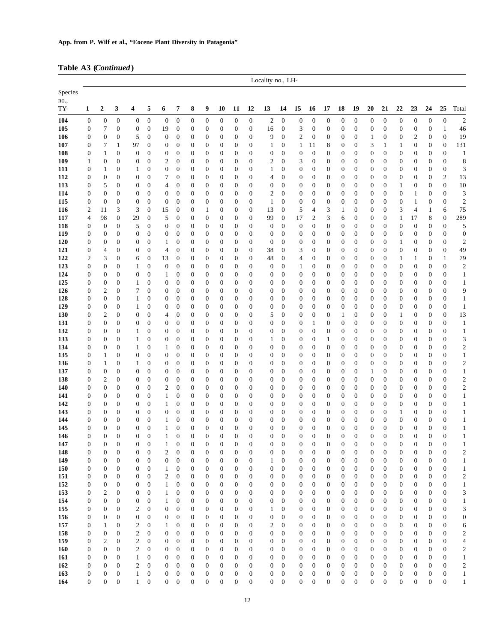### **Table A3 (***Continued***)**

|                        |                       |                                             |                                      |                                      |                                      |                                             |                                      |                                      |                                      |                                      |                                      |                                      | Locality no., LH-                    |                                      |                                    |                                      |                                      |                                    |                                      |                                      |                                      |                                      |                                      |                                      |                                      |                                                     |
|------------------------|-----------------------|---------------------------------------------|--------------------------------------|--------------------------------------|--------------------------------------|---------------------------------------------|--------------------------------------|--------------------------------------|--------------------------------------|--------------------------------------|--------------------------------------|--------------------------------------|--------------------------------------|--------------------------------------|------------------------------------|--------------------------------------|--------------------------------------|------------------------------------|--------------------------------------|--------------------------------------|--------------------------------------|--------------------------------------|--------------------------------------|--------------------------------------|--------------------------------------|-----------------------------------------------------|
| Species<br>no.,<br>TY- | 1                     | $\boldsymbol{2}$                            | 3                                    | 4                                    | 5                                    | 6                                           | 7                                    | 8                                    | 9                                    | 10                                   | 11                                   | 12                                   | 13                                   | 14                                   | 15                                 | 16                                   | 17                                   | 18                                 | 19                                   | 20                                   | 21                                   | 22                                   | 23                                   | 24                                   | 25                                   | Total                                               |
| 104                    | 0                     | $\boldsymbol{0}$                            | $\boldsymbol{0}$                     | $\boldsymbol{0}$                     | $\boldsymbol{0}$                     | $\boldsymbol{0}$                            | $\boldsymbol{0}$                     | $\boldsymbol{0}$                     | $\boldsymbol{0}$                     | $\boldsymbol{0}$                     | $\boldsymbol{0}$                     | $\boldsymbol{0}$                     | 2                                    | $\boldsymbol{0}$                     | $\boldsymbol{0}$                   | $\boldsymbol{0}$                     | $\boldsymbol{0}$                     | $\boldsymbol{0}$                   | $\boldsymbol{0}$                     | $\boldsymbol{0}$                     | $\boldsymbol{0}$                     | $\boldsymbol{0}$                     | $\mathbf{0}$                         | $\boldsymbol{0}$                     | $\boldsymbol{0}$                     | $\overline{c}$                                      |
| 105                    | $\boldsymbol{0}$      | 7                                           | $\boldsymbol{0}$                     | $\boldsymbol{0}$                     | $\boldsymbol{0}$                     | 19                                          | $\boldsymbol{0}$                     | $\boldsymbol{0}$                     | $\boldsymbol{0}$                     | $\boldsymbol{0}$                     | $\boldsymbol{0}$                     | $\mathbf{0}$                         | 16                                   | $\boldsymbol{0}$                     | 3                                  | $\boldsymbol{0}$                     | $\boldsymbol{0}$                     | 0                                  | $\boldsymbol{0}$                     | $\boldsymbol{0}$                     | $\mathbf{0}$                         | $\boldsymbol{0}$                     | $\mathbf{0}$                         | $\boldsymbol{0}$                     | $\mathbf{1}$                         | 46                                                  |
| 106                    | $\boldsymbol{0}$      | $\boldsymbol{0}$                            | 0                                    | 5                                    | $\boldsymbol{0}$                     | $\boldsymbol{0}$                            | $\boldsymbol{0}$                     | 0                                    | $\boldsymbol{0}$                     | $\boldsymbol{0}$                     | $\boldsymbol{0}$                     | $\boldsymbol{0}$                     | 9                                    | $\boldsymbol{0}$                     | 2                                  | $\boldsymbol{0}$                     | $\boldsymbol{0}$                     | 0                                  | 0                                    | 1                                    | $\boldsymbol{0}$                     | $\boldsymbol{0}$                     | 2                                    | $\boldsymbol{0}$                     | $\mathbf{0}$                         | 19                                                  |
| 107                    | $\boldsymbol{0}$      | 7                                           | 1                                    | 97                                   | $\mathbf{0}$                         | $\boldsymbol{0}$                            | $\mathbf{0}$                         | $\boldsymbol{0}$                     | 0                                    | $\boldsymbol{0}$                     | $\boldsymbol{0}$                     | $\boldsymbol{0}$                     | 1                                    | 0                                    | 1                                  | 11                                   | 8                                    | 0                                  | 0                                    | 3                                    | $\mathbf{1}$                         | 1                                    | $\boldsymbol{0}$                     | $\boldsymbol{0}$                     | $\boldsymbol{0}$                     | 131                                                 |
| 108                    | 0                     | $\mathbf{1}$                                | $\boldsymbol{0}$                     | $\mathbf{0}$                         | $\boldsymbol{0}$                     | $\boldsymbol{0}$                            | $\boldsymbol{0}$                     | $\boldsymbol{0}$                     | $\boldsymbol{0}$                     | $\boldsymbol{0}$                     | $\boldsymbol{0}$                     | $\boldsymbol{0}$                     | $\boldsymbol{0}$                     | $\boldsymbol{0}$                     | $\boldsymbol{0}$                   | $\boldsymbol{0}$                     | $\boldsymbol{0}$                     | 0                                  | 0                                    | $\boldsymbol{0}$                     | $\boldsymbol{0}$                     | $\boldsymbol{0}$                     | $\boldsymbol{0}$                     | $\boldsymbol{0}$                     | $\boldsymbol{0}$                     | $\mathbf{1}$                                        |
| 109<br>111             | 1<br>0                | $\boldsymbol{0}$<br>$\mathbf{1}$            | $\boldsymbol{0}$<br>0                | $\boldsymbol{0}$<br>$\mathbf{1}$     | $\boldsymbol{0}$<br>$\boldsymbol{0}$ | $\overline{\mathbf{c}}$<br>$\boldsymbol{0}$ | $\boldsymbol{0}$<br>$\mathbf{0}$     | $\boldsymbol{0}$<br>$\boldsymbol{0}$ | $\boldsymbol{0}$<br>$\boldsymbol{0}$ | $\boldsymbol{0}$<br>$\boldsymbol{0}$ | $\boldsymbol{0}$<br>$\boldsymbol{0}$ | $\mathbf{0}$<br>$\boldsymbol{0}$     | $\overline{c}$<br>1                  | $\boldsymbol{0}$<br>$\boldsymbol{0}$ | 3<br>0                             | $\mathbf{0}$<br>$\boldsymbol{0}$     | $\boldsymbol{0}$<br>$\boldsymbol{0}$ | 0<br>0                             | 0<br>$\boldsymbol{0}$                | $\boldsymbol{0}$<br>$\boldsymbol{0}$ | $\boldsymbol{0}$<br>$\boldsymbol{0}$ | $\boldsymbol{0}$<br>$\boldsymbol{0}$ | $\boldsymbol{0}$<br>$\boldsymbol{0}$ | $\boldsymbol{0}$<br>$\boldsymbol{0}$ | $\boldsymbol{0}$<br>$\boldsymbol{0}$ | $\,$ 8 $\,$<br>$\mathfrak{Z}$                       |
| 112                    | $\boldsymbol{0}$      | $\boldsymbol{0}$                            | $\boldsymbol{0}$                     | $\boldsymbol{0}$                     | $\boldsymbol{0}$                     | 7                                           | $\boldsymbol{0}$                     | $\boldsymbol{0}$                     | $\boldsymbol{0}$                     | $\boldsymbol{0}$                     | $\boldsymbol{0}$                     | $\boldsymbol{0}$                     | 4                                    | $\boldsymbol{0}$                     | 0                                  | $\boldsymbol{0}$                     | $\boldsymbol{0}$                     | 0                                  | $\boldsymbol{0}$                     | $\boldsymbol{0}$                     | $\boldsymbol{0}$                     | $\boldsymbol{0}$                     | $\boldsymbol{0}$                     | $\boldsymbol{0}$                     | $\overline{c}$                       | 13                                                  |
| 113                    | $\mathbf{0}$          | 5                                           | $\boldsymbol{0}$                     | $\boldsymbol{0}$                     | $\boldsymbol{0}$                     | 4                                           | $\boldsymbol{0}$                     | $\boldsymbol{0}$                     | $\boldsymbol{0}$                     | $\boldsymbol{0}$                     | $\boldsymbol{0}$                     | $\mathbf{0}$                         | $\mathbf 0$                          | $\boldsymbol{0}$                     | $\boldsymbol{0}$                   | $\mathbf{0}$                         | $\boldsymbol{0}$                     | 0                                  | $\boldsymbol{0}$                     | $\boldsymbol{0}$                     | $\mathbf{0}$                         | 1                                    | $\mathbf{0}$                         | $\boldsymbol{0}$                     | $\mathbf{0}$                         | 10                                                  |
| 114                    | $\boldsymbol{0}$      | $\boldsymbol{0}$                            | $\boldsymbol{0}$                     | $\boldsymbol{0}$                     | $\boldsymbol{0}$                     | $\boldsymbol{0}$                            | $\mathbf{0}$                         | $\boldsymbol{0}$                     | 0                                    | $\boldsymbol{0}$                     | $\boldsymbol{0}$                     | $\boldsymbol{0}$                     | $\boldsymbol{2}$                     | $\boldsymbol{0}$                     | $\boldsymbol{0}$                   | $\boldsymbol{0}$                     | $\boldsymbol{0}$                     | 0                                  | 0                                    | $\boldsymbol{0}$                     | $\boldsymbol{0}$                     | $\boldsymbol{0}$                     | 1                                    | $\boldsymbol{0}$                     | $\boldsymbol{0}$                     | 3                                                   |
| 115                    | $\boldsymbol{0}$      | $\boldsymbol{0}$                            | $\boldsymbol{0}$                     | $\boldsymbol{0}$                     | $\boldsymbol{0}$                     | $\boldsymbol{0}$                            | $\boldsymbol{0}$                     | $\boldsymbol{0}$                     | $\boldsymbol{0}$                     | $\boldsymbol{0}$                     | $\boldsymbol{0}$                     | $\boldsymbol{0}$                     | 1                                    | $\boldsymbol{0}$                     | 0                                  | $\boldsymbol{0}$                     | $\boldsymbol{0}$                     | 0                                  | $\boldsymbol{0}$                     | $\boldsymbol{0}$                     | $\boldsymbol{0}$                     | $\boldsymbol{0}$                     | $\mathbf{1}$                         | $\boldsymbol{0}$                     | $\mathbf{0}$                         | $\boldsymbol{2}$                                    |
| 116                    | 2                     | 11                                          | 3                                    | 3                                    | $\boldsymbol{0}$                     | 15                                          | $\boldsymbol{0}$                     | $\boldsymbol{0}$                     | 1                                    | $\boldsymbol{0}$                     | $\boldsymbol{0}$                     | $\mathbf{0}$                         | 13                                   | $\boldsymbol{0}$                     | 5                                  | $\overline{4}$                       | 3                                    | $\mathbf{1}$                       | 0                                    | $\boldsymbol{0}$                     | $\boldsymbol{0}$                     | 3                                    | $\overline{4}$                       | $\mathbf{1}$                         | 6                                    | 75                                                  |
| 117<br>118             | $\overline{4}$<br>0   | 98<br>$\boldsymbol{0}$                      | $\boldsymbol{0}$<br>$\boldsymbol{0}$ | 29<br>5                              | $\boldsymbol{0}$<br>$\mathbf{0}$     | 5<br>$\boldsymbol{0}$                       | $\boldsymbol{0}$<br>$\boldsymbol{0}$ | $\boldsymbol{0}$<br>$\boldsymbol{0}$ | 0<br>$\boldsymbol{0}$                | $\boldsymbol{0}$<br>$\boldsymbol{0}$ | $\boldsymbol{0}$<br>$\boldsymbol{0}$ | $\mathbf{0}$<br>$\boldsymbol{0}$     | 99<br>$\boldsymbol{0}$               | $\boldsymbol{0}$<br>$\boldsymbol{0}$ | 17<br>$\boldsymbol{0}$             | $\boldsymbol{2}$<br>$\boldsymbol{0}$ | 3<br>$\boldsymbol{0}$                | 6<br>0                             | $\boldsymbol{0}$<br>$\boldsymbol{0}$ | $\boldsymbol{0}$<br>$\boldsymbol{0}$ | $\boldsymbol{0}$<br>$\boldsymbol{0}$ | $\mathbf{1}$<br>$\boldsymbol{0}$     | 17<br>$\mathbf{0}$                   | 8<br>$\boldsymbol{0}$                | $\boldsymbol{0}$<br>$\boldsymbol{0}$ | 289<br>5                                            |
| 119                    | 0                     | $\mathbf{0}$                                | $\boldsymbol{0}$                     | $\boldsymbol{0}$                     | $\boldsymbol{0}$                     | $\boldsymbol{0}$                            | $\boldsymbol{0}$                     | $\boldsymbol{0}$                     | 0                                    | $\boldsymbol{0}$                     | $\boldsymbol{0}$                     | $\mathbf{0}$                         | $\boldsymbol{0}$                     | $\boldsymbol{0}$                     | $\boldsymbol{0}$                   | $\boldsymbol{0}$                     | $\boldsymbol{0}$                     | 0                                  | 0                                    | $\boldsymbol{0}$                     | $\mathbf{0}$                         | $\boldsymbol{0}$                     | $\mathbf{0}$                         | $\boldsymbol{0}$                     | $\mathbf{0}$                         | $\boldsymbol{0}$                                    |
| 120                    | $\boldsymbol{0}$      | $\boldsymbol{0}$                            | $\boldsymbol{0}$                     | $\boldsymbol{0}$                     | $\boldsymbol{0}$                     | $\mathbf{1}$                                | 0                                    | $\boldsymbol{0}$                     | $\boldsymbol{0}$                     | $\boldsymbol{0}$                     | $\boldsymbol{0}$                     | $\boldsymbol{0}$                     | $\boldsymbol{0}$                     | $\boldsymbol{0}$                     | $\boldsymbol{0}$                   | $\mathbf{0}$                         | $\boldsymbol{0}$                     | $\mathbf{0}$                       | $\boldsymbol{0}$                     | $\boldsymbol{0}$                     | $\boldsymbol{0}$                     | 1                                    | $\boldsymbol{0}$                     | $\boldsymbol{0}$                     | $\boldsymbol{0}$                     | $\mathbf{2}$                                        |
| 121                    | $\boldsymbol{0}$      | 4                                           | $\boldsymbol{0}$                     | $\boldsymbol{0}$                     | $\boldsymbol{0}$                     | $\overline{4}$                              | $\mathbf{0}$                         | $\boldsymbol{0}$                     | $\boldsymbol{0}$                     | $\boldsymbol{0}$                     | $\boldsymbol{0}$                     | $\boldsymbol{0}$                     | 38                                   | $\boldsymbol{0}$                     | 3                                  | $\boldsymbol{0}$                     | $\boldsymbol{0}$                     | 0                                  | 0                                    | $\boldsymbol{0}$                     | $\boldsymbol{0}$                     | $\boldsymbol{0}$                     | $\mathbf{0}$                         | $\boldsymbol{0}$                     | $\mathbf{0}$                         | 49                                                  |
| 122                    | 2                     | 3                                           | $\boldsymbol{0}$                     | 6                                    | $\boldsymbol{0}$                     | 13                                          | $\boldsymbol{0}$                     | $\boldsymbol{0}$                     | 0                                    | $\boldsymbol{0}$                     | $\boldsymbol{0}$                     | $\mathbf{0}$                         | 48                                   | 0                                    | 4                                  | $\boldsymbol{0}$                     | $\boldsymbol{0}$                     | 0                                  | 0                                    | $\boldsymbol{0}$                     | $\boldsymbol{0}$                     | 1                                    | $\mathbf{1}$                         | $\boldsymbol{0}$                     | 1                                    | 79                                                  |
| 123                    | $\boldsymbol{0}$      | $\boldsymbol{0}$                            | 0                                    | $\mathbf{1}$                         | $\boldsymbol{0}$                     | $\boldsymbol{0}$                            | $\mathbf{0}$                         | $\boldsymbol{0}$                     | $\boldsymbol{0}$                     | $\boldsymbol{0}$                     | $\boldsymbol{0}$                     | $\boldsymbol{0}$                     | $\boldsymbol{0}$                     | $\boldsymbol{0}$                     | 1                                  | $\boldsymbol{0}$                     | $\boldsymbol{0}$                     | $\mathbf{0}$                       | 0                                    | $\boldsymbol{0}$                     | $\boldsymbol{0}$                     | $\boldsymbol{0}$                     | $\mathbf{0}$                         | $\boldsymbol{0}$                     | $\mathbf{0}$                         | $\overline{\mathbf{c}}$                             |
| 124<br>125             | $\boldsymbol{0}$<br>0 | $\boldsymbol{0}$<br>$\boldsymbol{0}$        | $\boldsymbol{0}$<br>0                | $\boldsymbol{0}$<br>$\mathbf{1}$     | $\boldsymbol{0}$<br>$\boldsymbol{0}$ | 1<br>$\boldsymbol{0}$                       | $\boldsymbol{0}$<br>$\boldsymbol{0}$ | $\boldsymbol{0}$<br>$\boldsymbol{0}$ | $\boldsymbol{0}$<br>0                | $\boldsymbol{0}$<br>$\boldsymbol{0}$ | $\boldsymbol{0}$<br>$\boldsymbol{0}$ | $\boldsymbol{0}$<br>$\mathbf{0}$     | $\boldsymbol{0}$<br>$\mathbf 0$      | $\boldsymbol{0}$<br>0                | 0<br>0                             | $\boldsymbol{0}$<br>$\boldsymbol{0}$ | $\boldsymbol{0}$<br>$\boldsymbol{0}$ | 0<br>0                             | 0<br>0                               | $\boldsymbol{0}$<br>$\boldsymbol{0}$ | $\boldsymbol{0}$<br>$\boldsymbol{0}$ | $\boldsymbol{0}$<br>$\boldsymbol{0}$ | $\mathbf{0}$<br>$\boldsymbol{0}$     | $\boldsymbol{0}$<br>$\boldsymbol{0}$ | $\mathbf{0}$<br>$\boldsymbol{0}$     | $\mathbf{1}$<br>$\mathbf{1}$                        |
| 126                    | $\boldsymbol{0}$      | $\boldsymbol{2}$                            | 0                                    | 7                                    | $\boldsymbol{0}$                     | $\boldsymbol{0}$                            | $\mathbf{0}$                         | $\boldsymbol{0}$                     | 0                                    | $\boldsymbol{0}$                     | $\boldsymbol{0}$                     | $\boldsymbol{0}$                     | 0                                    | 0                                    | $\boldsymbol{0}$                   | $\boldsymbol{0}$                     | $\boldsymbol{0}$                     | 0                                  | 0                                    | $\boldsymbol{0}$                     | $\boldsymbol{0}$                     | $\boldsymbol{0}$                     | $\boldsymbol{0}$                     | $\boldsymbol{0}$                     | $\mathbf{0}$                         | 9                                                   |
| 128                    | $\boldsymbol{0}$      | $\boldsymbol{0}$                            | $\boldsymbol{0}$                     | $\mathbf{1}$                         | $\boldsymbol{0}$                     | $\boldsymbol{0}$                            | $\boldsymbol{0}$                     | $\boldsymbol{0}$                     | $\boldsymbol{0}$                     | $\boldsymbol{0}$                     | $\boldsymbol{0}$                     | $\boldsymbol{0}$                     | $\boldsymbol{0}$                     | $\boldsymbol{0}$                     | 0                                  | $\boldsymbol{0}$                     | $\boldsymbol{0}$                     | $\boldsymbol{0}$                   | $\boldsymbol{0}$                     | $\boldsymbol{0}$                     | $\boldsymbol{0}$                     | $\boldsymbol{0}$                     | $\mathbf{0}$                         | $\boldsymbol{0}$                     | $\boldsymbol{0}$                     | $\mathbf{1}$                                        |
| 129                    | 0                     | $\boldsymbol{0}$                            | 0                                    | $\mathbf{1}$                         | $\boldsymbol{0}$                     | $\boldsymbol{0}$                            | $\boldsymbol{0}$                     | $\boldsymbol{0}$                     | 0                                    | $\boldsymbol{0}$                     | $\boldsymbol{0}$                     | $\mathbf{0}$                         | $\boldsymbol{0}$                     | 0                                    | 0                                  | $\boldsymbol{0}$                     | $\boldsymbol{0}$                     | 0                                  | 0                                    | $\boldsymbol{0}$                     | $\boldsymbol{0}$                     | $\boldsymbol{0}$                     | $\boldsymbol{0}$                     | $\boldsymbol{0}$                     | $\mathbf{0}$                         | $\mathbf{1}$                                        |
| 130                    | 0                     | $\boldsymbol{2}$                            | $\boldsymbol{0}$                     | $\boldsymbol{0}$                     | $\boldsymbol{0}$                     | 4                                           | $\boldsymbol{0}$                     | $\boldsymbol{0}$                     | $\boldsymbol{0}$                     | $\boldsymbol{0}$                     | $\boldsymbol{0}$                     | $\boldsymbol{0}$                     | 5                                    | $\boldsymbol{0}$                     | 0                                  | $\boldsymbol{0}$                     | $\boldsymbol{0}$                     | 1                                  | $\boldsymbol{0}$                     | $\boldsymbol{0}$                     | $\boldsymbol{0}$                     | 1                                    | $\boldsymbol{0}$                     | $\boldsymbol{0}$                     | $\mathbf{0}$                         | 13                                                  |
| 131<br>132             | $\boldsymbol{0}$<br>0 | $\boldsymbol{0}$<br>0                       | $\boldsymbol{0}$<br>$\boldsymbol{0}$ | $\boldsymbol{0}$<br>$\mathbf{1}$     | $\mathbf{0}$<br>$\boldsymbol{0}$     | $\boldsymbol{0}$<br>$\boldsymbol{0}$        | $\boldsymbol{0}$<br>$\boldsymbol{0}$ | $\boldsymbol{0}$<br>$\boldsymbol{0}$ | $\boldsymbol{0}$<br>0                | $\boldsymbol{0}$<br>$\boldsymbol{0}$ | $\boldsymbol{0}$<br>$\boldsymbol{0}$ | $\mathbf{0}$<br>$\mathbf{0}$         | $\boldsymbol{0}$<br>$\boldsymbol{0}$ | $\boldsymbol{0}$<br>$\boldsymbol{0}$ | 0<br>$\boldsymbol{0}$              | $\mathbf{1}$<br>$\boldsymbol{0}$     | $\boldsymbol{0}$<br>$\boldsymbol{0}$ | $\boldsymbol{0}$<br>0              | $\boldsymbol{0}$<br>0                | $\boldsymbol{0}$<br>$\boldsymbol{0}$ | $\boldsymbol{0}$<br>$\boldsymbol{0}$ | $\boldsymbol{0}$<br>$\boldsymbol{0}$ | $\mathbf{0}$<br>$\boldsymbol{0}$     | $\boldsymbol{0}$<br>$\boldsymbol{0}$ | $\boldsymbol{0}$<br>$\boldsymbol{0}$ | $\mathbf{1}$<br>$\mathbf{1}$                        |
| 133                    | 0                     | $\boldsymbol{0}$                            | 0                                    | $\mathbf{1}$                         | $\boldsymbol{0}$                     | $\boldsymbol{0}$                            | $\boldsymbol{0}$                     | $\boldsymbol{0}$                     | $\boldsymbol{0}$                     | $\boldsymbol{0}$                     | $\boldsymbol{0}$                     | $\boldsymbol{0}$                     | 1                                    | 0                                    | 0                                  | $\boldsymbol{0}$                     | 1                                    | 0                                  | 0                                    | $\boldsymbol{0}$                     | $\boldsymbol{0}$                     | $\boldsymbol{0}$                     | $\boldsymbol{0}$                     | $\boldsymbol{0}$                     | $\mathbf{0}$                         | 3                                                   |
| 134                    | $\boldsymbol{0}$      | $\boldsymbol{0}$                            | $\boldsymbol{0}$                     | $\mathbf{1}$                         | $\boldsymbol{0}$                     | 1                                           | $\boldsymbol{0}$                     | $\boldsymbol{0}$                     | $\boldsymbol{0}$                     | $\boldsymbol{0}$                     | $\boldsymbol{0}$                     | $\mathbf{0}$                         | $\boldsymbol{0}$                     | $\boldsymbol{0}$                     | $\boldsymbol{0}$                   | $\boldsymbol{0}$                     | $\boldsymbol{0}$                     | $\boldsymbol{0}$                   | $\boldsymbol{0}$                     | $\boldsymbol{0}$                     | $\boldsymbol{0}$                     | $\boldsymbol{0}$                     | $\mathbf{0}$                         | $\boldsymbol{0}$                     | $\boldsymbol{0}$                     | $\boldsymbol{2}$                                    |
| 135                    | 0                     | 1                                           | $\boldsymbol{0}$                     | $\boldsymbol{0}$                     | $\boldsymbol{0}$                     | $\boldsymbol{0}$                            | $\boldsymbol{0}$                     | $\boldsymbol{0}$                     | $\boldsymbol{0}$                     | $\boldsymbol{0}$                     | $\boldsymbol{0}$                     | $\boldsymbol{0}$                     | 0                                    | $\boldsymbol{0}$                     | 0                                  | $\boldsymbol{0}$                     | $\boldsymbol{0}$                     | 0                                  | $\boldsymbol{0}$                     | $\boldsymbol{0}$                     | $\boldsymbol{0}$                     | $\boldsymbol{0}$                     | $\boldsymbol{0}$                     | $\boldsymbol{0}$                     | $\boldsymbol{0}$                     | $\mathbf{1}$                                        |
| 136                    | 0                     | 1                                           | $\boldsymbol{0}$                     | $\mathbf{1}$                         | $\boldsymbol{0}$                     | $\boldsymbol{0}$                            | $\boldsymbol{0}$                     | $\boldsymbol{0}$                     | $\boldsymbol{0}$                     | $\boldsymbol{0}$                     | $\boldsymbol{0}$                     | $\boldsymbol{0}$                     | 0                                    | $\boldsymbol{0}$                     | 0                                  | $\boldsymbol{0}$                     | $\boldsymbol{0}$                     | 0                                  | $\boldsymbol{0}$                     | $\boldsymbol{0}$                     | $\boldsymbol{0}$                     | $\boldsymbol{0}$                     | $\boldsymbol{0}$                     | $\boldsymbol{0}$                     | $\mathbf{0}$                         | $\boldsymbol{2}$                                    |
| 137                    | $\boldsymbol{0}$      | $\boldsymbol{0}$                            | $\boldsymbol{0}$<br>$\boldsymbol{0}$ | $\boldsymbol{0}$                     | $\boldsymbol{0}$                     | $\boldsymbol{0}$                            | $\boldsymbol{0}$                     | $\boldsymbol{0}$                     | 0                                    | $\boldsymbol{0}$                     | $\boldsymbol{0}$                     | $\mathbf{0}$                         | $\boldsymbol{0}$                     | $\boldsymbol{0}$                     | 0                                  | $\boldsymbol{0}$                     | $\boldsymbol{0}$                     | 0                                  | 0                                    | 1                                    | $\boldsymbol{0}$                     | $\boldsymbol{0}$                     | $\mathbf{0}$                         | $\boldsymbol{0}$                     | $\boldsymbol{0}$                     | $\mathbf{1}$                                        |
| 138<br>140             | 0<br>0                | $\overline{\mathbf{c}}$<br>$\boldsymbol{0}$ | $\boldsymbol{0}$                     | $\boldsymbol{0}$<br>$\mathbf{0}$     | $\boldsymbol{0}$<br>$\boldsymbol{0}$ | $\boldsymbol{0}$<br>$\boldsymbol{2}$        | $\boldsymbol{0}$<br>$\mathbf{0}$     | $\boldsymbol{0}$<br>$\boldsymbol{0}$ | $\boldsymbol{0}$<br>0                | $\boldsymbol{0}$<br>$\boldsymbol{0}$ | $\boldsymbol{0}$<br>0                | $\boldsymbol{0}$<br>$\mathbf{0}$     | $\mathbf 0$<br>$\mathbf{0}$          | $\boldsymbol{0}$<br>$\mathbf{0}$     | 0<br>$\boldsymbol{0}$              | $\boldsymbol{0}$<br>$\mathbf{0}$     | $\boldsymbol{0}$<br>$\boldsymbol{0}$ | 0<br>0                             | 0<br>0                               | $\boldsymbol{0}$<br>$\boldsymbol{0}$ | $\boldsymbol{0}$<br>$\boldsymbol{0}$ | $\boldsymbol{0}$<br>$\boldsymbol{0}$ | $\mathbf{0}$<br>$\boldsymbol{0}$     | $\boldsymbol{0}$<br>$\boldsymbol{0}$ | $\boldsymbol{0}$<br>$\mathbf{0}$     | $\boldsymbol{2}$<br>$\mathbf{2}$                    |
| 141                    | 0                     | 0                                           | $\boldsymbol{0}$                     | $\boldsymbol{0}$                     | $\boldsymbol{0}$                     | 1                                           | $\boldsymbol{0}$                     | 0                                    | $\boldsymbol{0}$                     | $\boldsymbol{0}$                     | $\boldsymbol{0}$                     | $\boldsymbol{0}$                     | $\boldsymbol{0}$                     | $\boldsymbol{0}$                     | $\boldsymbol{0}$                   | $\boldsymbol{0}$                     | $\boldsymbol{0}$                     | 0                                  | 0                                    | $\boldsymbol{0}$                     | $\boldsymbol{0}$                     | $\boldsymbol{0}$                     | $\boldsymbol{0}$                     | $\boldsymbol{0}$                     | $\boldsymbol{0}$                     | $\mathbf{1}$                                        |
| 142                    | 0                     | 0                                           | $\boldsymbol{0}$                     | $\boldsymbol{0}$                     | $\boldsymbol{0}$                     | 1                                           | 0                                    | $\boldsymbol{0}$                     | $\boldsymbol{0}$                     | $\boldsymbol{0}$                     | $\boldsymbol{0}$                     | $\boldsymbol{0}$                     | $\mathbf 0$                          | 0                                    | 0                                  | $\boldsymbol{0}$                     | $\boldsymbol{0}$                     | 0                                  | 0                                    | $\boldsymbol{0}$                     | $\boldsymbol{0}$                     | $\boldsymbol{0}$                     | $\boldsymbol{0}$                     | $\boldsymbol{0}$                     | $\boldsymbol{0}$                     | $\mathbf{1}$                                        |
| 143                    | 0                     | 0                                           | $\boldsymbol{0}$                     | $\mathbf{0}$                         | $\overline{0}$                       | $\boldsymbol{0}$                            | $\boldsymbol{0}$                     | $\boldsymbol{0}$                     | 0                                    | $\boldsymbol{0}$                     | $\boldsymbol{0}$                     | $\boldsymbol{0}$                     | $\mathbf 0$                          | $\boldsymbol{0}$                     | $\boldsymbol{0}$                   | $\mathbf{0}$                         | $\boldsymbol{0}$                     | 0                                  | 0                                    | $\boldsymbol{0}$                     | $\boldsymbol{0}$                     | $\mathbf{1}$                         | $\boldsymbol{0}$                     | $\boldsymbol{0}$                     | $\mathbf{0}$                         | $\mathbf{1}$                                        |
| 144                    | 0                     | 0                                           | $\boldsymbol{0}$                     | $\boldsymbol{0}$                     | $\mathbf{0}$                         | 1                                           | 0                                    | 0                                    | 0                                    | $\boldsymbol{0}$                     | 0                                    | $\mathbf{0}$                         | $\boldsymbol{0}$                     | $\boldsymbol{0}$                     | $\boldsymbol{0}$                   | $\boldsymbol{0}$                     | 0                                    | 0                                  | 0                                    | $\boldsymbol{0}$                     | $\boldsymbol{0}$                     | $\boldsymbol{0}$                     | $\boldsymbol{0}$                     | $\boldsymbol{0}$                     | 0                                    | $\mathbf{1}$                                        |
| 145<br>146             | 0<br>0                | $\boldsymbol{0}$<br>$\mathbf{0}$            | $\boldsymbol{0}$<br>$\overline{0}$   | $\mathbf{0}$<br>$\mathbf{0}$         | $\boldsymbol{0}$<br>$\overline{0}$   | 1<br>1                                      | $\mathbf{0}$<br>$\mathbf{0}$         | $\boldsymbol{0}$<br>$\boldsymbol{0}$ | 0<br>$\overline{0}$                  | $\boldsymbol{0}$<br>$\overline{0}$   | $\boldsymbol{0}$<br>$\overline{0}$   | $\boldsymbol{0}$<br>$\mathbf{0}$     | $\mathbf{0}$<br>$\overline{0}$       | $\boldsymbol{0}$<br>$\overline{0}$   | $\boldsymbol{0}$<br>$\overline{0}$ | $\boldsymbol{0}$<br>$\overline{0}$   | 0<br>$\overline{0}$                  | $\boldsymbol{0}$<br>$\overline{0}$ | 0<br>$\overline{0}$                  | $\boldsymbol{0}$<br>$\overline{0}$   | $\boldsymbol{0}$<br>$\mathbf{0}$     | $\mathbf{0}$<br>$\overline{0}$       | $\boldsymbol{0}$<br>$\mathbf{0}$     | $\boldsymbol{0}$<br>$\mathbf{0}$     | $\mathbf{0}$<br>$\overline{0}$       | 1<br>$\mathbf{1}$                                   |
| 147                    | 0                     | $\boldsymbol{0}$                            | 0                                    | 0                                    | $\boldsymbol{0}$                     | 1                                           | $\boldsymbol{0}$                     | $\boldsymbol{0}$                     | $\boldsymbol{0}$                     | 0                                    | $\boldsymbol{0}$                     | $\boldsymbol{0}$                     | 0                                    | 0                                    | 0                                  | $\mathbf{0}$                         | 0                                    | 0                                  | 0                                    | $\boldsymbol{0}$                     | $\mathbf{0}$                         | 0                                    | $\boldsymbol{0}$                     | 0                                    | $\boldsymbol{0}$                     | 1                                                   |
| 148                    | 0                     | $\boldsymbol{0}$                            | $\boldsymbol{0}$                     | $\boldsymbol{0}$                     | $\boldsymbol{0}$                     | $\boldsymbol{2}$                            | $\boldsymbol{0}$                     | $\boldsymbol{0}$                     | $\boldsymbol{0}$                     | $\boldsymbol{0}$                     | $\boldsymbol{0}$                     | $\boldsymbol{0}$                     | $\boldsymbol{0}$                     | $\boldsymbol{0}$                     | $\boldsymbol{0}$                   | $\boldsymbol{0}$                     | $\boldsymbol{0}$                     | $\boldsymbol{0}$                   | $\boldsymbol{0}$                     | $\boldsymbol{0}$                     | $\boldsymbol{0}$                     | $\boldsymbol{0}$                     | $\boldsymbol{0}$                     | $\boldsymbol{0}$                     | $\boldsymbol{0}$                     | $\overline{\mathbf{c}}$                             |
| 149                    | $\boldsymbol{0}$      | $\boldsymbol{0}$                            | $\boldsymbol{0}$                     | $\boldsymbol{0}$                     | $\boldsymbol{0}$                     | $\boldsymbol{0}$                            | 0                                    | $\boldsymbol{0}$                     | $\boldsymbol{0}$                     | 0                                    | $\boldsymbol{0}$                     | $\boldsymbol{0}$                     | 1                                    | $\boldsymbol{0}$                     | $\boldsymbol{0}$                   | $\boldsymbol{0}$                     | $\boldsymbol{0}$                     | 0                                  | $\boldsymbol{0}$                     | $\boldsymbol{0}$                     | $\boldsymbol{0}$                     | $\boldsymbol{0}$                     | $\boldsymbol{0}$                     | $\boldsymbol{0}$                     | $\boldsymbol{0}$                     | $\mathbf{1}$                                        |
| 150                    | 0                     | 0                                           | 0                                    | $\boldsymbol{0}$                     | $\boldsymbol{0}$                     | 1                                           | 0                                    | $\boldsymbol{0}$                     | $\boldsymbol{0}$                     | $\boldsymbol{0}$                     | $\boldsymbol{0}$                     | $\boldsymbol{0}$                     | $\boldsymbol{0}$                     | 0                                    | $\boldsymbol{0}$                   | $\boldsymbol{0}$                     | $\boldsymbol{0}$                     | 0                                  | $\boldsymbol{0}$                     | $\boldsymbol{0}$                     | $\boldsymbol{0}$                     | $\boldsymbol{0}$                     | $\boldsymbol{0}$                     | $\boldsymbol{0}$                     | $\boldsymbol{0}$                     | 1                                                   |
| 151<br>152             | 0<br>0                | $\boldsymbol{0}$                            | $\boldsymbol{0}$<br>$\boldsymbol{0}$ | $\boldsymbol{0}$<br>$\boldsymbol{0}$ | $\boldsymbol{0}$<br>0                | $\boldsymbol{2}$<br>$\mathbf{1}$            | 0<br>$\boldsymbol{0}$                | $\boldsymbol{0}$<br>$\boldsymbol{0}$ | $\boldsymbol{0}$<br>0                | $\boldsymbol{0}$<br>0                | $\boldsymbol{0}$<br>$\boldsymbol{0}$ | $\boldsymbol{0}$<br>$\boldsymbol{0}$ | $\boldsymbol{0}$<br>$\boldsymbol{0}$ | $\boldsymbol{0}$<br>$\boldsymbol{0}$ | 0                                  | $\boldsymbol{0}$<br>0                | $\boldsymbol{0}$<br>$\boldsymbol{0}$ | 0<br>0                             | $\boldsymbol{0}$<br>0                | $\boldsymbol{0}$<br>$\boldsymbol{0}$ | $\boldsymbol{0}$<br>$\boldsymbol{0}$ | $\boldsymbol{0}$<br>$\boldsymbol{0}$ | $\boldsymbol{0}$<br>$\boldsymbol{0}$ | $\boldsymbol{0}$<br>0                | $\boldsymbol{0}$<br>$\boldsymbol{0}$ | $\overline{\mathbf{c}}$<br>$\,1$                    |
| 153                    | 0                     | $\boldsymbol{0}$<br>$\overline{\mathbf{c}}$ | 0                                    | $\boldsymbol{0}$                     | $\boldsymbol{0}$                     | 1                                           | 0                                    | 0                                    | 0                                    | $\boldsymbol{0}$                     | $\boldsymbol{0}$                     | $\boldsymbol{0}$                     | $\boldsymbol{0}$                     | 0                                    | 0<br>$\boldsymbol{0}$              | $\boldsymbol{0}$                     | $\boldsymbol{0}$                     | 0                                  | 0                                    | $\boldsymbol{0}$                     | $\boldsymbol{0}$                     | $\boldsymbol{0}$                     | $\boldsymbol{0}$                     | 0                                    | $\boldsymbol{0}$                     | 3                                                   |
| 154                    | 0                     | $\boldsymbol{0}$                            | $\boldsymbol{0}$                     | $\boldsymbol{0}$                     | $\boldsymbol{0}$                     | 1                                           | 0                                    | $\boldsymbol{0}$                     | 0                                    | $\boldsymbol{0}$                     | $\boldsymbol{0}$                     | $\boldsymbol{0}$                     | $\boldsymbol{0}$                     | 0                                    | $\boldsymbol{0}$                   | $\boldsymbol{0}$                     | $\boldsymbol{0}$                     | 0                                  | $\boldsymbol{0}$                     | $\boldsymbol{0}$                     | $\boldsymbol{0}$                     | $\boldsymbol{0}$                     | $\boldsymbol{0}$                     | $\boldsymbol{0}$                     | $\boldsymbol{0}$                     | $\mathbf{1}$                                        |
| 155                    | 0                     | 0                                           | 0                                    | 2                                    | $\boldsymbol{0}$                     | $\boldsymbol{0}$                            | 0                                    | $\boldsymbol{0}$                     | 0                                    | 0                                    | $\boldsymbol{0}$                     | $\boldsymbol{0}$                     | 1                                    | $\boldsymbol{0}$                     | $\boldsymbol{0}$                   | 0                                    | $\boldsymbol{0}$                     | 0                                  | 0                                    | $\boldsymbol{0}$                     | $\boldsymbol{0}$                     | $\boldsymbol{0}$                     | $\boldsymbol{0}$                     | $\boldsymbol{0}$                     | $\boldsymbol{0}$                     | 3                                                   |
| 156                    | 0                     | 0                                           | 0                                    | $\boldsymbol{0}$                     | $\boldsymbol{0}$                     | $\boldsymbol{0}$                            | 0                                    | $\boldsymbol{0}$                     | $\boldsymbol{0}$                     | $\boldsymbol{0}$                     | $\boldsymbol{0}$                     | $\boldsymbol{0}$                     | $\boldsymbol{0}$                     | 0                                    | $\boldsymbol{0}$                   | $\boldsymbol{0}$                     | $\boldsymbol{0}$                     | 0                                  | 0                                    | $\boldsymbol{0}$                     | $\boldsymbol{0}$                     | $\boldsymbol{0}$                     | $\mathbf{0}$                         | $\boldsymbol{0}$                     | $\boldsymbol{0}$                     | $\boldsymbol{0}$                                    |
| 157                    | 0                     | 1                                           | 0                                    | $\overline{\mathbf{c}}$              | $\boldsymbol{0}$                     | 1                                           | $\boldsymbol{0}$                     | $\boldsymbol{0}$                     | 0                                    | $\boldsymbol{0}$                     | $\boldsymbol{0}$                     | $\boldsymbol{0}$                     | $\overline{\mathbf{c}}$              | $\boldsymbol{0}$                     | $\boldsymbol{0}$                   | $\boldsymbol{0}$                     | $\boldsymbol{0}$                     | 0                                  | $\boldsymbol{0}$                     | $\boldsymbol{0}$                     | $\boldsymbol{0}$                     | $\boldsymbol{0}$                     | $\boldsymbol{0}$                     | $\boldsymbol{0}$                     | $\boldsymbol{0}$                     | 6                                                   |
| 158<br>159             | 0<br>0                | $\boldsymbol{0}$<br>2                       | $\boldsymbol{0}$<br>0                | $\boldsymbol{2}$<br>$\boldsymbol{2}$ | $\boldsymbol{0}$<br>$\boldsymbol{0}$ | $\boldsymbol{0}$<br>$\boldsymbol{0}$        | $\boldsymbol{0}$<br>$\boldsymbol{0}$ | $\boldsymbol{0}$<br>$\boldsymbol{0}$ | 0<br>$\boldsymbol{0}$                | 0<br>$\boldsymbol{0}$                | $\boldsymbol{0}$<br>$\boldsymbol{0}$ | $\boldsymbol{0}$<br>$\boldsymbol{0}$ | 0<br>$\boldsymbol{0}$                | 0<br>0                               | 0<br>$\boldsymbol{0}$              | 0<br>0                               | $\boldsymbol{0}$<br>$\boldsymbol{0}$ | 0<br>0                             | 0<br>0                               | $\boldsymbol{0}$<br>$\boldsymbol{0}$ | $\boldsymbol{0}$<br>$\boldsymbol{0}$ | $\boldsymbol{0}$<br>$\boldsymbol{0}$ | $\boldsymbol{0}$<br>$\boldsymbol{0}$ | 0<br>0                               | $\boldsymbol{0}$<br>$\boldsymbol{0}$ | $\overline{\mathbf{c}}$<br>$\overline{\mathcal{L}}$ |
| 160                    | 0                     | $\boldsymbol{0}$                            | $\boldsymbol{0}$                     | $\overline{\mathbf{c}}$              | $\boldsymbol{0}$                     | $\boldsymbol{0}$                            | $\boldsymbol{0}$                     | $\boldsymbol{0}$                     | 0                                    | $\boldsymbol{0}$                     | $\boldsymbol{0}$                     | $\boldsymbol{0}$                     | $\boldsymbol{0}$                     | 0                                    | 0                                  | $\boldsymbol{0}$                     | $\boldsymbol{0}$                     | 0                                  | 0                                    | $\boldsymbol{0}$                     | $\boldsymbol{0}$                     | $\boldsymbol{0}$                     | $\mathbf{0}$                         | $\boldsymbol{0}$                     | $\boldsymbol{0}$                     | $\overline{\mathbf{c}}$                             |
| 161                    | 0                     | 0                                           | $\boldsymbol{0}$                     | $\mathbf{1}$                         | $\boldsymbol{0}$                     | $\boldsymbol{0}$                            | $\boldsymbol{0}$                     | $\boldsymbol{0}$                     | $\boldsymbol{0}$                     | $\boldsymbol{0}$                     | $\boldsymbol{0}$                     | $\boldsymbol{0}$                     | 0                                    | $\boldsymbol{0}$                     | $\boldsymbol{0}$                   | $\boldsymbol{0}$                     | $\boldsymbol{0}$                     | 0                                  | 0                                    | $\boldsymbol{0}$                     | $\boldsymbol{0}$                     | $\boldsymbol{0}$                     | $\boldsymbol{0}$                     | 0                                    | $\boldsymbol{0}$                     | $\mathbf 1$                                         |
| 162                    | 0                     | 0                                           | 0                                    | $\boldsymbol{2}$                     | $\boldsymbol{0}$                     | $\boldsymbol{0}$                            | 0                                    | $\boldsymbol{0}$                     | $\boldsymbol{0}$                     | $\boldsymbol{0}$                     | $\boldsymbol{0}$                     | $\boldsymbol{0}$                     | $\boldsymbol{0}$                     | 0                                    | $\boldsymbol{0}$                   | $\boldsymbol{0}$                     | $\boldsymbol{0}$                     | 0                                  | 0                                    | $\boldsymbol{0}$                     | $\boldsymbol{0}$                     | $\boldsymbol{0}$                     | $\boldsymbol{0}$                     | 0                                    | $\boldsymbol{0}$                     | $\overline{\mathbf{c}}$                             |
| 163                    | 0                     | $\boldsymbol{0}$                            | $\boldsymbol{0}$                     | $\mathbf{1}$                         | $\boldsymbol{0}$                     | $\boldsymbol{0}$                            | 0                                    | $\boldsymbol{0}$                     | 0                                    | $\boldsymbol{0}$                     | $\boldsymbol{0}$                     | $\boldsymbol{0}$                     | 0                                    | $\boldsymbol{0}$                     | $\boldsymbol{0}$                   | $\boldsymbol{0}$                     | $\boldsymbol{0}$                     | 0                                  | $\boldsymbol{0}$                     | $\boldsymbol{0}$                     | $\boldsymbol{0}$                     | $\boldsymbol{0}$                     | $\boldsymbol{0}$                     | $\boldsymbol{0}$                     | $\boldsymbol{0}$                     | $\mathbf{1}$                                        |
| 164                    | 0                     | 0                                           | $\boldsymbol{0}$                     | $\mathbf{1}$                         | $\boldsymbol{0}$                     | 0                                           | 0                                    | $\boldsymbol{0}$                     | 0                                    | $\boldsymbol{0}$                     | 0                                    | $\boldsymbol{0}$                     | 0                                    | $\boldsymbol{0}$                     | 0                                  | $\boldsymbol{0}$                     | 0                                    | 0                                  | $\boldsymbol{0}$                     | 0                                    | $\boldsymbol{0}$                     | $\boldsymbol{0}$                     | $\boldsymbol{0}$                     | $\boldsymbol{0}$                     | $\boldsymbol{0}$                     | $\mathbf{1}$                                        |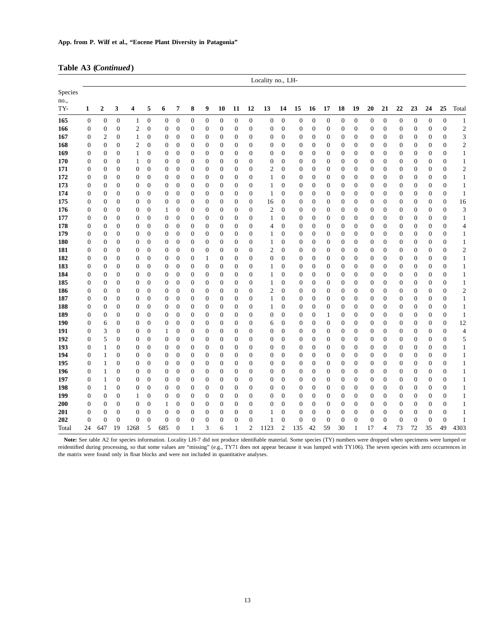|  | Table A3 (Continued) |
|--|----------------------|
|--|----------------------|

|                        |                                    |                         |                                |                                  |                                  |                                  |                              |                                  |                                  |                                  |                                  |                          | Locality no., LH-              |                              |                                      |                                      |                                  |                              |                     |                                  |                                  |                                      |                                |                                  |                                  |                          |
|------------------------|------------------------------------|-------------------------|--------------------------------|----------------------------------|----------------------------------|----------------------------------|------------------------------|----------------------------------|----------------------------------|----------------------------------|----------------------------------|--------------------------|--------------------------------|------------------------------|--------------------------------------|--------------------------------------|----------------------------------|------------------------------|---------------------|----------------------------------|----------------------------------|--------------------------------------|--------------------------------|----------------------------------|----------------------------------|--------------------------|
| Species<br>no.,<br>TY- | $\mathbf{1}$                       | $\overline{\mathbf{2}}$ | 3                              | $\overline{\mathbf{4}}$          | 5                                | 6                                | 7                            | 8                                | 9                                | 10                               | 11                               | 12                       | 13                             | 14                           | 15                                   | 16                                   | 17                               | 18                           | 19                  | 20                               | 21                               | 22                                   | 23                             | 24                               | 25                               | Total                    |
| 165                    | $\mathbf{0}$                       | $\mathbf{0}$            | $\overline{0}$                 | 1                                | $\boldsymbol{0}$                 | $\boldsymbol{0}$                 | $\mathbf{0}$                 | $\boldsymbol{0}$                 | $\mathbf{0}$                     | $\boldsymbol{0}$                 | $\boldsymbol{0}$                 | $\mathbf{0}$             | $\overline{0}$                 | $\mathbf{0}$                 | $\mathbf{0}$                         | $\mathbf{0}$                         | $\mathbf{0}$                     | $\mathbf{0}$                 | $\boldsymbol{0}$    | $\mathbf{0}$                     | $\mathbf{0}$                     | $\boldsymbol{0}$                     | $\mathbf{0}$                   | $\mathbf{0}$                     | $\boldsymbol{0}$                 | $\mathbf{1}$             |
| 166                    | $\boldsymbol{0}$                   | $\mathbf{0}$            | $\overline{0}$                 | $\mathfrak{2}$                   | $\mathbf{0}$                     | $\boldsymbol{0}$                 | $\boldsymbol{0}$             | $\boldsymbol{0}$                 | $\mathbf{0}$                     | $\boldsymbol{0}$                 | $\boldsymbol{0}$                 | $\mathbf{0}$             | $\boldsymbol{0}$               | $\boldsymbol{0}$             | $\boldsymbol{0}$                     | $\boldsymbol{0}$                     | $\boldsymbol{0}$                 | $\mathbf{0}$                 | $\boldsymbol{0}$    | $\boldsymbol{0}$                 | $\boldsymbol{0}$                 | $\boldsymbol{0}$                     | $\boldsymbol{0}$               | $\boldsymbol{0}$                 | $\boldsymbol{0}$                 | $\sqrt{2}$               |
| 167                    | 0                                  | $\boldsymbol{2}$        | $\mathbf{0}$                   | $\mathbf{1}$                     | $\mathbf{0}$                     | $\boldsymbol{0}$                 | $\mathbf{0}$                 | $\boldsymbol{0}$                 | $\overline{0}$                   | $\boldsymbol{0}$                 | $\boldsymbol{0}$                 | $\mathbf{0}$             | 0                              | $\theta$                     | 0                                    | $\mathbf{0}$                         | $\overline{0}$                   | 0                            | $\overline{0}$      | $\mathbf{0}$                     | $\boldsymbol{0}$                 | $\boldsymbol{0}$                     | $\overline{0}$                 | $\boldsymbol{0}$                 | $\mathbf{0}$                     | 3                        |
| 168                    | $\overline{0}$                     | $\mathbf{0}$            | $\mathbf{0}$                   | $\mathfrak{2}$                   | $\boldsymbol{0}$                 | $\boldsymbol{0}$                 | $\mathbf{0}$                 | $\boldsymbol{0}$                 | $\mathbf{0}$                     | $\boldsymbol{0}$                 | 0                                | $\Omega$                 | $\overline{0}$                 | $\theta$                     | $\mathbf{0}$                         | $\boldsymbol{0}$                     | $\overline{0}$                   | $\boldsymbol{0}$             | $\overline{0}$      | $\mathbf{0}$                     | $\boldsymbol{0}$                 | $\boldsymbol{0}$                     | $\overline{0}$                 | $\boldsymbol{0}$                 | $\mathbf{0}$                     | $\sqrt{2}$               |
| 169                    | $\mathbf{0}$                       | $\boldsymbol{0}$        | $\overline{0}$                 | 1                                | $\boldsymbol{0}$                 | $\boldsymbol{0}$                 | $\boldsymbol{0}$             | $\boldsymbol{0}$                 | $\boldsymbol{0}$                 | $\boldsymbol{0}$                 | $\boldsymbol{0}$                 | $\mathbf{0}$             | $\mathbf{0}$                   | $\boldsymbol{0}$             | $\boldsymbol{0}$                     | $\boldsymbol{0}$                     | $\boldsymbol{0}$                 | $\mathbf{0}$                 | 0                   | $\boldsymbol{0}$                 | $\boldsymbol{0}$                 | $\boldsymbol{0}$                     | $\mathbf{0}$                   | $\boldsymbol{0}$                 | $\boldsymbol{0}$                 | $\mathbf{1}$             |
| 170                    | $\mathbf{0}$                       | $\boldsymbol{0}$        | $\overline{0}$                 | $\mathbf{1}$                     | $\boldsymbol{0}$                 | $\boldsymbol{0}$                 | $\mathbf{0}$                 | $\boldsymbol{0}$                 | $\mathbf{0}$                     | $\boldsymbol{0}$                 | $\boldsymbol{0}$                 | $\mathbf{0}$             | $\mathbf{0}$                   | $\mathbf{0}$                 | $\boldsymbol{0}$                     | $\boldsymbol{0}$                     | $\overline{0}$                   | $\mathbf{0}$                 | $\overline{0}$      | $\mathbf{0}$                     | $\boldsymbol{0}$                 | $\boldsymbol{0}$                     | $\overline{0}$                 | $\boldsymbol{0}$                 | $\boldsymbol{0}$                 | $\mathbf{1}$             |
| 171                    | $\mathbf{0}$                       | $\mathbf{0}$            | $\theta$                       | $\mathbf{0}$                     | $\overline{0}$                   | $\boldsymbol{0}$                 | $\boldsymbol{0}$             | $\boldsymbol{0}$                 | $\overline{0}$                   | $\boldsymbol{0}$                 | $\mathbf{0}$                     | $\Omega$                 | $\overline{c}$                 | $\overline{0}$               | $\boldsymbol{0}$                     | $\boldsymbol{0}$                     | $\overline{0}$                   | $\mathbf{0}$                 | $\overline{0}$      | $\mathbf{0}$                     | $\boldsymbol{0}$                 | $\boldsymbol{0}$                     | $\mathbf{0}$                   | $\boldsymbol{0}$                 | $\mathbf{0}$                     | $\sqrt{2}$               |
| 172                    | $\overline{0}$                     | $\mathbf{0}$            | $\overline{0}$                 | $\mathbf{0}$                     | $\overline{0}$                   | $\boldsymbol{0}$                 | $\boldsymbol{0}$             | $\boldsymbol{0}$                 | $\boldsymbol{0}$                 | $\boldsymbol{0}$                 | $\boldsymbol{0}$                 | $\mathbf{0}$             | 1                              | $\boldsymbol{0}$             | $\boldsymbol{0}$                     | $\boldsymbol{0}$                     | $\overline{0}$                   | $\mathbf{0}$                 | $\overline{0}$      | $\boldsymbol{0}$                 | $\boldsymbol{0}$                 | $\boldsymbol{0}$                     | $\overline{0}$                 | $\boldsymbol{0}$                 | $\mathbf{0}$                     | $\mathbf{1}$             |
| 173                    | $\boldsymbol{0}$                   | $\boldsymbol{0}$        | $\overline{0}$                 | $\boldsymbol{0}$                 | $\mathbf{0}$                     | $\boldsymbol{0}$                 | $\mathbf{0}$                 | $\boldsymbol{0}$                 | $\mathbf{0}$                     | $\boldsymbol{0}$                 | $\boldsymbol{0}$                 | $\mathbf{0}$             | $\mathbf{1}$                   | $\overline{0}$               | $\boldsymbol{0}$                     | $\boldsymbol{0}$                     | $\overline{0}$                   | $\mathbf{0}$                 | $\overline{0}$      | $\mathbf{0}$                     | $\boldsymbol{0}$                 | $\boldsymbol{0}$                     | $\mathbf{0}$                   | $\boldsymbol{0}$                 | $\boldsymbol{0}$                 | $\mathbf{1}$             |
| 174                    | $\overline{0}$                     | $\mathbf{0}$            | $\mathbf{0}$                   | $\mathbf{0}$                     | $\overline{0}$                   | $\boldsymbol{0}$                 | $\theta$                     | $\mathbf{0}$                     | $\mathbf{0}$                     | $\boldsymbol{0}$                 | $\overline{0}$                   | $\mathbf{0}$             | 1                              | $\overline{0}$               | $\boldsymbol{0}$                     | $\mathbf{0}$                         | $\overline{0}$                   | $\mathbf{0}$                 | $\overline{0}$      | $\mathbf{0}$                     | $\boldsymbol{0}$                 | $\boldsymbol{0}$                     | $\overline{0}$                 | $\boldsymbol{0}$                 | $\mathbf{0}$                     | $\mathbf{1}$             |
| 175                    | $\mathbf{0}$                       | $\boldsymbol{0}$        | $\overline{0}$                 | $\mathbf{0}$                     | $\overline{0}$                   | $\boldsymbol{0}$                 | $\boldsymbol{0}$             | $\boldsymbol{0}$                 | $\boldsymbol{0}$                 | $\boldsymbol{0}$                 | $\boldsymbol{0}$                 | $\mathbf{0}$             | 16                             | $\boldsymbol{0}$             | $\boldsymbol{0}$                     | $\boldsymbol{0}$                     | $\boldsymbol{0}$                 | $\mathbf{0}$                 | $\overline{0}$      | $\boldsymbol{0}$                 | $\boldsymbol{0}$                 | $\boldsymbol{0}$                     | $\overline{0}$                 | $\boldsymbol{0}$                 | $\boldsymbol{0}$                 | 16                       |
| 176                    | $\mathbf{0}$                       | $\boldsymbol{0}$        | $\overline{0}$                 | $\boldsymbol{0}$                 | $\overline{0}$                   | $\mathbf{1}$                     | $\boldsymbol{0}$             | $\boldsymbol{0}$                 | $\mathbf{0}$                     | $\boldsymbol{0}$                 | $\boldsymbol{0}$                 | $\mathbf{0}$             | $\overline{c}$                 | $\overline{0}$               | $\boldsymbol{0}$                     | $\mathbf{0}$                         | $\overline{0}$                   | $\mathbf{0}$                 | $\overline{0}$      | $\boldsymbol{0}$                 | $\boldsymbol{0}$                 | $\boldsymbol{0}$                     | $\mathbf{0}$                   | $\boldsymbol{0}$                 | $\mathbf{0}$                     | 3                        |
| 177                    | $\overline{0}$                     | $\mathbf{0}$            | $\theta$                       | $\mathbf{0}$                     | $\overline{0}$                   | $\boldsymbol{0}$                 | $\mathbf{0}$                 | $\boldsymbol{0}$                 | $\overline{0}$                   | $\overline{0}$                   | 0                                | $\mathbf{0}$             | 1                              | $\overline{0}$               | $\mathbf{0}$                         | $\overline{0}$                       | $\overline{0}$                   | $\overline{0}$               | $\overline{0}$      | $\mathbf{0}$                     | $\mathbf{0}$                     | $\boldsymbol{0}$                     | $\overline{0}$                 | $\mathbf{0}$                     | $\mathbf{0}$                     | $\mathbf{1}$             |
| 178                    | 0                                  | $\boldsymbol{0}$        | $\overline{0}$                 | $\boldsymbol{0}$                 | $\boldsymbol{0}$                 | 0                                | $\boldsymbol{0}$             | $\boldsymbol{0}$                 | $\boldsymbol{0}$                 | $\boldsymbol{0}$                 | $\boldsymbol{0}$                 | $\mathbf{0}$             | 4                              | $\boldsymbol{0}$             | $\boldsymbol{0}$                     | $\boldsymbol{0}$                     | $\boldsymbol{0}$                 | $\mathbf{0}$                 | 0                   | $\boldsymbol{0}$                 | $\boldsymbol{0}$                 | $\boldsymbol{0}$                     | $\boldsymbol{0}$               | $\boldsymbol{0}$                 | $\boldsymbol{0}$                 | $\overline{\mathcal{A}}$ |
| 179                    | $\overline{0}$                     | $\mathbf{0}$            | $\overline{0}$                 | $\mathbf{0}$                     | $\overline{0}$                   | $\boldsymbol{0}$                 | $\boldsymbol{0}$             | $\boldsymbol{0}$                 | $\boldsymbol{0}$                 | $\boldsymbol{0}$                 | $\boldsymbol{0}$                 | $\mathbf{0}$             | 1                              | $\overline{0}$               | $\boldsymbol{0}$                     | $\boldsymbol{0}$                     | $\overline{0}$                   | $\mathbf{0}$                 | $\overline{0}$      | $\boldsymbol{0}$                 | $\boldsymbol{0}$                 | $\boldsymbol{0}$                     | $\mathbf{0}$                   | $\boldsymbol{0}$                 | $\mathbf{0}$                     | $\mathbf{1}$             |
| 180                    | $\overline{0}$                     | $\mathbf{0}$            | $\overline{0}$                 | $\mathbf{0}$                     | $\overline{0}$                   | $\boldsymbol{0}$                 | $\mathbf{0}$                 | $\boldsymbol{0}$                 | $\overline{0}$                   | $\mathbf{0}$                     | $\boldsymbol{0}$                 | $\mathbf{0}$             | 1                              | $\overline{0}$               | $\boldsymbol{0}$                     | $\boldsymbol{0}$                     | $\overline{0}$                   | $\mathbf{0}$                 | $\overline{0}$      | $\mathbf{0}$                     | $\boldsymbol{0}$                 | $\boldsymbol{0}$                     | $\overline{0}$                 | $\mathbf{0}$                     | $\boldsymbol{0}$                 | $\mathbf{1}$             |
| 181                    | $\boldsymbol{0}$                   | $\boldsymbol{0}$        | $\overline{0}$                 | $\boldsymbol{0}$                 | $\boldsymbol{0}$                 | 0                                | $\boldsymbol{0}$             | $\boldsymbol{0}$                 | $\boldsymbol{0}$                 | $\boldsymbol{0}$                 | $\boldsymbol{0}$                 | $\mathbf{0}$             | $\mathbf{2}$                   | $\boldsymbol{0}$             | $\boldsymbol{0}$                     | $\boldsymbol{0}$                     | $\boldsymbol{0}$                 | $\boldsymbol{0}$             | 0                   | $\boldsymbol{0}$                 | $\boldsymbol{0}$                 | $\boldsymbol{0}$                     | $\mathbf{0}$                   | $\boldsymbol{0}$                 | $\boldsymbol{0}$                 | $\sqrt{2}$               |
| 182                    | $\overline{0}$                     | $\mathbf{0}$            | $\overline{0}$                 | $\mathbf{0}$                     | $\overline{0}$                   | $\boldsymbol{0}$                 | $\boldsymbol{0}$             | $\boldsymbol{0}$                 | $\mathbf{1}$                     | $\boldsymbol{0}$                 | $\overline{0}$                   | $\Omega$                 | $\overline{0}$                 | $\boldsymbol{0}$             | $\boldsymbol{0}$                     | $\boldsymbol{0}$                     | $\overline{0}$                   | $\mathbf{0}$                 | $\overline{0}$      | $\boldsymbol{0}$                 | $\mathbf{0}$                     | $\boldsymbol{0}$                     | $\overline{0}$                 | $\boldsymbol{0}$                 | $\mathbf{0}$                     | $\mathbf{1}$             |
| 183                    | $\boldsymbol{0}$                   | $\boldsymbol{0}$        | $\mathbf{0}$                   | $\boldsymbol{0}$                 | $\boldsymbol{0}$                 | $\boldsymbol{0}$                 | $\boldsymbol{0}$             | $\boldsymbol{0}$                 | $\overline{0}$                   | $\boldsymbol{0}$                 | $\boldsymbol{0}$                 | $\mathbf{0}$             | 1                              | $\overline{0}$               | $\boldsymbol{0}$                     | $\mathbf{0}$                         | $\overline{0}$                   | $\mathbf{0}$                 | $\overline{0}$      | $\mathbf{0}$                     | $\boldsymbol{0}$                 | $\boldsymbol{0}$                     | $\mathbf{0}$                   | $\boldsymbol{0}$                 | $\boldsymbol{0}$                 | $\mathbf{1}$             |
| 184                    | 0                                  | $\boldsymbol{0}$        | $\overline{0}$                 | $\boldsymbol{0}$                 | $\boldsymbol{0}$                 | 0                                | $\boldsymbol{0}$             | $\boldsymbol{0}$                 | $\boldsymbol{0}$                 | $\boldsymbol{0}$                 | $\boldsymbol{0}$                 | $\mathbf{0}$             | 1                              | $\boldsymbol{0}$             | 0                                    | $\boldsymbol{0}$                     | $\boldsymbol{0}$                 | $\mathbf{0}$                 | $\overline{0}$      | $\boldsymbol{0}$                 | $\boldsymbol{0}$                 | $\boldsymbol{0}$                     | $\overline{0}$                 | $\boldsymbol{0}$                 | $\boldsymbol{0}$                 | $\mathbf{1}$             |
| 185                    | $\overline{0}$                     | $\boldsymbol{0}$        | $\overline{0}$                 | $\mathbf{0}$                     | $\boldsymbol{0}$                 | $\boldsymbol{0}$                 | $\boldsymbol{0}$             | $\boldsymbol{0}$                 | $\mathbf{0}$                     | $\boldsymbol{0}$                 | $\boldsymbol{0}$                 | $\mathbf{0}$             | 1                              | $\boldsymbol{0}$             | $\boldsymbol{0}$                     | $\boldsymbol{0}$                     | $\overline{0}$                   | $\mathbf{0}$                 | $\overline{0}$      | $\boldsymbol{0}$                 | $\boldsymbol{0}$                 | $\boldsymbol{0}$                     | $\overline{0}$                 | $\boldsymbol{0}$                 | $\boldsymbol{0}$                 | $\mathbf{1}$             |
| 186                    | $\mathbf{0}$                       | $\mathbf{0}$            | $\overline{0}$                 | $\mathbf{0}$                     | $\mathbf{0}$                     | $\boldsymbol{0}$                 | $\mathbf{0}$                 | $\boldsymbol{0}$                 | $\boldsymbol{0}$                 | $\boldsymbol{0}$                 | $\boldsymbol{0}$                 | $\mathbf{0}$             | $\overline{c}$                 | $\overline{0}$               | $\boldsymbol{0}$                     | $\mathbf{0}$                         | $\overline{0}$                   | $\mathbf{0}$                 | $\overline{0}$      | 0                                | $\mathbf{0}$                     | $\boldsymbol{0}$                     | $\overline{0}$                 | $\boldsymbol{0}$                 | $\mathbf{0}$                     | $\sqrt{2}$               |
| 187                    | 0                                  | $\boldsymbol{0}$        | $\overline{0}$                 | $\boldsymbol{0}$                 | $\boldsymbol{0}$                 | $\boldsymbol{0}$                 | $\boldsymbol{0}$             | $\boldsymbol{0}$                 | $\mathbf{0}$                     | $\boldsymbol{0}$                 | $\boldsymbol{0}$                 | $\mathbf{0}$             | 1                              | $\boldsymbol{0}$             | $\boldsymbol{0}$                     | $\mathbf{0}$                         | $\boldsymbol{0}$                 | $\mathbf{0}$                 | $\boldsymbol{0}$    | $\boldsymbol{0}$                 | $\boldsymbol{0}$                 | $\boldsymbol{0}$                     | $\mathbf{0}$                   | $\boldsymbol{0}$                 | $\boldsymbol{0}$                 | $\mathbf{1}$             |
| 188                    | $\boldsymbol{0}$                   | $\boldsymbol{0}$        | $\overline{0}$                 | $\boldsymbol{0}$                 | $\boldsymbol{0}$                 | $\boldsymbol{0}$                 | $\boldsymbol{0}$             | $\boldsymbol{0}$                 | $\mathbf{0}$                     | $\boldsymbol{0}$                 | $\boldsymbol{0}$                 | $\mathbf{0}$             | 1                              | $\boldsymbol{0}$             | $\boldsymbol{0}$                     | $\boldsymbol{0}$                     | $\boldsymbol{0}$                 | $\mathbf{0}$                 | $\overline{0}$      | $\boldsymbol{0}$                 | $\boldsymbol{0}$                 | $\boldsymbol{0}$                     | $\overline{0}$                 | $\boldsymbol{0}$                 | $\boldsymbol{0}$                 | $\mathbf{1}$             |
| 189                    | $\overline{0}$                     | $\mathbf{0}$            | $\mathbf{0}$                   | $\mathbf{0}$                     | $\overline{0}$                   | $\boldsymbol{0}$                 | $\mathbf{0}$                 | $\mathbf{0}$                     | $\mathbf{0}$                     | $\boldsymbol{0}$                 | $\mathbf{0}$                     | $\mathbf{0}$             | 0                              | $\overline{0}$               | $\boldsymbol{0}$                     | $\mathbf{0}$                         | 1                                | $\boldsymbol{0}$             | $\overline{0}$      | 0                                | $\mathbf{0}$                     | $\boldsymbol{0}$                     | $\mathbf{0}$                   | $\boldsymbol{0}$                 | $\mathbf{0}$                     | $\mathbf{1}$             |
| 190                    | $\mathbf{0}$                       | 6                       | $\overline{0}$                 | $\mathbf{0}$                     | $\overline{0}$                   | $\boldsymbol{0}$                 | $\mathbf{0}$                 | $\boldsymbol{0}$                 | $\overline{0}$                   | $\mathbf{0}$                     | $\boldsymbol{0}$                 | $\Omega$                 | 6                              | $\overline{0}$               | $\boldsymbol{0}$                     | $\overline{0}$                       | $\overline{0}$                   | $\mathbf{0}$                 | $\overline{0}$      | $\mathbf{0}$                     | $\boldsymbol{0}$                 | $\boldsymbol{0}$                     | $\overline{0}$                 | $\mathbf{0}$                     | $\boldsymbol{0}$                 | 12                       |
| 191<br>192             | $\boldsymbol{0}$<br>$\overline{0}$ | 3<br>5                  | $\overline{0}$<br>$\mathbf{0}$ | $\boldsymbol{0}$<br>$\mathbf{0}$ | $\boldsymbol{0}$<br>$\mathbf{0}$ | $\mathbf{1}$<br>$\boldsymbol{0}$ | $\boldsymbol{0}$<br>$\theta$ | $\boldsymbol{0}$<br>$\mathbf{0}$ | $\boldsymbol{0}$<br>$\mathbf{0}$ | $\boldsymbol{0}$                 | $\boldsymbol{0}$<br>$\mathbf{0}$ | $\mathbf{0}$<br>$\Omega$ | $\mathbf{0}$<br>$\overline{0}$ | $\mathbf{0}$<br>$\mathbf{0}$ | $\boldsymbol{0}$                     | $\boldsymbol{0}$                     | $\boldsymbol{0}$<br>$\mathbf{0}$ | $\mathbf{0}$<br>$\mathbf{0}$ | 0<br>$\overline{0}$ | $\boldsymbol{0}$<br>$\mathbf{0}$ | $\boldsymbol{0}$<br>$\mathbf{0}$ | $\boldsymbol{0}$                     | $\overline{0}$<br>$\mathbf{0}$ | $\boldsymbol{0}$                 | $\boldsymbol{0}$<br>$\mathbf{0}$ | $\overline{4}$           |
| 193                    | $\mathbf{0}$                       | $\mathbf{1}$            | $\theta$                       | $\mathbf{0}$                     | $\mathbf{0}$                     | $\boldsymbol{0}$                 | $\mathbf{0}$                 | $\boldsymbol{0}$                 | $\overline{0}$                   | $\boldsymbol{0}$<br>$\mathbf{0}$ | $\overline{0}$                   | $\Omega$                 | $\mathbf{0}$                   | $\overline{0}$               | $\boldsymbol{0}$<br>$\boldsymbol{0}$ | $\boldsymbol{0}$<br>$\boldsymbol{0}$ | $\overline{0}$                   | $\mathbf{0}$                 | $\overline{0}$      | $\mathbf{0}$                     | $\mathbf{0}$                     | $\boldsymbol{0}$<br>$\boldsymbol{0}$ | $\overline{0}$                 | $\boldsymbol{0}$<br>$\mathbf{0}$ | $\mathbf{0}$                     | 5<br>$\mathbf{1}$        |
| 194                    | 0                                  | $\mathbf{1}$            | $\overline{0}$                 | $\mathbf{0}$                     | $\mathbf{0}$                     | 0                                | $\boldsymbol{0}$             | $\boldsymbol{0}$                 | $\boldsymbol{0}$                 | $\boldsymbol{0}$                 | $\boldsymbol{0}$                 | $\mathbf{0}$             | $\mathbf{0}$                   | $\overline{0}$               | $\boldsymbol{0}$                     | $\boldsymbol{0}$                     | $\boldsymbol{0}$                 | $\mathbf{0}$                 | $\overline{0}$      | $\boldsymbol{0}$                 | $\boldsymbol{0}$                 | $\boldsymbol{0}$                     | $\overline{0}$                 | $\boldsymbol{0}$                 | $\boldsymbol{0}$                 | $\mathbf{1}$             |
| 195                    | $\boldsymbol{0}$                   | $\mathbf{1}$            | $\overline{0}$                 | $\overline{0}$                   | $\boldsymbol{0}$                 | $\boldsymbol{0}$                 | $\boldsymbol{0}$             | $\boldsymbol{0}$                 | $\mathbf{0}$                     | $\boldsymbol{0}$                 | $\boldsymbol{0}$                 | $\mathbf{0}$             | $\mathbf{0}$                   | $\overline{0}$               | $\boldsymbol{0}$                     | $\boldsymbol{0}$                     | $\overline{0}$                   | $\mathbf{0}$                 | $\overline{0}$      | $\boldsymbol{0}$                 | $\boldsymbol{0}$                 | $\boldsymbol{0}$                     | $\overline{0}$                 | $\boldsymbol{0}$                 | $\mathbf{0}$                     | $\mathbf{1}$             |
| 196                    | $\mathbf{0}$                       | $\mathbf{1}$            | $\overline{0}$                 | $\mathbf{0}$                     | $\overline{0}$                   | $\mathbf{0}$                     | $\mathbf{0}$                 | $\mathbf{0}$                     | $\overline{0}$                   | $\overline{0}$                   | $\overline{0}$                   | $\Omega$                 | $\overline{0}$                 | $\overline{0}$               | $\boldsymbol{0}$                     | $\overline{0}$                       | $\overline{0}$                   | $\mathbf{0}$                 | $\overline{0}$      | $\boldsymbol{0}$                 | $\mathbf{0}$                     | $\boldsymbol{0}$                     | $\overline{0}$                 | $\mathbf{0}$                     | $\mathbf{0}$                     | $\mathbf{1}$             |
| 197                    | $\boldsymbol{0}$                   | $\mathbf{1}$            | $\overline{0}$                 | $\boldsymbol{0}$                 | $\boldsymbol{0}$                 | $\boldsymbol{0}$                 | $\boldsymbol{0}$             | $\boldsymbol{0}$                 | $\mathbf{0}$                     | $\boldsymbol{0}$                 | $\boldsymbol{0}$                 | $\mathbf{0}$             | $\mathbf{0}$                   | $\boldsymbol{0}$             | $\boldsymbol{0}$                     | $\boldsymbol{0}$                     | $\boldsymbol{0}$                 | $\mathbf{0}$                 | $\boldsymbol{0}$    | $\boldsymbol{0}$                 | $\boldsymbol{0}$                 | $\boldsymbol{0}$                     | $\mathbf{0}$                   | $\boldsymbol{0}$                 | $\boldsymbol{0}$                 | $\mathbf{1}$             |
| 198                    | 0                                  | $\mathbf{1}$            | $\overline{0}$                 | $\boldsymbol{0}$                 | $\boldsymbol{0}$                 | $\boldsymbol{0}$                 | $\boldsymbol{0}$             | $\boldsymbol{0}$                 | $\mathbf{0}$                     | $\boldsymbol{0}$                 | $\boldsymbol{0}$                 | $\mathbf{0}$             | $\mathbf{0}$                   | $\overline{0}$               | $\boldsymbol{0}$                     | $\boldsymbol{0}$                     | $\overline{0}$                   | $\mathbf{0}$                 | $\overline{0}$      | $\mathbf{0}$                     | $\boldsymbol{0}$                 | $\boldsymbol{0}$                     | $\overline{0}$                 | $\boldsymbol{0}$                 | $\mathbf{0}$                     | $\mathbf{1}$             |
| 199                    | $\overline{0}$                     | $\mathbf{0}$            | $\overline{0}$                 | 1                                | $\overline{0}$                   | $\mathbf{0}$                     | $\mathbf{0}$                 | $\mathbf{0}$                     | $\mathbf{0}$                     | $\mathbf{0}$                     | $\mathbf{0}$                     | $\Omega$                 | $\overline{0}$                 | $\overline{0}$               | $\mathbf{0}$                         | $\mathbf{0}$                         | $\overline{0}$                   | $\mathbf{0}$                 | $\overline{0}$      | $\mathbf{0}$                     | $\mathbf{0}$                     | $\mathbf{0}$                         | $\overline{0}$                 | $\mathbf{0}$                     | $\mathbf{0}$                     | $\mathbf{1}$             |
| 200                    | 0                                  | $\boldsymbol{0}$        | $\overline{0}$                 | $\mathbf{0}$                     | $\boldsymbol{0}$                 | $\mathbf{1}$                     | $\boldsymbol{0}$             | $\boldsymbol{0}$                 | $\boldsymbol{0}$                 | $\boldsymbol{0}$                 | $\boldsymbol{0}$                 | $\mathbf{0}$             | $\mathbf{0}$                   | $\boldsymbol{0}$             | $\boldsymbol{0}$                     | $\mathbf{0}$                         | $\overline{0}$                   | $\boldsymbol{0}$             | $\overline{0}$      | $\boldsymbol{0}$                 | $\boldsymbol{0}$                 | $\boldsymbol{0}$                     | $\overline{0}$                 | $\boldsymbol{0}$                 | $\boldsymbol{0}$                 | $1\,$                    |
| 201                    | $\overline{0}$                     | $\boldsymbol{0}$        | $\overline{0}$                 | $\mathbf{0}$                     | $\overline{0}$                   | $\boldsymbol{0}$                 | $\boldsymbol{0}$             | $\boldsymbol{0}$                 | $\overline{0}$                   | $\boldsymbol{0}$                 | $\boldsymbol{0}$                 | $\mathbf{0}$             | 1                              | $\overline{0}$               | $\overline{0}$                       | $\mathbf{0}$                         | $\overline{0}$                   | $\mathbf{0}$                 | $\overline{0}$      | $\overline{0}$                   | $\boldsymbol{0}$                 | $\boldsymbol{0}$                     | $\overline{0}$                 | $\boldsymbol{0}$                 | $\boldsymbol{0}$                 | $1\,$                    |
| 202                    | $\Omega$                           | $\overline{0}$          | $\theta$                       | $\mathbf{0}$                     | $\overline{0}$                   | $\overline{0}$                   | $\mathbf{0}$                 | $\boldsymbol{0}$                 | $\overline{0}$                   | $\boldsymbol{0}$                 | $\boldsymbol{0}$                 | $\mathbf{0}$             | 1                              | $\boldsymbol{0}$             | $\boldsymbol{0}$                     | $\theta$                             | $\mathbf{0}$                     | $\overline{0}$               | $\overline{0}$      | $\overline{0}$                   | $\mathbf{0}$                     | $\mathbf{0}$                         | $\overline{0}$                 | $\boldsymbol{0}$                 | $\overline{0}$                   | $\mathbf{1}$             |
| Total                  | 24                                 | 647                     | 19                             | 1268                             | 5                                | 685                              | $\overline{0}$               | $\mathbf{1}$                     | 3                                | 6                                | $\mathbf{1}$                     | $\overline{c}$           | 1123                           | $\mathbf{2}$                 | 135                                  | 42                                   | 59                               | 30                           | $\mathbf{1}$        | 17                               | $\overline{4}$                   | 73                                   | 72                             | 35                               | 49                               | 4303                     |

Note: See table A2 for species information. Locality LH-7 did not produce identifiable material. Some species (TY) numbers were dropped when specimens were lumped or reidentified during processing, so that some values are "missing" (e.g., TY71 does not appear because it was lumped with TY106). The seven species with zero occurrences in the matrix were found only in float blocks and were not included in quantitative analyses.